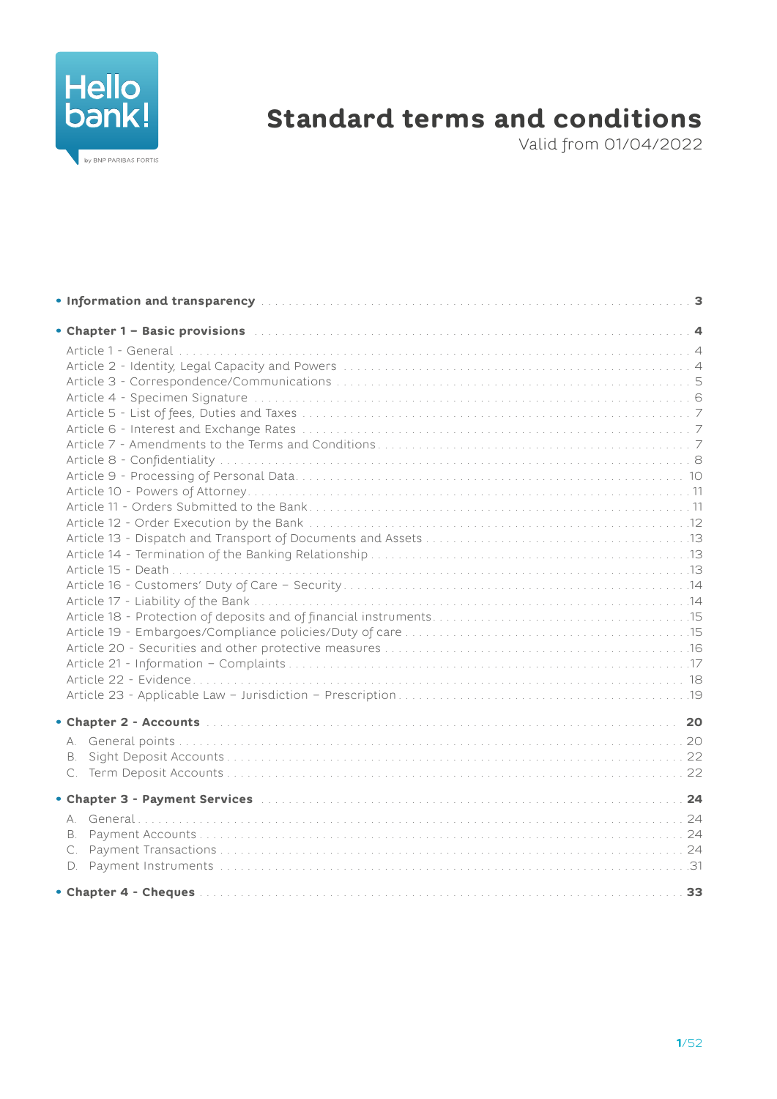

# **Standard terms and conditions**

Valid from 01/04/2022

| <b>B</b> .                                                                                                        |  |
|-------------------------------------------------------------------------------------------------------------------|--|
|                                                                                                                   |  |
| • Chapter 3 - Payment Services (Allen and Allen and Allen and Allen and Allen and Allen and Allen and Allen and A |  |
|                                                                                                                   |  |
| <b>B.</b>                                                                                                         |  |
| C.                                                                                                                |  |
|                                                                                                                   |  |
|                                                                                                                   |  |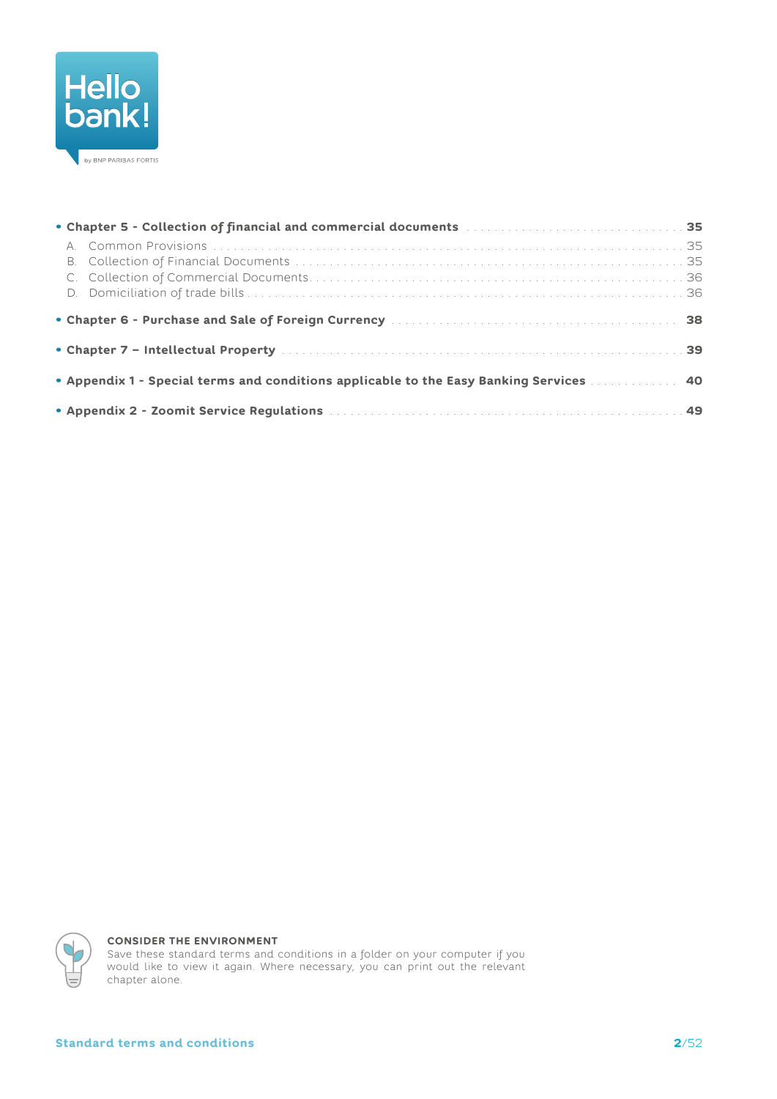

| • Appendix 1 - Special terms and conditions applicable to the Easy Banking Services [101] Appendix 1 - Special terms and conditions applicable to the Easy Banking Services [10] Appendix 40 |  |  |  |  |  |
|----------------------------------------------------------------------------------------------------------------------------------------------------------------------------------------------|--|--|--|--|--|
|                                                                                                                                                                                              |  |  |  |  |  |



#### **CONSIDER THE ENVIRONMENT**

Save these standard terms and conditions in a folder on your computer if you<br>would like to view it again. Where necessary, you can print out the relevant chapter alone.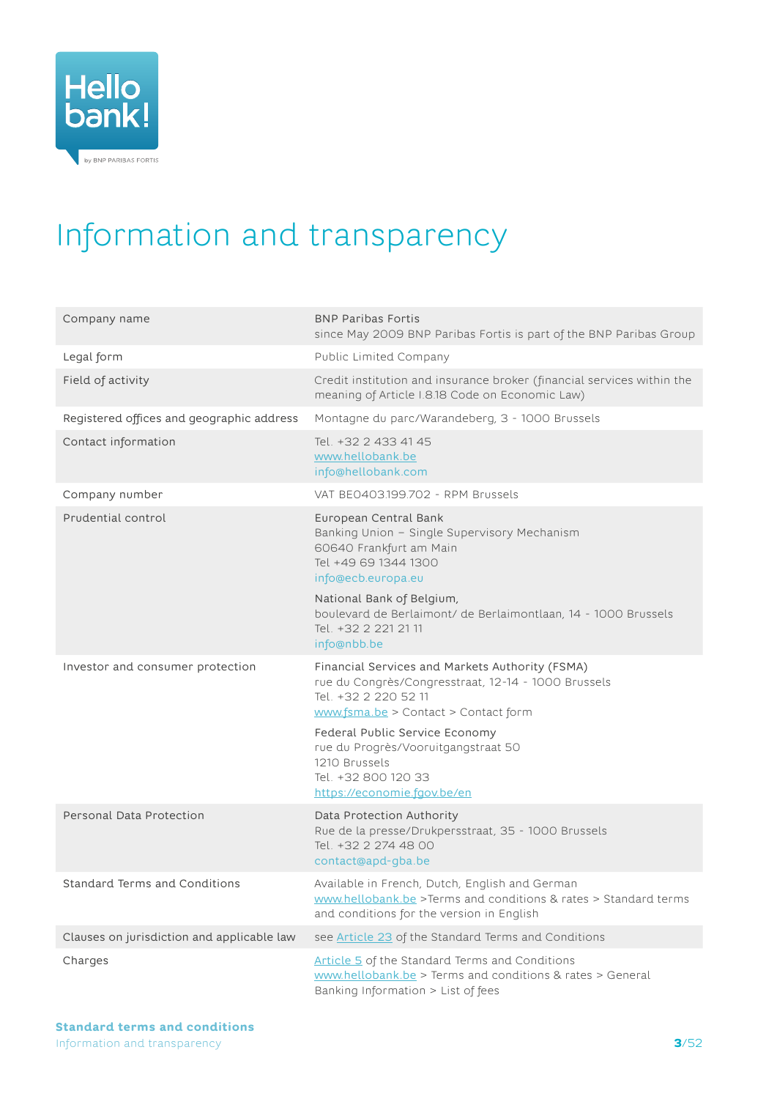<span id="page-2-0"></span>

# Information and transparency

| Company name                               | <b>BNP Paribas Fortis</b><br>since May 2009 BNP Paribas Fortis is part of the BNP Paribas Group                                                                        |
|--------------------------------------------|------------------------------------------------------------------------------------------------------------------------------------------------------------------------|
| Legal form                                 | Public Limited Company                                                                                                                                                 |
| Field of activity                          | Credit institution and insurance broker (financial services within the<br>meaning of Article I.8.18 Code on Economic Law)                                              |
| Registered offices and geographic address  | Montagne du parc/Warandeberg, 3 - 1000 Brussels                                                                                                                        |
| Contact information                        | Tel. +32 2 433 41 45<br>www.hellobank.be<br>info@hellobank.com                                                                                                         |
| Company number                             | VAT BEO403.199.702 - RPM Brussels                                                                                                                                      |
| Prudential control                         | European Central Bank<br>Banking Union - Single Supervisory Mechanism<br>60640 Frankfurt am Main<br>Tel +49 69 1344 1300<br>info@ecb.europa.eu                         |
|                                            | National Bank of Belgium,<br>boulevard de Berlaimont/ de Berlaimontlaan, 14 - 1000 Brussels<br>Tel. +32 2 221 21 11<br>info@nbb.be                                     |
| Investor and consumer protection           | Financial Services and Markets Authority (FSMA)<br>rue du Congrès/Congresstraat, 12-14 - 1000 Brussels<br>Tel. +32 2 220 52 11<br>www.fsma.be > Contact > Contact form |
|                                            | Federal Public Service Economy<br>rue du Progrès/Vooruitgangstraat 50<br>1210 Brussels<br>Tel. +32 800 120 33<br>https://economie.fgov.be/en                           |
| Personal Data Protection                   | Data Protection Authority<br>Rue de la presse/Drukpersstraat, 35 - 1000 Brussels<br>Tel. +32 2 274 48 00<br>contact@apd-gba.be                                         |
| Standard Terms and Conditions              | Available in French, Dutch, English and German<br>www.hellobank.be >Terms and conditions & rates > Standard terms<br>and conditions for the version in English         |
| Clauses on jurisdiction and applicable law | see Article 23 of the Standard Terms and Conditions                                                                                                                    |
| Charges                                    | Article 5 of the Standard Terms and Conditions<br>www.hellobank.be > Terms and conditions & rates > General<br>Banking Information > List of fees                      |

Information and transparency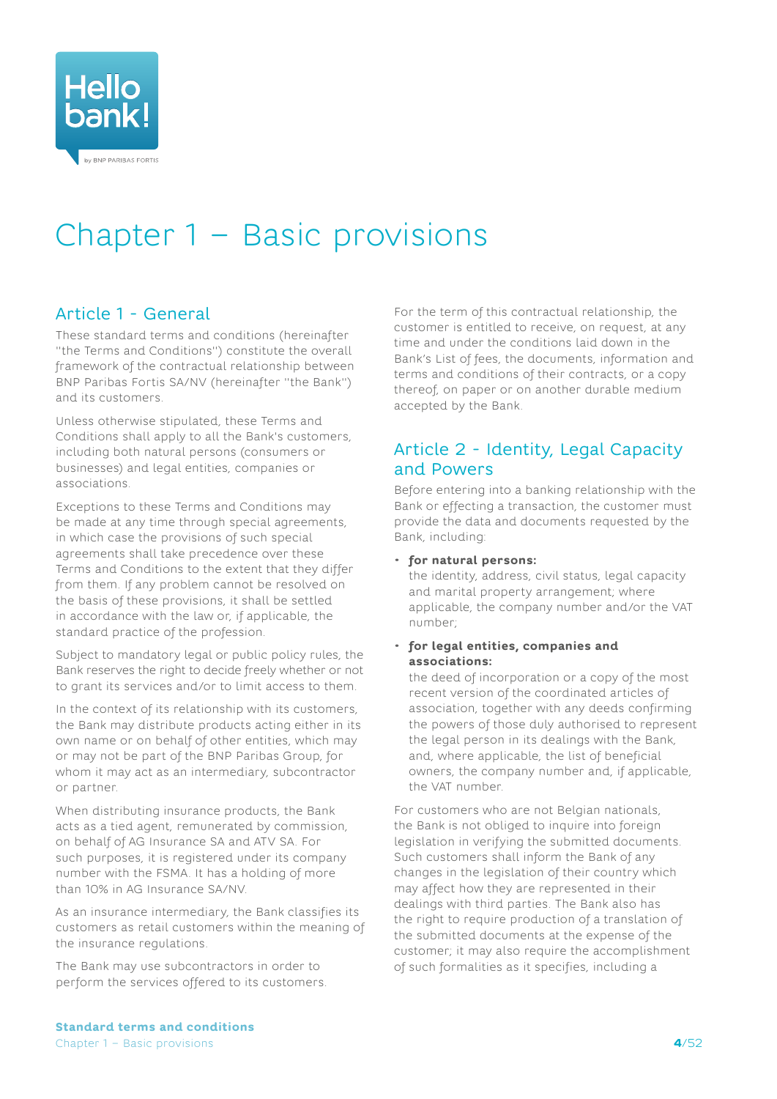<span id="page-3-0"></span>

# <span id="page-3-1"></span>Chapter 1 – Basic provisions

# Article 1 - General

These standard terms and conditions (hereinafter "the Terms and Conditions") constitute the overall framework of the contractual relationship between BNP Paribas Fortis SA/NV (hereinafter "the Bank") and its customers.

Unless otherwise stipulated, these Terms and Conditions shall apply to all the Bank's customers, including both natural persons (consumers or businesses) and legal entities, companies or associations.

Exceptions to these Terms and Conditions may be made at any time through special agreements, in which case the provisions of such special agreements shall take precedence over these Terms and Conditions to the extent that they differ from them. If any problem cannot be resolved on the basis of these provisions, it shall be settled in accordance with the law or, if applicable, the standard practice of the profession.

Subject to mandatory legal or public policy rules, the Bank reserves the right to decide freely whether or not to grant its services and/or to limit access to them.

In the context of its relationship with its customers, the Bank may distribute products acting either in its own name or on behalf of other entities, which may or may not be part of the BNP Paribas Group, for whom it may act as an intermediary, subcontractor or partner.

When distributing insurance products, the Bank acts as a tied agent, remunerated by commission, on behalf of AG Insurance SA and ATV SA. For such purposes, it is registered under its company number with the FSMA. It has a holding of more than 10% in AG Insurance SA/NV.

As an insurance intermediary, the Bank classifies its customers as retail customers within the meaning of the insurance regulations.

The Bank may use subcontractors in order to perform the services offered to its customers. For the term of this contractual relationship, the customer is entitled to receive, on request, at any time and under the conditions laid down in the Bank's List of fees, the documents, information and terms and conditions of their contracts, or a copy thereof, on paper or on another durable medium accepted by the Bank.

## Article 2 - Identity, Legal Capacity and Powers

Before entering into a banking relationship with the Bank or effecting a transaction, the customer must provide the data and documents requested by the Bank, including:

#### • **for natural persons:**

the identity, address, civil status, legal capacity and marital property arrangement; where applicable, the company number and/or the VAT number;

• **for legal entities, companies and associations:**

the deed of incorporation or a copy of the most recent version of the coordinated articles of association, together with any deeds confirming the powers of those duly authorised to represent the legal person in its dealings with the Bank, and, where applicable, the list of beneficial owners, the company number and, if applicable, the VAT number.

For customers who are not Belgian nationals, the Bank is not obliged to inquire into foreign legislation in verifying the submitted documents. Such customers shall inform the Bank of any changes in the legislation of their country which may affect how they are represented in their dealings with third parties. The Bank also has the right to require production of a translation of the submitted documents at the expense of the customer; it may also require the accomplishment of such formalities as it specifies, including a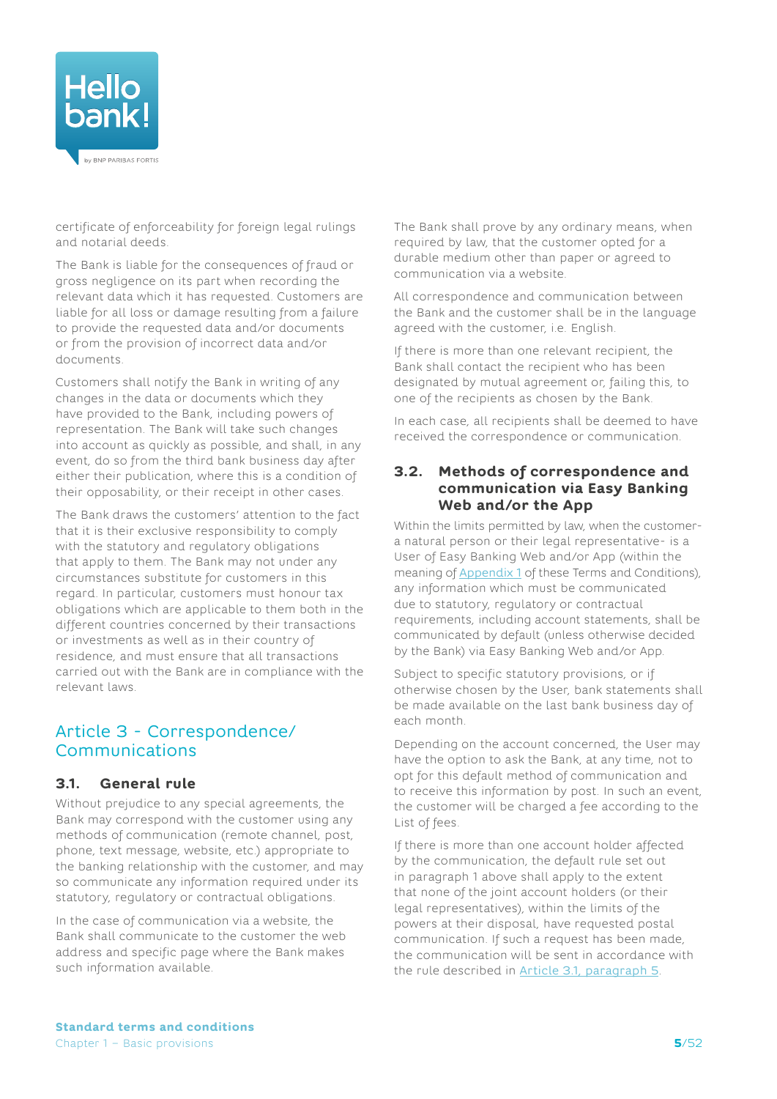<span id="page-4-0"></span>

certificate of enforceability for foreign legal rulings and notarial deeds.

The Bank is liable for the consequences of fraud or gross negligence on its part when recording the relevant data which it has requested. Customers are liable for all loss or damage resulting from a failure to provide the requested data and/or documents or from the provision of incorrect data and/or documents.

Customers shall notify the Bank in writing of any changes in the data or documents which they have provided to the Bank, including powers of representation. The Bank will take such changes into account as quickly as possible, and shall, in any event, do so from the third bank business day after either their publication, where this is a condition of their opposability, or their receipt in other cases.

The Bank draws the customers' attention to the fact that it is their exclusive responsibility to comply with the statutory and regulatory obligations that apply to them. The Bank may not under any circumstances substitute for customers in this regard. In particular, customers must honour tax obligations which are applicable to them both in the different countries concerned by their transactions or investments as well as in their country of residence, and must ensure that all transactions carried out with the Bank are in compliance with the relevant laws.

## <span id="page-4-2"></span>Article 3 - Correspondence/ Communications

#### **3.1. General rule**

Without prejudice to any special agreements, the Bank may correspond with the customer using any methods of communication (remote channel, post, phone, text message, website, etc.) appropriate to the banking relationship with the customer, and may so communicate any information required under its statutory, regulatory or contractual obligations.

In the case of communication via a website, the Bank shall communicate to the customer the web address and specific page where the Bank makes such information available.

The Bank shall prove by any ordinary means, when required by law, that the customer opted for a durable medium other than paper or agreed to communication via a website.

All correspondence and communication between the Bank and the customer shall be in the language agreed with the customer, i.e. English.

<span id="page-4-1"></span>If there is more than one relevant recipient, the Bank shall contact the recipient who has been designated by mutual agreement or, failing this, to one of the recipients as chosen by the Bank.

In each case, all recipients shall be deemed to have received the correspondence or communication.

#### **3.2. Methods of correspondence and communication via Easy Banking Web and/or the App**

Within the limits permitted by law, when the customera natural person or their legal representative- is a User of Easy Banking Web and/or App (within the meaning of [Appendix](#page-39-1) 1 of these Terms and Conditions), any information which must be communicated due to statutory, regulatory or contractual requirements, including account statements, shall be communicated by default (unless otherwise decided by the Bank) via Easy Banking Web and/or App.

Subject to specific statutory provisions, or if otherwise chosen by the User, bank statements shall be made available on the last bank business day of each month.

Depending on the account concerned, the User may have the option to ask the Bank, at any time, not to opt for this default method of communication and to receive this information by post. In such an event, the customer will be charged a fee according to the List of fees.

If there is more than one account holder affected by the communication, the default rule set out in paragraph 1 above shall apply to the extent that none of the joint account holders (or their legal representatives), within the limits of the powers at their disposal, have requested postal communication. If such a request has been made, the communication will be sent in accordance with the rule described in [Article 3.1, paragraph 5](#page-4-1).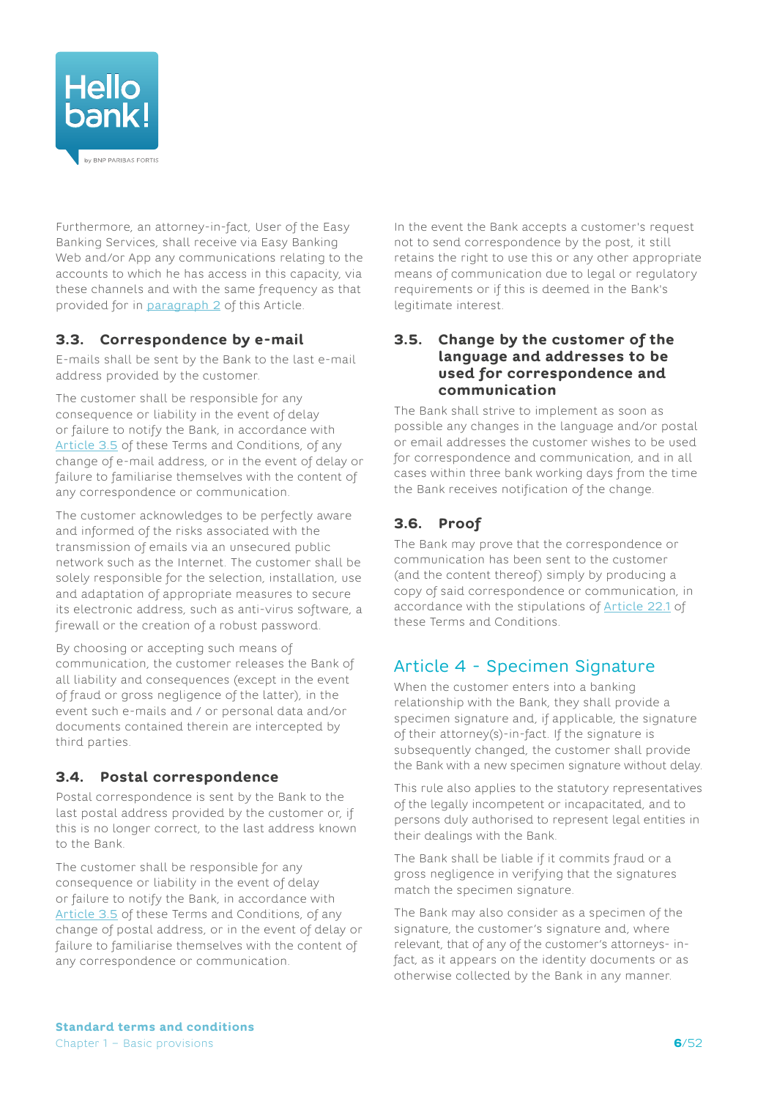<span id="page-5-0"></span>

Furthermore, an attorney-in-fact, User of the Easy Banking Services, shall receive via Easy Banking Web and/or App any communications relating to the accounts to which he has access in this capacity, via these channels and with the same frequency as that provided for in paragraph 2 of this Article.

## **3.3. Correspondence by e-mail**

E-mails shall be sent by the Bank to the last e-mail address provided by the customer.

The customer shall be responsible for any consequence or liability in the event of delay or failure to notify the Bank, in accordance with [Article](#page-5-1) 3.5 of these Terms and Conditions, of any change of e-mail address, or in the event of delay or failure to familiarise themselves with the content of any correspondence or communication.

The customer acknowledges to be perfectly aware and informed of the risks associated with the transmission of emails via an unsecured public network such as the Internet. The customer shall be solely responsible for the selection, installation, use and adaptation of appropriate measures to secure its electronic address, such as anti-virus software, a firewall or the creation of a robust password.

By choosing or accepting such means of communication, the customer releases the Bank of all liability and consequences (except in the event of fraud or gross negligence of the latter), in the event such e-mails and / or personal data and/or documents contained therein are intercepted by third parties.

## **3.4. Postal correspondence**

Postal correspondence is sent by the Bank to the last postal address provided by the customer or, if this is no longer correct, to the last address known to the Bank.

The customer shall be responsible for any consequence or liability in the event of delay or failure to notify the Bank, in accordance with [Article](#page-5-1) 3.5 of these Terms and Conditions, of any change of postal address, or in the event of delay or failure to familiarise themselves with the content of any correspondence or communication.

In the event the Bank accepts a customer's request not to send correspondence by the post, it still retains the right to use this or any other appropriate means of communication due to legal or regulatory requirements or if this is deemed in the Bank's legitimate interest.

#### <span id="page-5-1"></span>**3.5. Change by the customer of the language and addresses to be used for correspondence and communication**

The Bank shall strive to implement as soon as possible any changes in the language and/or postal or email addresses the customer wishes to be used for correspondence and communication, and in all cases within three bank working days from the time the Bank receives notification of the change.

## **3.6. Proof**

The Bank may prove that the correspondence or communication has been sent to the customer (and the content thereof) simply by producing a copy of said correspondence or communication, in accordance with the stipulations of [Article](#page-17-1) 22.1 of these Terms and Conditions.

# Article 4 - Specimen Signature

When the customer enters into a banking relationship with the Bank, they shall provide a specimen signature and, if applicable, the signature of their attorney(s)-in-fact. If the signature is subsequently changed, the customer shall provide the Bank with a new specimen signature without delay.

This rule also applies to the statutory representatives of the legally incompetent or incapacitated, and to persons duly authorised to represent legal entities in their dealings with the Bank.

The Bank shall be liable if it commits fraud or a gross negligence in verifying that the signatures match the specimen signature.

The Bank may also consider as a specimen of the signature, the customer's signature and, where relevant, that of any of the customer's attorneys- infact, as it appears on the identity documents or as otherwise collected by the Bank in any manner.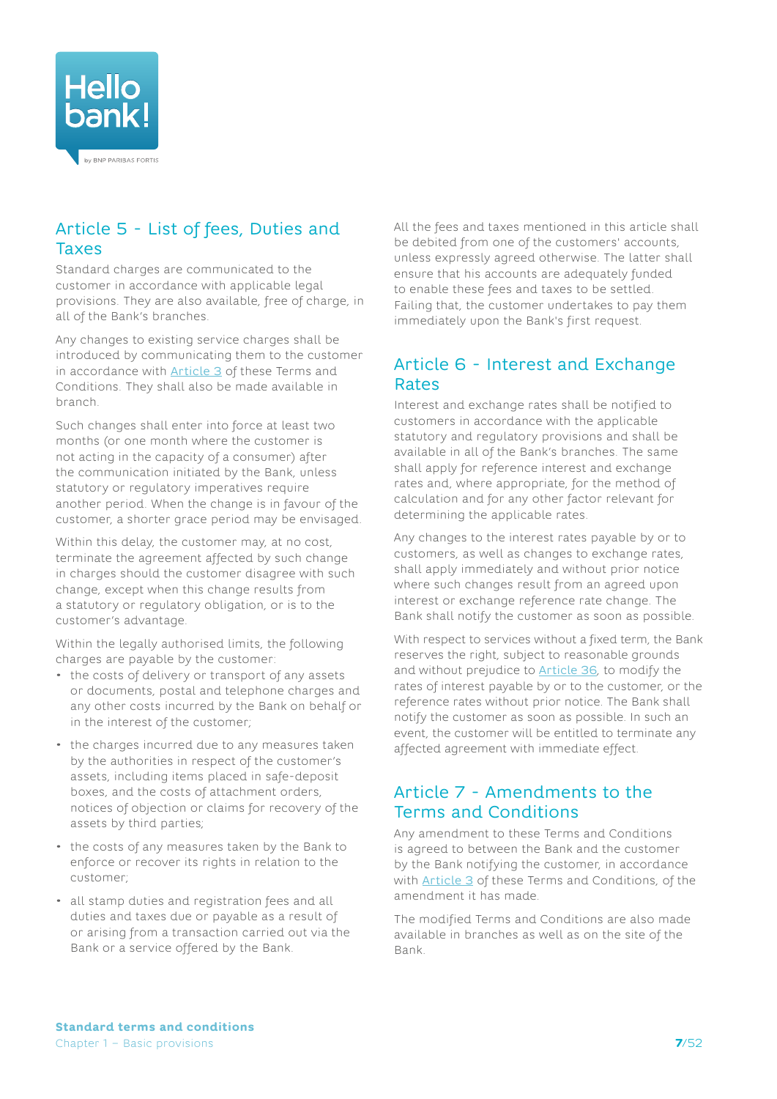<span id="page-6-0"></span>

# Article 5 - List of fees, Duties and Taxes

Standard charges are communicated to the customer in accordance with applicable legal provisions. They are also available, free of charge, in all of the Bank's branches.

Any changes to existing service charges shall be introduced by communicating them to the customer in accordance with [Article](#page-4-2) 3 of these Terms and Conditions. They shall also be made available in branch.

Such changes shall enter into force at least two months (or one month where the customer is not acting in the capacity of a consumer) after the communication initiated by the Bank, unless statutory or regulatory imperatives require another period. When the change is in favour of the customer, a shorter grace period may be envisaged.

Within this delay, the customer may, at no cost, terminate the agreement affected by such change in charges should the customer disagree with such change, except when this change results from a statutory or regulatory obligation, or is to the customer's advantage.

Within the legally authorised limits, the following charges are payable by the customer:

- the costs of delivery or transport of any assets or documents, postal and telephone charges and any other costs incurred by the Bank on behalf or in the interest of the customer;
- the charges incurred due to any measures taken by the authorities in respect of the customer's assets, including items placed in safe-deposit boxes, and the costs of attachment orders, notices of objection or claims for recovery of the assets by third parties;
- the costs of any measures taken by the Bank to enforce or recover its rights in relation to the customer;
- all stamp duties and registration fees and all duties and taxes due or payable as a result of or arising from a transaction carried out via the Bank or a service offered by the Bank.

All the fees and taxes mentioned in this article shall be debited from one of the customers' accounts, unless expressly agreed otherwise. The latter shall ensure that his accounts are adequately funded to enable these fees and taxes to be settled. Failing that, the customer undertakes to pay them immediately upon the Bank's first request.

## Article 6 - Interest and Exchange Rates

Interest and exchange rates shall be notified to customers in accordance with the applicable statutory and regulatory provisions and shall be available in all of the Bank's branches. The same shall apply for reference interest and exchange rates and, where appropriate, for the method of calculation and for any other factor relevant for determining the applicable rates.

Any changes to the interest rates payable by or to customers, as well as changes to exchange rates, shall apply immediately and without prior notice where such changes result from an agreed upon interest or exchange reference rate change. The Bank shall notify the customer as soon as possible.

With respect to services without a fixed term, the Bank reserves the right, subject to reasonable grounds and without prejudice to [Article](#page-23-1) 36, to modify the rates of interest payable by or to the customer, or the reference rates without prior notice. The Bank shall notify the customer as soon as possible. In such an event, the customer will be entitled to terminate any affected agreement with immediate effect.

## <span id="page-6-1"></span>Article 7 - Amendments to the Terms and Conditions

Any amendment to these Terms and Conditions is agreed to between the Bank and the customer by the Bank notifying the customer, in accordance with [Article](#page-4-2) 3 of these Terms and Conditions, of the amendment it has made.

The modified Terms and Conditions are also made available in branches as well as on the site of the Bank.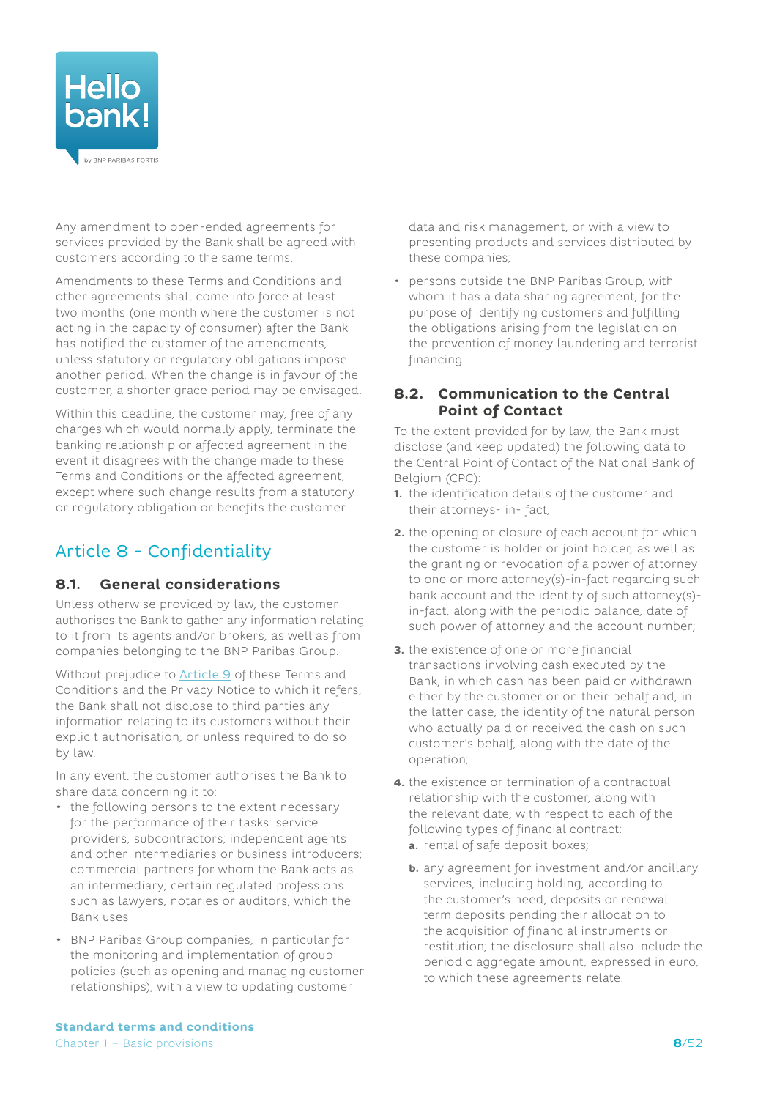<span id="page-7-0"></span>

Any amendment to open-ended agreements for services provided by the Bank shall be agreed with customers according to the same terms.

Amendments to these Terms and Conditions and other agreements shall come into force at least two months (one month where the customer is not acting in the capacity of consumer) after the Bank has notified the customer of the amendments, unless statutory or regulatory obligations impose another period. When the change is in favour of the customer, a shorter grace period may be envisaged.

Within this deadline, the customer may, free of any charges which would normally apply, terminate the banking relationship or affected agreement in the event it disagrees with the change made to these Terms and Conditions or the affected agreement, except where such change results from a statutory or regulatory obligation or benefits the customer.

# Article 8 - Confidentiality

## **8.1. General considerations**

Unless otherwise provided by law, the customer authorises the Bank to gather any information relating to it from its agents and/or brokers, as well as from companies belonging to the BNP Paribas Group.

Without prejudice to [Article](#page-9-1) 9 of these Terms and Conditions and the Privacy Notice to which it refers, the Bank shall not disclose to third parties any information relating to its customers without their explicit authorisation, or unless required to do so by law.

In any event, the customer authorises the Bank to share data concerning it to:

- the following persons to the extent necessary for the performance of their tasks: service providers, subcontractors; independent agents and other intermediaries or business introducers; commercial partners for whom the Bank acts as an intermediary; certain regulated professions such as lawyers, notaries or auditors, which the Bank uses.
- BNP Paribas Group companies, in particular for the monitoring and implementation of group policies (such as opening and managing customer relationships), with a view to updating customer

data and risk management, or with a view to presenting products and services distributed by these companies;

• persons outside the BNP Paribas Group, with whom it has a data sharing agreement, for the purpose of identifying customers and fulfilling the obligations arising from the legislation on the prevention of money laundering and terrorist financing.

#### **8.2. Communication to the Central Point of Contact**

To the extent provided for by law, the Bank must disclose (and keep updated) the following data to the Central Point of Contact of the National Bank of Belgium (CPC):

- **1.** the identification details of the customer and their attorneys- in- fact;
- **2.** the opening or closure of each account for which the customer is holder or joint holder, as well as the granting or revocation of a power of attorney to one or more attorney(s)-in-fact regarding such bank account and the identity of such attorney(s) in-fact, along with the periodic balance, date of such power of attorney and the account number;
- **3.** the existence of one or more financial transactions involving cash executed by the Bank, in which cash has been paid or withdrawn either by the customer or on their behalf and, in the latter case, the identity of the natural person who actually paid or received the cash on such customer's behalf, along with the date of the operation;
- **4.** the existence or termination of a contractual relationship with the customer, along with the relevant date, with respect to each of the following types of financial contract: **a.** rental of safe deposit boxes;
	- **b.** any agreement for investment and/or ancillary services, including holding, according to the customer's need, deposits or renewal term deposits pending their allocation to the acquisition of financial instruments or restitution; the disclosure shall also include the periodic aggregate amount, expressed in euro, to which these agreements relate.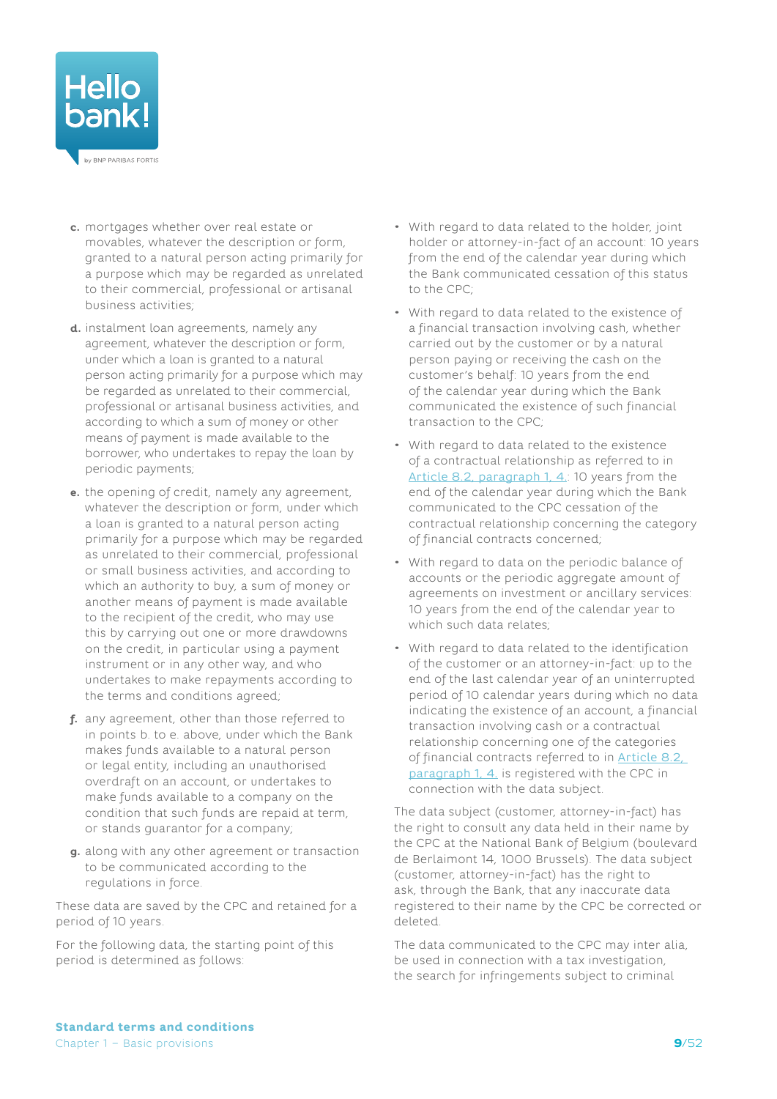

- **c.** mortgages whether over real estate or movables, whatever the description or form, granted to a natural person acting primarily for a purpose which may be regarded as unrelated to their commercial, professional or artisanal business activities;
- **d.** instalment loan agreements, namely any agreement, whatever the description or form, under which a loan is granted to a natural person acting primarily for a purpose which may be regarded as unrelated to their commercial, professional or artisanal business activities, and according to which a sum of money or other means of payment is made available to the borrower, who undertakes to repay the loan by periodic payments;
- **e.** the opening of credit, namely any agreement, whatever the description or form, under which a loan is granted to a natural person acting primarily for a purpose which may be regarded as unrelated to their commercial, professional or small business activities, and according to which an authority to buy, a sum of money or another means of payment is made available to the recipient of the credit, who may use this by carrying out one or more drawdowns on the credit, in particular using a payment instrument or in any other way, and who undertakes to make repayments according to the terms and conditions agreed;
- **f.** any agreement, other than those referred to in points b. to e. above, under which the Bank makes funds available to a natural person or legal entity, including an unauthorised overdraft on an account, or undertakes to make funds available to a company on the condition that such funds are repaid at term, or stands guarantor for a company;
- **g.** along with any other agreement or transaction to be communicated according to the regulations in force.

These data are saved by the CPC and retained for a period of 10 years.

For the following data, the starting point of this period is determined as follows:

- With regard to data related to the holder, joint holder or attorney-in-fact of an account: 10 years from the end of the calendar year during which the Bank communicated cessation of this status to the CPC;
- With regard to data related to the existence of a financial transaction involving cash, whether carried out by the customer or by a natural person paying or receiving the cash on the customer's behalf: 10 years from the end of the calendar year during which the Bank communicated the existence of such financial transaction to the CPC;
- With regard to data related to the existence of a contractual relationship as referred to in Article 8.2, paragraph 1, 4.: 10 years from the end of the calendar year during which the Bank communicated to the CPC cessation of the contractual relationship concerning the category of financial contracts concerned;
- With regard to data on the periodic balance of accounts or the periodic aggregate amount of agreements on investment or ancillary services: 10 years from the end of the calendar year to which such data relates;
- With regard to data related to the identification of the customer or an attorney-in-fact: up to the end of the last calendar year of an uninterrupted period of 10 calendar years during which no data indicating the existence of an account, a financial transaction involving cash or a contractual relationship concerning one of the categories of financial contracts referred to in Article 8.2, paragraph 1, 4. is registered with the CPC in connection with the data subject.

The data subject (customer, attorney-in-fact) has the right to consult any data held in their name by the CPC at the National Bank of Belgium (boulevard de Berlaimont 14, 1000 Brussels). The data subject (customer, attorney-in-fact) has the right to ask, through the Bank, that any inaccurate data registered to their name by the CPC be corrected or deleted.

The data communicated to the CPC may inter alia, be used in connection with a tax investigation, the search for infringements subject to criminal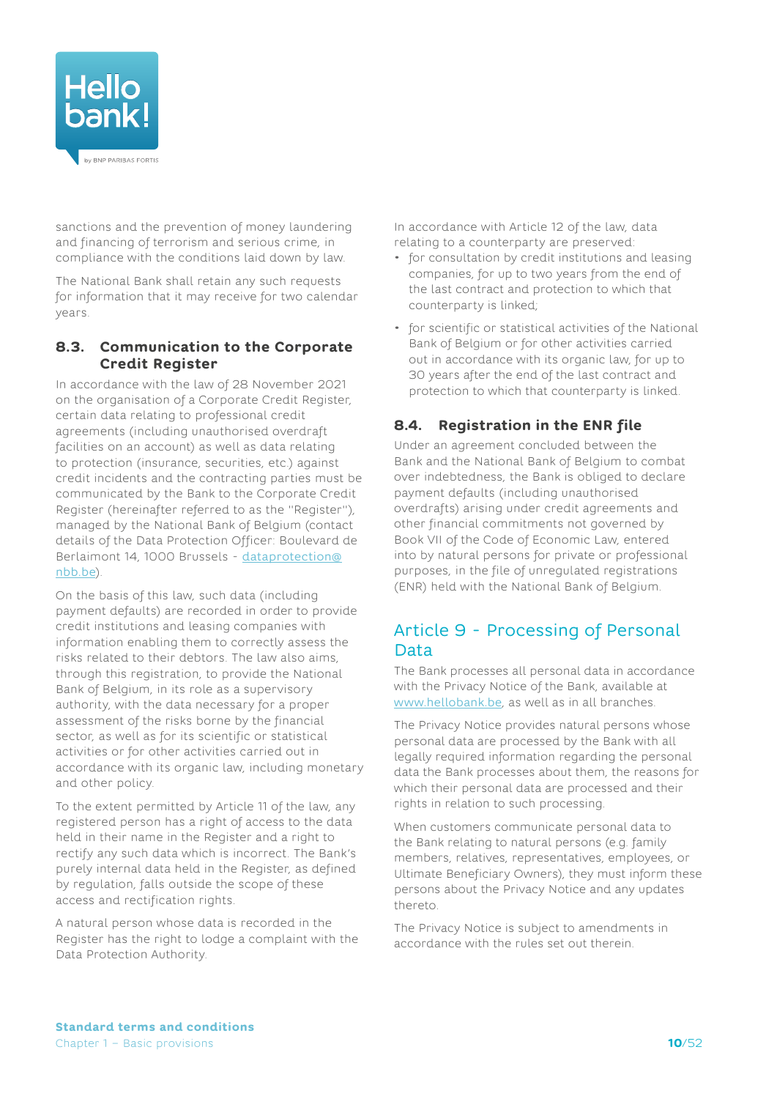<span id="page-9-0"></span>

sanctions and the prevention of money laundering and financing of terrorism and serious crime, in compliance with the conditions laid down by law.

The National Bank shall retain any such requests for information that it may receive for two calendar years.

### **8.3. Communication to the Corporate Credit Register**

In accordance with the law of 28 November 2021 on the organisation of a Corporate Credit Register, certain data relating to professional credit agreements (including unauthorised overdraft facilities on an account) as well as data relating to protection (insurance, securities, etc.) against credit incidents and the contracting parties must be communicated by the Bank to the Corporate Credit Register (hereinafter referred to as the "Register"), managed by the National Bank of Belgium (contact details of the Data Protection Officer: Boulevard de Berlaimont 14, 1000 Brussels - [dataprotection@](mailto:dataprotection%40nbb.be?subject=) [nbb.be](mailto:dataprotection%40nbb.be?subject=)).

On the basis of this law, such data (including payment defaults) are recorded in order to provide credit institutions and leasing companies with information enabling them to correctly assess the risks related to their debtors. The law also aims, through this registration, to provide the National Bank of Belgium, in its role as a supervisory authority, with the data necessary for a proper assessment of the risks borne by the financial sector, as well as for its scientific or statistical activities or for other activities carried out in accordance with its organic law, including monetary and other policy.

To the extent permitted by Article 11 of the law, any registered person has a right of access to the data held in their name in the Register and a right to rectify any such data which is incorrect. The Bank's purely internal data held in the Register, as defined by regulation, falls outside the scope of these access and rectification rights.

A natural person whose data is recorded in the Register has the right to lodge a complaint with the Data Protection Authority.

In accordance with Article 12 of the law, data relating to a counterparty are preserved:

- for consultation by credit institutions and leasing companies, for up to two years from the end of the last contract and protection to which that counterparty is linked;
- for scientific or statistical activities of the National Bank of Belgium or for other activities carried out in accordance with its organic law, for up to 30 years after the end of the last contract and protection to which that counterparty is linked.

## **8.4. Registration in the ENR file**

Under an agreement concluded between the Bank and the National Bank of Belgium to combat over indebtedness, the Bank is obliged to declare payment defaults (including unauthorised overdrafts) arising under credit agreements and other financial commitments not governed by Book VII of the Code of Economic Law, entered into by natural persons for private or professional purposes, in the file of unregulated registrations (ENR) held with the National Bank of Belgium.

# <span id="page-9-1"></span>Article 9 - Processing of Personal Data

The Bank processes all personal data in accordance with the Privacy Notice of the Bank, available at [www.hellobank.be](http://www.hellobank.be), as well as in all branches.

The Privacy Notice provides natural persons whose personal data are processed by the Bank with all legally required information regarding the personal data the Bank processes about them, the reasons for which their personal data are processed and their rights in relation to such processing.

When customers communicate personal data to the Bank relating to natural persons (e.g. family members, relatives, representatives, employees, or Ultimate Beneficiary Owners), they must inform these persons about the Privacy Notice and any updates thereto.

The Privacy Notice is subject to amendments in accordance with the rules set out therein.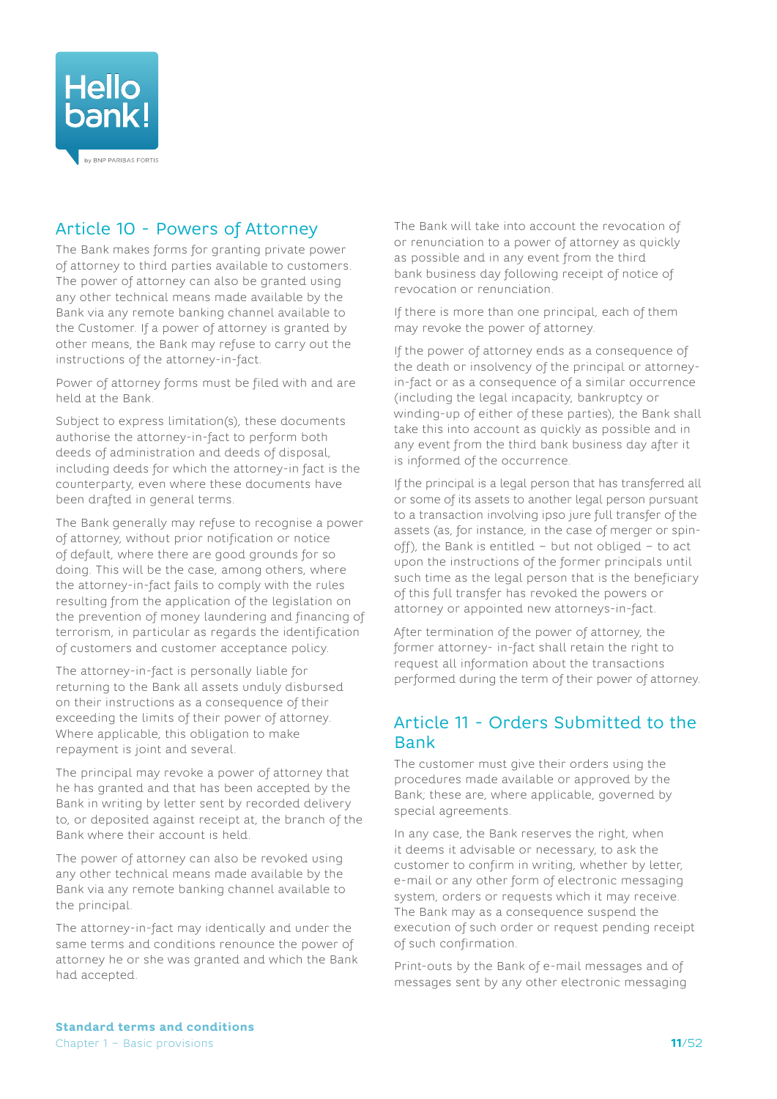<span id="page-10-0"></span>

# Article 10 - Powers of Attorney

The Bank makes forms for granting private power of attorney to third parties available to customers. The power of attorney can also be granted using any other technical means made available by the Bank via any remote banking channel available to the Customer. If a power of attorney is granted by other means, the Bank may refuse to carry out the instructions of the attorney-in-fact.

Power of attorney forms must be filed with and are held at the Bank.

Subject to express limitation(s), these documents authorise the attorney-in-fact to perform both deeds of administration and deeds of disposal, including deeds for which the attorney-in fact is the counterparty, even where these documents have been drafted in general terms.

The Bank generally may refuse to recognise a power of attorney, without prior notification or notice of default, where there are good grounds for so doing. This will be the case, among others, where the attorney-in-fact fails to comply with the rules resulting from the application of the legislation on the prevention of money laundering and financing of terrorism, in particular as regards the identification of customers and customer acceptance policy.

The attorney-in-fact is personally liable for returning to the Bank all assets unduly disbursed on their instructions as a consequence of their exceeding the limits of their power of attorney. Where applicable, this obligation to make repayment is joint and several.

The principal may revoke a power of attorney that he has granted and that has been accepted by the Bank in writing by letter sent by recorded delivery to, or deposited against receipt at, the branch of the Bank where their account is held.

The power of attorney can also be revoked using any other technical means made available by the Bank via any remote banking channel available to the principal.

The attorney-in-fact may identically and under the same terms and conditions renounce the power of attorney he or she was granted and which the Bank had accepted.

The Bank will take into account the revocation of or renunciation to a power of attorney as quickly as possible and in any event from the third bank business day following receipt of notice of revocation or renunciation.

If there is more than one principal, each of them may revoke the power of attorney.

If the power of attorney ends as a consequence of the death or insolvency of the principal or attorneyin-fact or as a consequence of a similar occurrence (including the legal incapacity, bankruptcy or winding-up of either of these parties), the Bank shall take this into account as quickly as possible and in any event from the third bank business day after it is informed of the occurrence.

If the principal is a legal person that has transferred all or some of its assets to another legal person pursuant to a transaction involving ipso jure full transfer of the assets (as, for instance, in the case of merger or spinoff), the Bank is entitled – but not obliged – to act upon the instructions of the former principals until such time as the legal person that is the beneficiary of this full transfer has revoked the powers or attorney or appointed new attorneys-in-fact.

After termination of the power of attorney, the former attorney- in-fact shall retain the right to request all information about the transactions performed during the term of their power of attorney.

# <span id="page-10-1"></span>Article 11 - Orders Submitted to the Bank

The customer must give their orders using the procedures made available or approved by the Bank; these are, where applicable, governed by special agreements.

In any case, the Bank reserves the right, when it deems it advisable or necessary, to ask the customer to confirm in writing, whether by letter, e-mail or any other form of electronic messaging system, orders or requests which it may receive. The Bank may as a consequence suspend the execution of such order or request pending receipt of such confirmation.

Print-outs by the Bank of e-mail messages and of messages sent by any other electronic messaging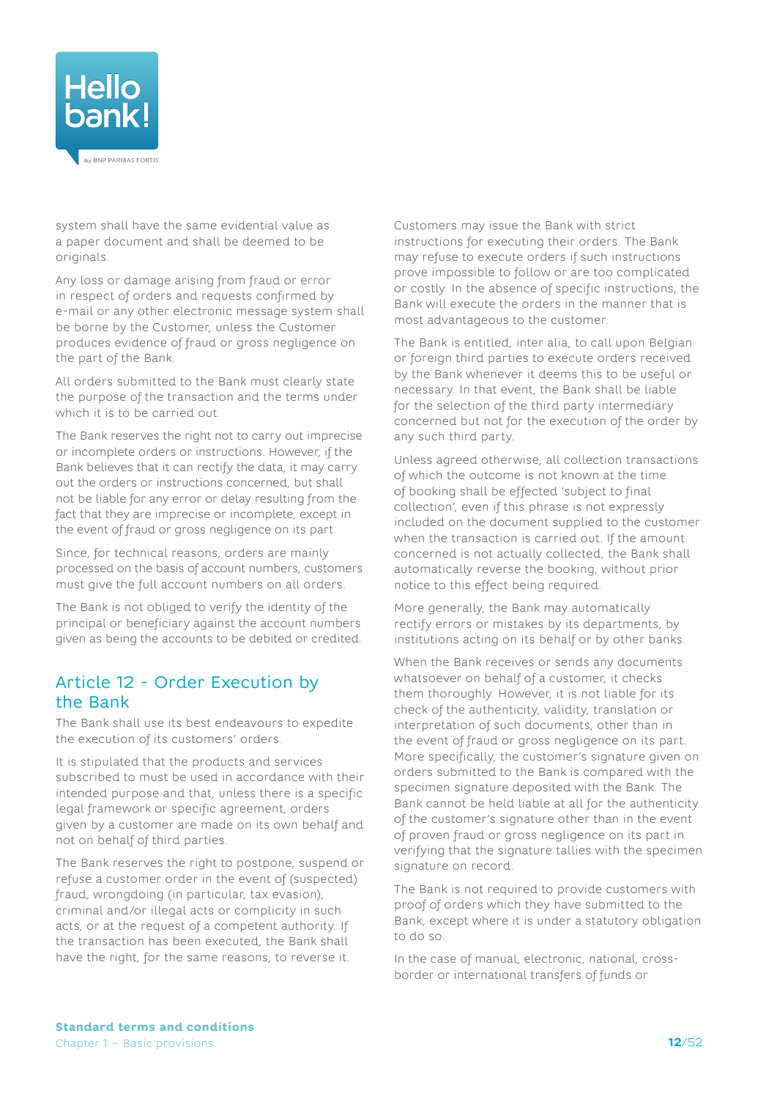<span id="page-11-0"></span>

system shall have the same evidential value as a paper document and shall be deemed to be originals.

Any loss or damage arising from fraud or error in respect of orders and requests confirmed by e-mail or any other electronic message system shall be borne by the Customer, unless the Customer produces evidence of fraud or gross negligence on the part of the Bank.

All orders submitted to the Bank must clearly state the purpose of the transaction and the terms under which it is to be carried out.

The Bank reserves the right not to carry out imprecise or incomplete orders or instructions. However, if the Bank believes that it can rectify the data, it may carry out the orders or instructions concerned, but shall not be liable for any error or delay resulting from the fact that they are imprecise or incomplete, except in the event of fraud or gross negligence on its part.

Since, for technical reasons, orders are mainly processed on the basis of account numbers, customers must give the full account numbers on all orders.

The Bank is not obliged to verify the identity of the principal or beneficiary against the account numbers given as being the accounts to be debited or credited.

## <span id="page-11-1"></span>Article 12 - Order Execution by the Bank

The Bank shall use its best endeavours to expedite the execution of its customers' orders.

It is stipulated that the products and services subscribed to must be used in accordance with their intended purpose and that, unless there is a specific legal framework or specific agreement, orders given by a customer are made on its own behalf and not on behalf of third parties.

The Bank reserves the right to postpone, suspend or refuse a customer order in the event of (suspected) fraud, wrongdoing (in particular, tax evasion), criminal and/or illegal acts or complicity in such acts, or at the request of a competent authority. If the transaction has been executed, the Bank shall have the right, for the same reasons, to reverse it.

Customers may issue the Bank with strict instructions for executing their orders. The Bank may refuse to execute orders if such instructions prove impossible to follow or are too complicated or costly. In the absence of specific instructions, the Bank will execute the orders in the manner that is most advantageous to the customer.

The Bank is entitled, inter alia, to call upon Belgian or foreign third parties to execute orders received by the Bank whenever it deems this to be useful or necessary. In that event, the Bank shall be liable for the selection of the third party intermediary concerned but not for the execution of the order by any such third party.

<span id="page-11-2"></span>Unless agreed otherwise, all collection transactions of which the outcome is not known at the time of booking shall be effected 'subject to final collection', even if this phrase is not expressly included on the document supplied to the customer when the transaction is carried out. If the amount concerned is not actually collected, the Bank shall automatically reverse the booking, without prior notice to this effect being required.

More generally, the Bank may automatically rectify errors or mistakes by its departments, by institutions acting on its behalf or by other banks.

When the Bank receives or sends any documents whatsoever on behalf of a customer, it checks them thoroughly. However, it is not liable for its check of the authenticity, validity, translation or interpretation of such documents, other than in the event of fraud or gross negligence on its part. More specifically, the customer's signature given on orders submitted to the Bank is compared with the specimen signature deposited with the Bank. The Bank cannot be held liable at all for the authenticity of the customer's signature other than in the event of proven fraud or gross negligence on its part in verifying that the signature tallies with the specimen signature on record.

The Bank is not required to provide customers with proof of orders which they have submitted to the Bank, except where it is under a statutory obligation to do so.

In the case of manual, electronic, national, crossborder or international transfers of funds or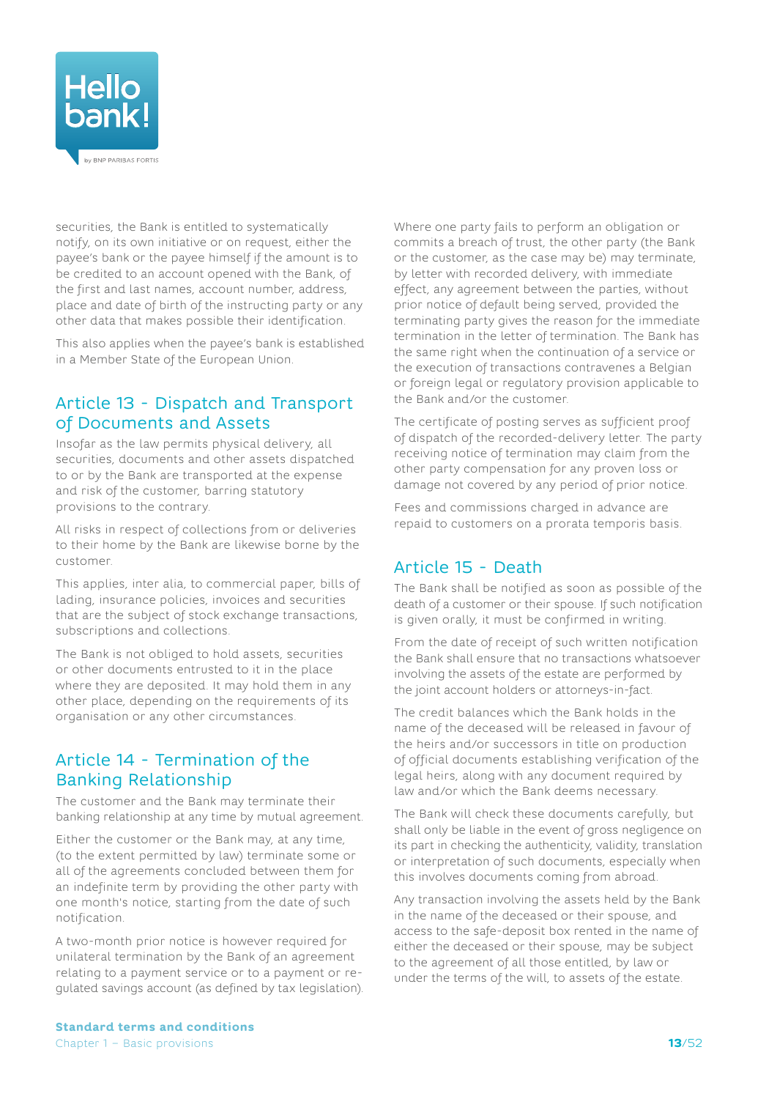<span id="page-12-0"></span>

securities, the Bank is entitled to systematically notify, on its own initiative or on request, either the payee's bank or the payee himself if the amount is to be credited to an account opened with the Bank, of the first and last names, account number, address, place and date of birth of the instructing party or any other data that makes possible their identification.

This also applies when the payee's bank is established in a Member State of the European Union.

# Article 13 - Dispatch and Transport of Documents and Assets

Insofar as the law permits physical delivery, all securities, documents and other assets dispatched to or by the Bank are transported at the expense and risk of the customer, barring statutory provisions to the contrary.

All risks in respect of collections from or deliveries to their home by the Bank are likewise borne by the customer.

This applies, inter alia, to commercial paper, bills of lading, insurance policies, invoices and securities that are the subject of stock exchange transactions, subscriptions and collections.

The Bank is not obliged to hold assets, securities or other documents entrusted to it in the place where they are deposited. It may hold them in any other place, depending on the requirements of its organisation or any other circumstances.

## Article 14 - Termination of the Banking Relationship

The customer and the Bank may terminate their banking relationship at any time by mutual agreement.

Either the customer or the Bank may, at any time, (to the extent permitted by law) terminate some or all of the agreements concluded between them for an indefinite term by providing the other party with one month's notice, starting from the date of such notification.

A two-month prior notice is however required for unilateral termination by the Bank of an agreement relating to a payment service or to a payment or regulated savings account (as defined by tax legislation). Where one party fails to perform an obligation or commits a breach of trust, the other party (the Bank or the customer, as the case may be) may terminate, by letter with recorded delivery, with immediate effect, any agreement between the parties, without prior notice of default being served, provided the terminating party gives the reason for the immediate termination in the letter of termination. The Bank has the same right when the continuation of a service or the execution of transactions contravenes a Belgian or foreign legal or regulatory provision applicable to the Bank and/or the customer.

The certificate of posting serves as sufficient proof of dispatch of the recorded-delivery letter. The party receiving notice of termination may claim from the other party compensation for any proven loss or damage not covered by any period of prior notice.

Fees and commissions charged in advance are repaid to customers on a prorata temporis basis.

## Article 15 - Death

The Bank shall be notified as soon as possible of the death of a customer or their spouse. If such notification is given orally, it must be confirmed in writing.

From the date of receipt of such written notification the Bank shall ensure that no transactions whatsoever involving the assets of the estate are performed by the joint account holders or attorneys-in-fact.

The credit balances which the Bank holds in the name of the deceased will be released in favour of the heirs and/or successors in title on production of official documents establishing verification of the legal heirs, along with any document required by law and/or which the Bank deems necessary.

The Bank will check these documents carefully, but shall only be liable in the event of gross negligence on its part in checking the authenticity, validity, translation or interpretation of such documents, especially when this involves documents coming from abroad.

Any transaction involving the assets held by the Bank in the name of the deceased or their spouse, and access to the safe-deposit box rented in the name of either the deceased or their spouse, may be subject to the agreement of all those entitled, by law or under the terms of the will, to assets of the estate.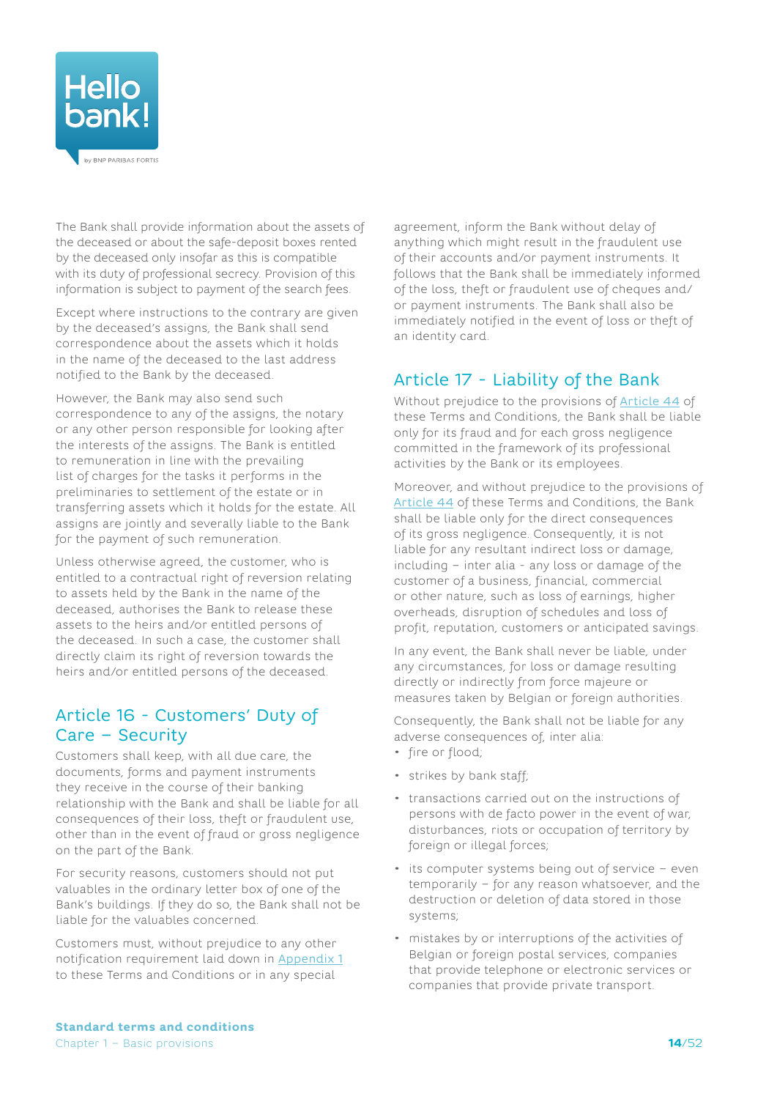<span id="page-13-0"></span>

The Bank shall provide information about the assets of the deceased or about the safe-deposit boxes rented by the deceased only insofar as this is compatible with its duty of professional secrecy. Provision of this information is subject to payment of the search fees.

Except where instructions to the contrary are given by the deceased's assigns, the Bank shall send correspondence about the assets which it holds in the name of the deceased to the last address notified to the Bank by the deceased.

However, the Bank may also send such correspondence to any of the assigns, the notary or any other person responsible for looking after the interests of the assigns. The Bank is entitled to remuneration in line with the prevailing list of charges for the tasks it performs in the preliminaries to settlement of the estate or in transferring assets which it holds for the estate. All assigns are jointly and severally liable to the Bank for the payment of such remuneration.

Unless otherwise agreed, the customer, who is entitled to a contractual right of reversion relating to assets held by the Bank in the name of the deceased, authorises the Bank to release these assets to the heirs and/or entitled persons of the deceased. In such a case, the customer shall directly claim its right of reversion towards the heirs and/or entitled persons of the deceased.

## Article 16 - Customers' Duty of Care – Security

Customers shall keep, with all due care, the documents, forms and payment instruments they receive in the course of their banking relationship with the Bank and shall be liable for all consequences of their loss, theft or fraudulent use, other than in the event of fraud or gross negligence on the part of the Bank.

For security reasons, customers should not put valuables in the ordinary letter box of one of the Bank's buildings. If they do so, the Bank shall not be liable for the valuables concerned.

Customers must, without prejudice to any other notification requirement laid down in [Appendix](#page-39-1) 1 to these Terms and Conditions or in any special

agreement, inform the Bank without delay of anything which might result in the fraudulent use of their accounts and/or payment instruments. It follows that the Bank shall be immediately informed of the loss, theft or fraudulent use of cheques and/ or payment instruments. The Bank shall also be immediately notified in the event of loss or theft of an identity card.

# <span id="page-13-1"></span>Article 17 - Liability of the Bank

Without prejudice to the provisions of [Article](#page-27-0) 44 of these Terms and Conditions, the Bank shall be liable only for its fraud and for each gross negligence committed in the framework of its professional activities by the Bank or its employees.

Moreover, and without prejudice to the provisions of [Article](#page-27-0) 44 of these Terms and Conditions, the Bank shall be liable only for the direct consequences of its gross negligence. Consequently, it is not liable for any resultant indirect loss or damage, including – inter alia - any loss or damage of the customer of a business, financial, commercial or other nature, such as loss of earnings, higher overheads, disruption of schedules and loss of profit, reputation, customers or anticipated savings.

In any event, the Bank shall never be liable, under any circumstances, for loss or damage resulting directly or indirectly from force majeure or measures taken by Belgian or foreign authorities.

Consequently, the Bank shall not be liable for any adverse consequences of, inter alia:

- fire or flood;
- strikes by bank staff;
- transactions carried out on the instructions of persons with de facto power in the event of war, disturbances, riots or occupation of territory by foreign or illegal forces;
- its computer systems being out of service even temporarily – for any reason whatsoever, and the destruction or deletion of data stored in those systems;
- mistakes by or interruptions of the activities of Belgian or foreign postal services, companies that provide telephone or electronic services or companies that provide private transport.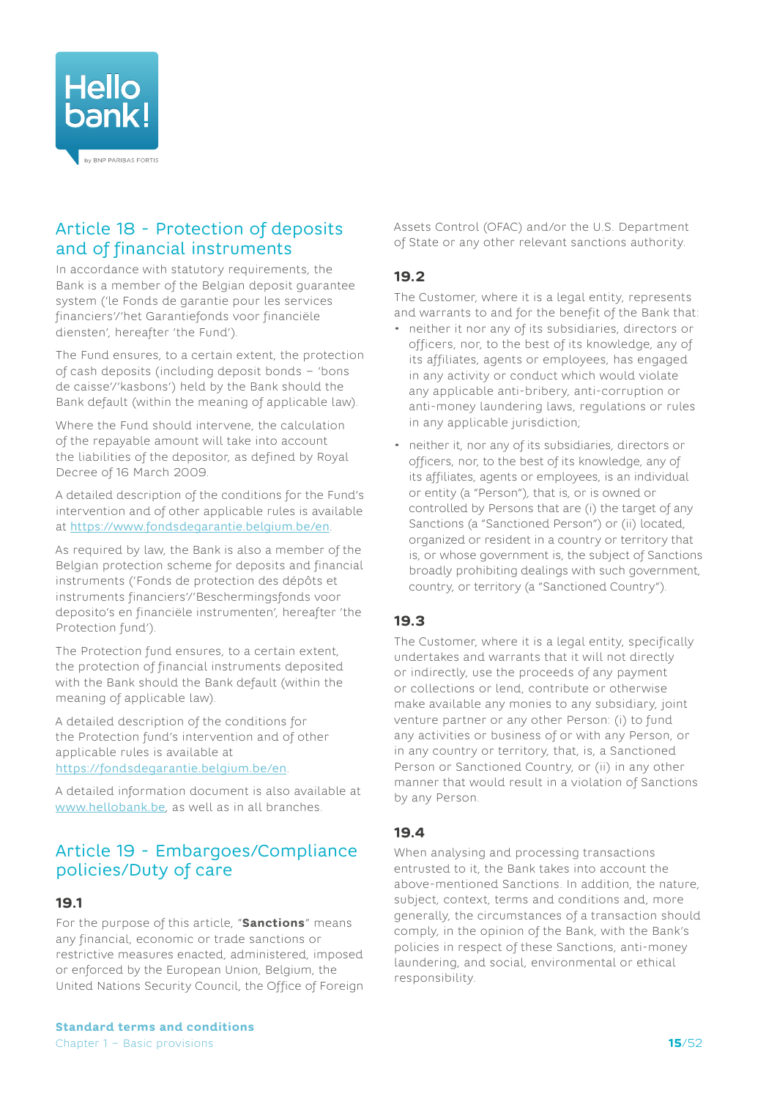<span id="page-14-0"></span>

## Article 18 - Protection of deposits and of financial instruments

In accordance with statutory requirements, the Bank is a member of the Belgian deposit guarantee system ('le Fonds de garantie pour les services financiers'/'het Garantiefonds voor financiële diensten', hereafter 'the Fund').

The Fund ensures, to a certain extent, the protection of cash deposits (including deposit bonds – 'bons de caisse'/'kasbons') held by the Bank should the Bank default (within the meaning of applicable law).

Where the Fund should intervene, the calculation of the repayable amount will take into account the liabilities of the depositor, as defined by Royal Decree of 16 March 2009.

A detailed description of the conditions for the Fund's intervention and of other applicable rules is available at <https://www.fondsdegarantie.belgium.be/en>.

As required by law, the Bank is also a member of the Belgian protection scheme for deposits and financial instruments ('Fonds de protection des dépôts et instruments financiers'/'Beschermingsfonds voor deposito's en financiële instrumenten', hereafter 'the Protection fund').

The Protection fund ensures, to a certain extent, the protection of financial instruments deposited with the Bank should the Bank default (within the meaning of applicable law).

A detailed description of the conditions for the Protection fund's intervention and of other applicable rules is available at <https://fondsdegarantie.belgium.be/en>.

A detailed information document is also available at [www.hellobank.be](http://www.hellobank.be), as well as in all branches.

## Article 19 - Embargoes/Compliance policies/Duty of care

## **19.1**

For the purpose of this article, "**Sanctions**" means any financial, economic or trade sanctions or restrictive measures enacted, administered, imposed or enforced by the European Union, Belgium, the United Nations Security Council, the Office of Foreign

**Standard terms and conditions** Chapter 1 – Basic provisions

Assets Control (OFAC) and/or the U.S. Department of State or any other relevant sanctions authority.

## **19.2**

The Customer, where it is a legal entity, represents and warrants to and for the benefit of the Bank that:

- neither it nor any of its subsidiaries, directors or officers, nor, to the best of its knowledge, any of its affiliates, agents or employees, has engaged in any activity or conduct which would violate any applicable anti-bribery, anti-corruption or anti-money laundering laws, regulations or rules in any applicable jurisdiction;
- neither it, nor any of its subsidiaries, directors or officers, nor, to the best of its knowledge, any of its affiliates, agents or employees, is an individual or entity (a "Person"), that is, or is owned or controlled by Persons that are (i) the target of any Sanctions (a "Sanctioned Person") or (ii) located, organized or resident in a country or territory that is, or whose government is, the subject of Sanctions broadly prohibiting dealings with such government, country, or territory (a "Sanctioned Country").

## **19.3**

The Customer, where it is a legal entity, specifically undertakes and warrants that it will not directly or indirectly, use the proceeds of any payment or collections or lend, contribute or otherwise make available any monies to any subsidiary, joint venture partner or any other Person: (i) to fund any activities or business of or with any Person, or in any country or territory, that, is, a Sanctioned Person or Sanctioned Country, or (ii) in any other manner that would result in a violation of Sanctions by any Person.

## **19.4**

When analysing and processing transactions entrusted to it, the Bank takes into account the above-mentioned Sanctions. In addition, the nature, subject, context, terms and conditions and, more generally, the circumstances of a transaction should comply, in the opinion of the Bank, with the Bank's policies in respect of these Sanctions, anti-money laundering, and social, environmental or ethical responsibility.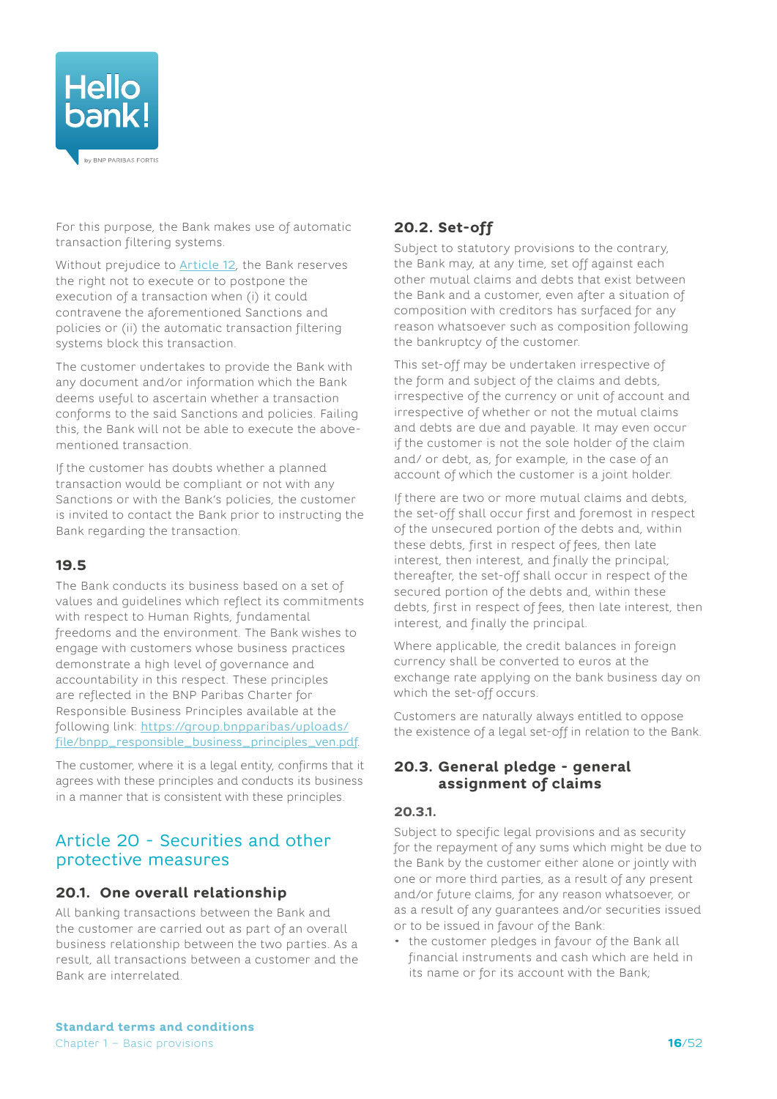<span id="page-15-0"></span>

For this purpose, the Bank makes use of automatic transaction filtering systems.

Without prejudice to [Article](#page-11-1) 12, the Bank reserves the right not to execute or to postpone the execution of a transaction when (i) it could contravene the aforementioned Sanctions and policies or (ii) the automatic transaction filtering systems block this transaction.

The customer undertakes to provide the Bank with any document and/or information which the Bank deems useful to ascertain whether a transaction conforms to the said Sanctions and policies. Failing this, the Bank will not be able to execute the abovementioned transaction.

If the customer has doubts whether a planned transaction would be compliant or not with any Sanctions or with the Bank's policies, the customer is invited to contact the Bank prior to instructing the Bank regarding the transaction.

#### **19.5**

The Bank conducts its business based on a set of values and guidelines which reflect its commitments with respect to Human Rights, fundamental freedoms and the environment. The Bank wishes to engage with customers whose business practices demonstrate a high level of governance and accountability in this respect. These principles are reflected in the BNP Paribas Charter for Responsible Business Principles available at the following link: [https://group.bnpparibas/uploads/](https://group.bnpparibas/uploads/file/bnpp_responsible_business_principles_ven.pdf) [file/bnpp\\_responsible\\_business\\_principles\\_ven.pdf](https://group.bnpparibas/uploads/file/bnpp_responsible_business_principles_ven.pdf).

The customer, where it is a legal entity, confirms that it agrees with these principles and conducts its business in a manner that is consistent with these principles.

## Article 20 - Securities and other protective measures

## **20.1. One overall relationship**

All banking transactions between the Bank and the customer are carried out as part of an overall business relationship between the two parties. As a result, all transactions between a customer and the Bank are interrelated.

# **20.2. Set-off**

Subject to statutory provisions to the contrary, the Bank may, at any time, set off against each other mutual claims and debts that exist between the Bank and a customer, even after a situation of composition with creditors has surfaced for any reason whatsoever such as composition following the bankruptcy of the customer.

This set-off may be undertaken irrespective of the form and subject of the claims and debts, irrespective of the currency or unit of account and irrespective of whether or not the mutual claims and debts are due and payable. It may even occur if the customer is not the sole holder of the claim and/ or debt, as, for example, in the case of an account of which the customer is a joint holder.

If there are two or more mutual claims and debts, the set-off shall occur first and foremost in respect of the unsecured portion of the debts and, within these debts, first in respect of fees, then late interest, then interest, and finally the principal; thereafter, the set-off shall occur in respect of the secured portion of the debts and, within these debts, first in respect of fees, then late interest, then interest, and finally the principal.

Where applicable, the credit balances in foreign currency shall be converted to euros at the exchange rate applying on the bank business day on which the set-off occurs.

Customers are naturally always entitled to oppose the existence of a legal set-off in relation to the Bank.

### **20.3. General pledge - general assignment of claims**

#### **20.3.1.**

Subject to specific legal provisions and as security for the repayment of any sums which might be due to the Bank by the customer either alone or jointly with one or more third parties, as a result of any present and/or future claims, for any reason whatsoever, or as a result of any guarantees and/or securities issued or to be issued in favour of the Bank:

• the customer pledges in favour of the Bank all financial instruments and cash which are held in its name or for its account with the Bank;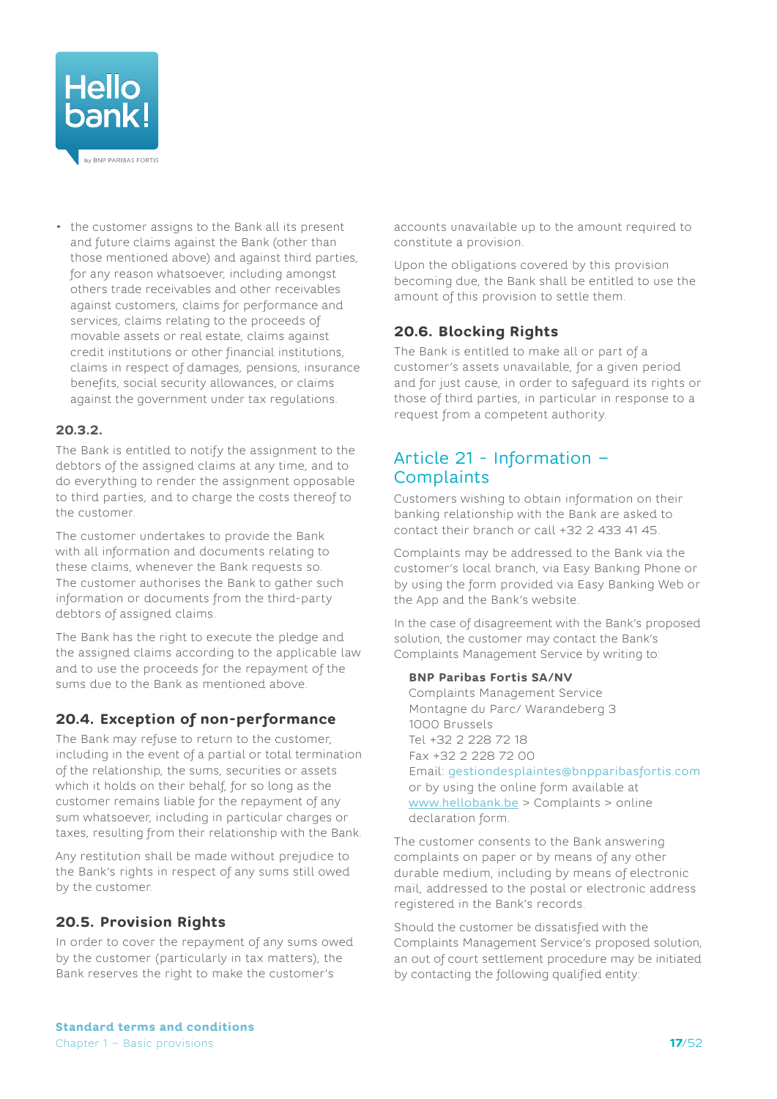<span id="page-16-0"></span>

• the customer assigns to the Bank all its present and future claims against the Bank (other than those mentioned above) and against third parties, for any reason whatsoever, including amongst others trade receivables and other receivables against customers, claims for performance and services, claims relating to the proceeds of movable assets or real estate, claims against credit institutions or other financial institutions, claims in respect of damages, pensions, insurance benefits, social security allowances, or claims against the government under tax regulations.

#### **20.3.2.**

The Bank is entitled to notify the assignment to the debtors of the assigned claims at any time, and to do everything to render the assignment opposable to third parties, and to charge the costs thereof to the customer.

The customer undertakes to provide the Bank with all information and documents relating to these claims, whenever the Bank requests so. The customer authorises the Bank to gather such information or documents from the third-party debtors of assigned claims.

The Bank has the right to execute the pledge and the assigned claims according to the applicable law and to use the proceeds for the repayment of the sums due to the Bank as mentioned above.

## **20.4. Exception of non-performance**

The Bank may refuse to return to the customer, including in the event of a partial or total termination of the relationship, the sums, securities or assets which it holds on their behalf, for so long as the customer remains liable for the repayment of any sum whatsoever, including in particular charges or taxes, resulting from their relationship with the Bank.

Any restitution shall be made without prejudice to the Bank's rights in respect of any sums still owed by the customer.

## **20.5. Provision Rights**

In order to cover the repayment of any sums owed by the customer (particularly in tax matters), the Bank reserves the right to make the customer's

accounts unavailable up to the amount required to constitute a provision.

Upon the obligations covered by this provision becoming due, the Bank shall be entitled to use the amount of this provision to settle them.

#### **20.6. Blocking Rights**

The Bank is entitled to make all or part of a customer's assets unavailable, for a given period and for just cause, in order to safeguard its rights or those of third parties, in particular in response to a request from a competent authority.

## Article 21 - Information – **Complaints**

Customers wishing to obtain information on their banking relationship with the Bank are asked to contact their branch or call +32 2 433 41 45.

Complaints may be addressed to the Bank via the customer's local branch, via Easy Banking Phone or by using the form provided via Easy Banking Web or the App and the Bank's website.

In the case of disagreement with the Bank's proposed solution, the customer may contact the Bank's Complaints Management Service by writing to:

#### **BNP Paribas Fortis SA/NV**

Complaints Management Service Montagne du Parc/ Warandeberg 3 1000 Brussels Tel +32 2 228 72 18 Fax +32 2 228 72 00 Email: [gestiondesplaintes@bnpparibasfortis.com](mailto:gestiondesplaintes%40bnpparibasfortis.com?subject=) or by using the online form available at [www.hellobank.be](http://www.hellobank.be) > Complaints > online declaration form.

The customer consents to the Bank answering complaints on paper or by means of any other durable medium, including by means of electronic mail, addressed to the postal or electronic address registered in the Bank's records.

Should the customer be dissatisfied with the Complaints Management Service's proposed solution, an out of court settlement procedure may be initiated by contacting the following qualified entity: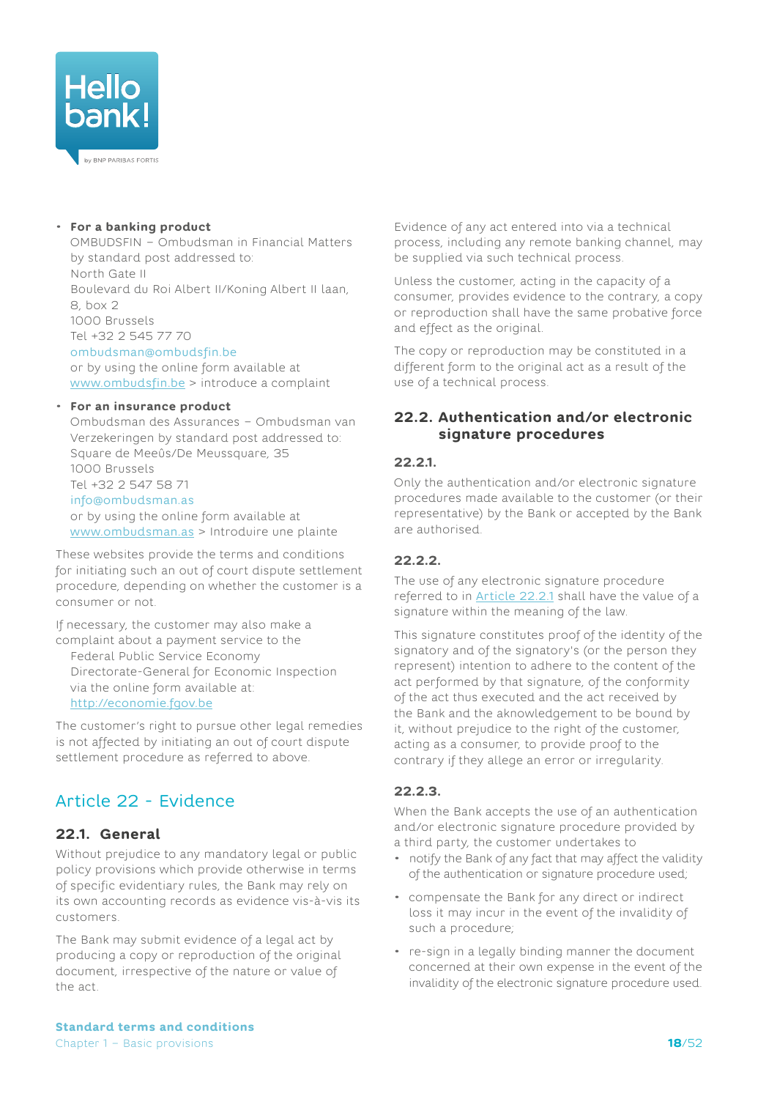<span id="page-17-0"></span>

#### • **For a banking product**

OMBUDSFIN – Ombudsman in Financial Matters by standard post addressed to: North Gate II Boulevard du Roi Albert II/Koning Albert II laan, 8, box 2 1000 Brussels Tel +32 2 545 77 70

#### [ombudsman@ombudsfin.be](mailto:ombudsman%40ombudsfin.be?subject=)

or by using the online form available at [www.ombudsfin.be](http://www.ombudsfin.be) > introduce a complaint

#### • **For an insurance product**

Ombudsman des Assurances – Ombudsman van Verzekeringen by standard post addressed to: Square de Meeûs/De Meussquare, 35 1000 Brussels Tel +32 2 547 58 71 [info@ombudsman.as](mailto:info%40ombudsman.as?subject=) or by using the online form available at [www.ombudsman.as](http://www.ombudsman.as) > Introduire une plainte

These websites provide the terms and conditions for initiating such an out of court dispute settlement procedure, depending on whether the customer is a consumer or not.

If necessary, the customer may also make a complaint about a payment service to the

Federal Public Service Economy Directorate-General for Economic Inspection via the online form available at: <http://economie.fgov.be>

The customer's right to pursue other legal remedies is not affected by initiating an out of court dispute settlement procedure as referred to above.

# Article 22 - Evidence

## <span id="page-17-1"></span>**22.1. General**

Without prejudice to any mandatory legal or public policy provisions which provide otherwise in terms of specific evidentiary rules, the Bank may rely on its own accounting records as evidence vis-à-vis its customers.

The Bank may submit evidence of a legal act by producing a copy or reproduction of the original document, irrespective of the nature or value of the act.

Evidence of any act entered into via a technical process, including any remote banking channel, may be supplied via such technical process.

Unless the customer, acting in the capacity of a consumer, provides evidence to the contrary, a copy or reproduction shall have the same probative force and effect as the original.

The copy or reproduction may be constituted in a different form to the original act as a result of the use of a technical process.

### <span id="page-17-4"></span>**22.2. Authentication and/or electronic signature procedures**

#### <span id="page-17-2"></span>**22.2.1.**

Only the authentication and/or electronic signature procedures made available to the customer (or their representative) by the Bank or accepted by the Bank are authorised.

#### **22.2.2.**

The use of any electronic signature procedure referred to in [Article](#page-17-2) 22.2.1 shall have the value of a signature within the meaning of the law.

This signature constitutes proof of the identity of the signatory and of the signatory's (or the person they represent) intention to adhere to the content of the act performed by that signature, of the conformity of the act thus executed and the act received by the Bank and the aknowledgement to be bound by it, without prejudice to the right of the customer, acting as a consumer, to provide proof to the contrary if they allege an error or irregularity.

## <span id="page-17-3"></span>**22.2.3.**

When the Bank accepts the use of an authentication and/or electronic signature procedure provided by a third party, the customer undertakes to

- notify the Bank of any fact that may affect the validity of the authentication or signature procedure used;
- compensate the Bank for any direct or indirect loss it may incur in the event of the invalidity of such a procedure;
- re-sign in a legally binding manner the document concerned at their own expense in the event of the invalidity of the electronic signature procedure used.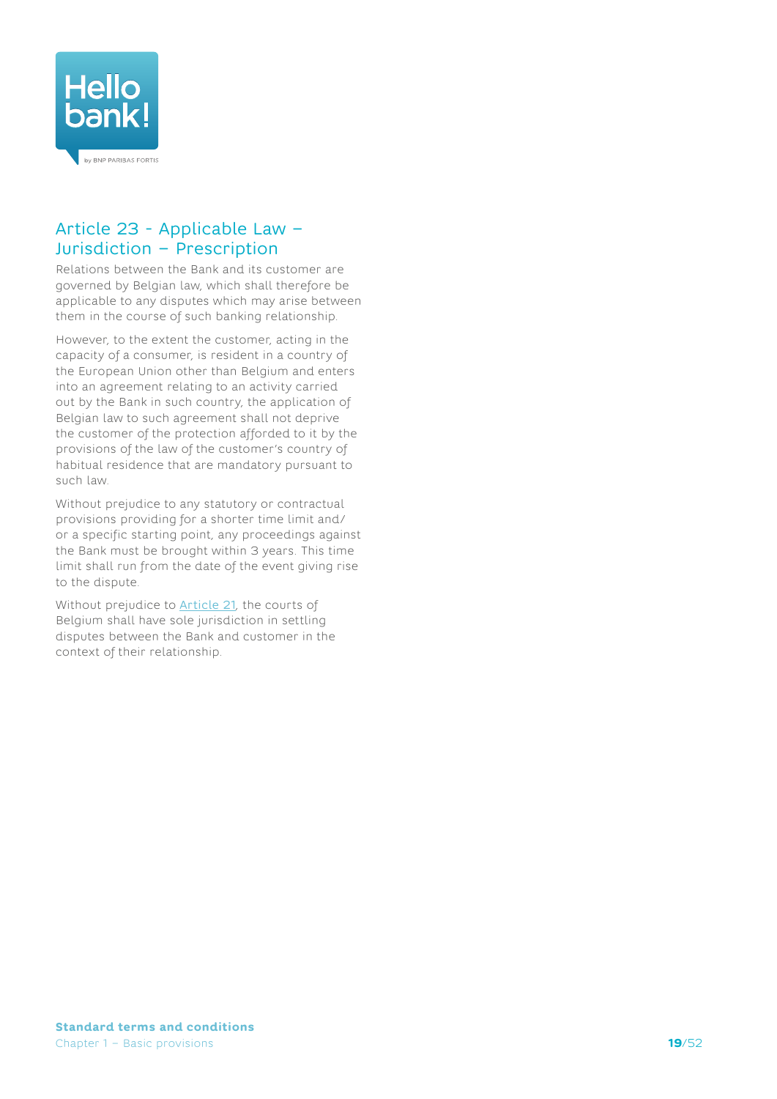<span id="page-18-0"></span>

## Article 23 - Applicable Law – Jurisdiction – Prescription

Relations between the Bank and its customer are governed by Belgian law, which shall therefore be applicable to any disputes which may arise between them in the course of such banking relationship.

However, to the extent the customer, acting in the capacity of a consumer, is resident in a country of the European Union other than Belgium and enters into an agreement relating to an activity carried out by the Bank in such country, the application of Belgian law to such agreement shall not deprive the customer of the protection afforded to it by the provisions of the law of the customer's country of habitual residence that are mandatory pursuant to such law.

Without prejudice to any statutory or contractual provisions providing for a shorter time limit and/ or a specific starting point, any proceedings against the Bank must be brought within 3 years. This time limit shall run from the date of the event giving rise to the dispute.

Without prejudice to **Article 21**, the courts of Belgium shall have sole jurisdiction in settling disputes between the Bank and customer in the context of their relationship.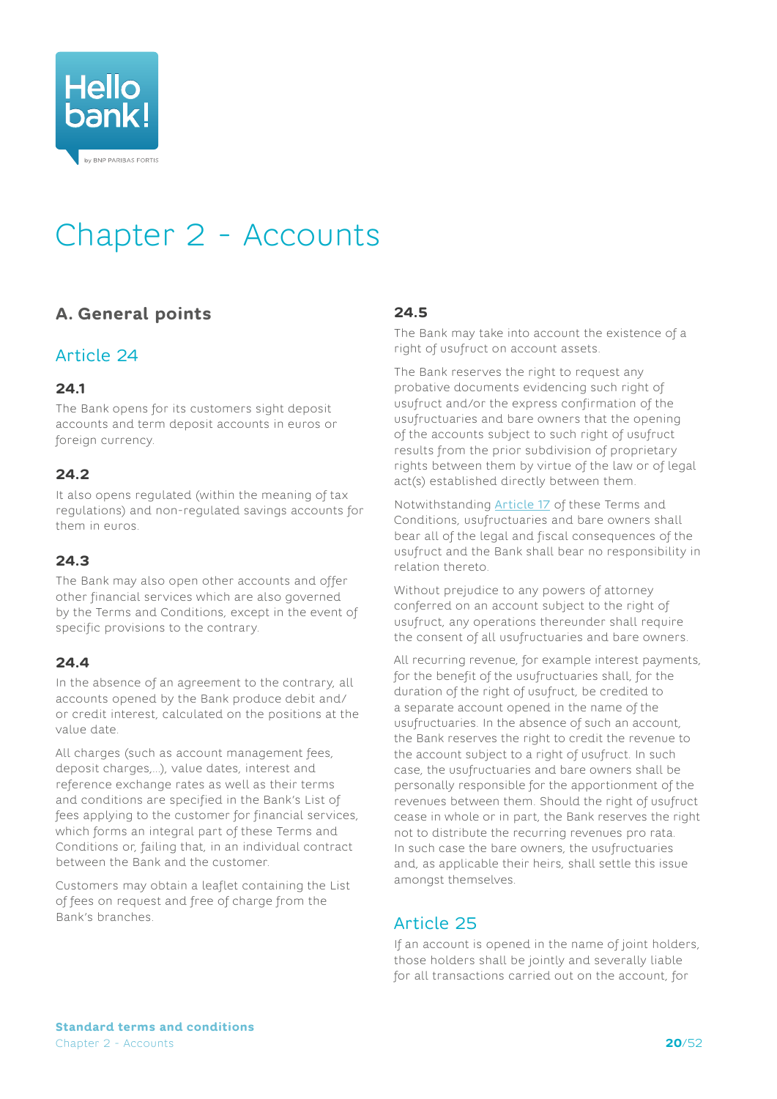<span id="page-19-0"></span>

# <span id="page-19-2"></span>Chapter 2 - Accounts

# **A. General points**

## Article 24

## **24.1**

The Bank opens for its customers sight deposit accounts and term deposit accounts in euros or foreign currency.

### **24.2**

It also opens regulated (within the meaning of tax regulations) and non-regulated savings accounts for them in euros.

## **24.3**

The Bank may also open other accounts and offer other financial services which are also governed by the Terms and Conditions, except in the event of specific provisions to the contrary.

## **24.4**

In the absence of an agreement to the contrary, all accounts opened by the Bank produce debit and/ or credit interest, calculated on the positions at the value date.

All charges (such as account management fees, deposit charges,...), value dates, interest and reference exchange rates as well as their terms and conditions are specified in the Bank's List of fees applying to the customer for financial services, which forms an integral part of these Terms and Conditions or, failing that, in an individual contract between the Bank and the customer.

Customers may obtain a leaflet containing the List of fees on request and free of charge from the Bank's branches.

### **24.5**

<span id="page-19-1"></span>The Bank may take into account the existence of a right of usufruct on account assets.

The Bank reserves the right to request any probative documents evidencing such right of usufruct and/or the express confirmation of the usufructuaries and bare owners that the opening of the accounts subject to such right of usufruct results from the prior subdivision of proprietary rights between them by virtue of the law or of legal act(s) established directly between them.

Notwithstanding [Article 17](#page-13-1) of these Terms and Conditions, usufructuaries and bare owners shall bear all of the legal and fiscal consequences of the usufruct and the Bank shall bear no responsibility in relation thereto.

Without prejudice to any powers of attorney conferred on an account subject to the right of usufruct, any operations thereunder shall require the consent of all usufructuaries and bare owners.

All recurring revenue, for example interest payments, for the benefit of the usufructuaries shall, for the duration of the right of usufruct, be credited to a separate account opened in the name of the usufructuaries. In the absence of such an account, the Bank reserves the right to credit the revenue to the account subject to a right of usufruct. In such case, the usufructuaries and bare owners shall be personally responsible for the apportionment of the revenues between them. Should the right of usufruct cease in whole or in part, the Bank reserves the right not to distribute the recurring revenues pro rata. In such case the bare owners, the usufructuaries and, as applicable their heirs, shall settle this issue amongst themselves.

## Article 25

If an account is opened in the name of joint holders, those holders shall be jointly and severally liable for all transactions carried out on the account, for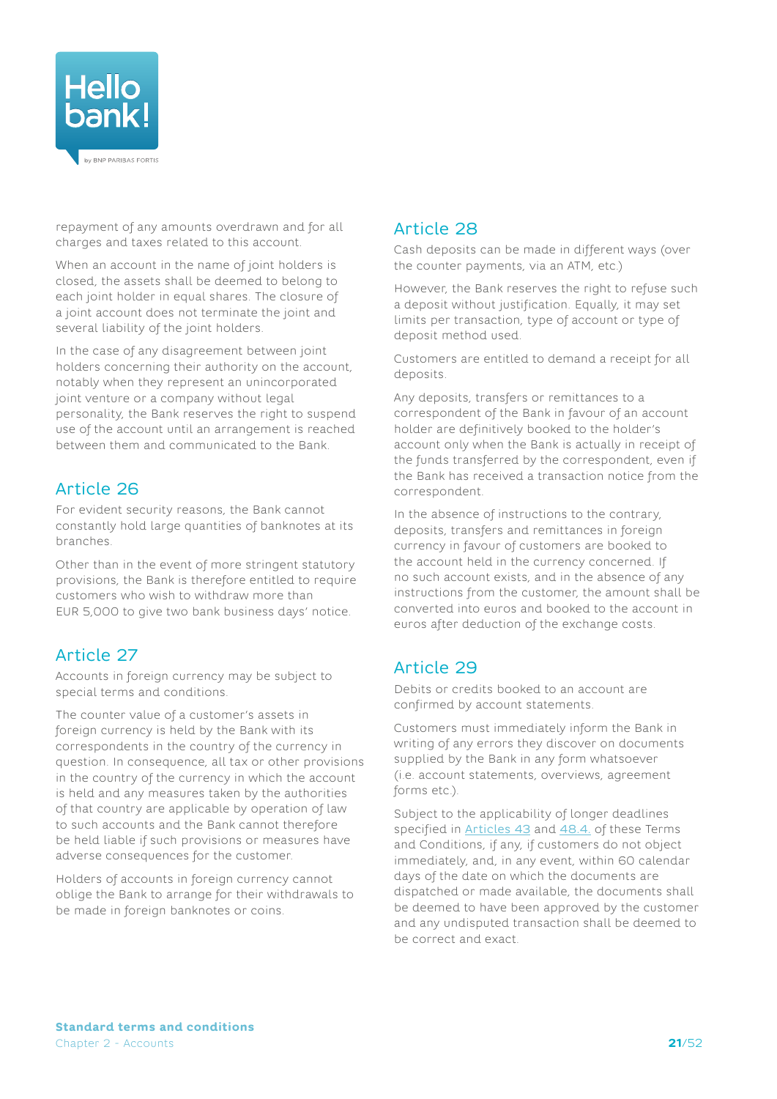

repayment of any amounts overdrawn and for all charges and taxes related to this account.

When an account in the name of joint holders is closed, the assets shall be deemed to belong to each joint holder in equal shares. The closure of a joint account does not terminate the joint and several liability of the joint holders.

In the case of any disagreement between joint holders concerning their authority on the account, notably when they represent an unincorporated joint venture or a company without legal personality, the Bank reserves the right to suspend use of the account until an arrangement is reached between them and communicated to the Bank.

# Article 26

For evident security reasons, the Bank cannot constantly hold large quantities of banknotes at its branches.

Other than in the event of more stringent statutory provisions, the Bank is therefore entitled to require customers who wish to withdraw more than EUR 5,000 to give two bank business days' notice.

# Article 27

Accounts in foreign currency may be subject to special terms and conditions.

The counter value of a customer's assets in foreign currency is held by the Bank with its correspondents in the country of the currency in question. In consequence, all tax or other provisions in the country of the currency in which the account is held and any measures taken by the authorities of that country are applicable by operation of law to such accounts and the Bank cannot therefore be held liable if such provisions or measures have adverse consequences for the customer.

Holders of accounts in foreign currency cannot oblige the Bank to arrange for their withdrawals to be made in foreign banknotes or coins.

## Article 28

Cash deposits can be made in different ways (over the counter payments, via an ATM, etc.)

However, the Bank reserves the right to refuse such a deposit without justification. Equally, it may set limits per transaction, type of account or type of deposit method used.

Customers are entitled to demand a receipt for all deposits.

Any deposits, transfers or remittances to a correspondent of the Bank in favour of an account holder are definitively booked to the holder's account only when the Bank is actually in receipt of the funds transferred by the correspondent, even if the Bank has received a transaction notice from the correspondent.

<span id="page-20-0"></span>In the absence of instructions to the contrary, deposits, transfers and remittances in foreign currency in favour of customers are booked to the account held in the currency concerned. If no such account exists, and in the absence of any instructions from the customer, the amount shall be converted into euros and booked to the account in euros after deduction of the exchange costs.

## <span id="page-20-1"></span>Article 29

Debits or credits booked to an account are confirmed by account statements.

Customers must immediately inform the Bank in writing of any errors they discover on documents supplied by the Bank in any form whatsoever (i.e. account statements, overviews, agreement forms etc.).

Subject to the applicability of longer deadlines specified in **[Articles 43](#page-27-1)** and [48.4](#page-30-1). of these Terms and Conditions, if any, if customers do not object immediately, and, in any event, within 60 calendar days of the date on which the documents are dispatched or made available, the documents shall be deemed to have been approved by the customer and any undisputed transaction shall be deemed to be correct and exact.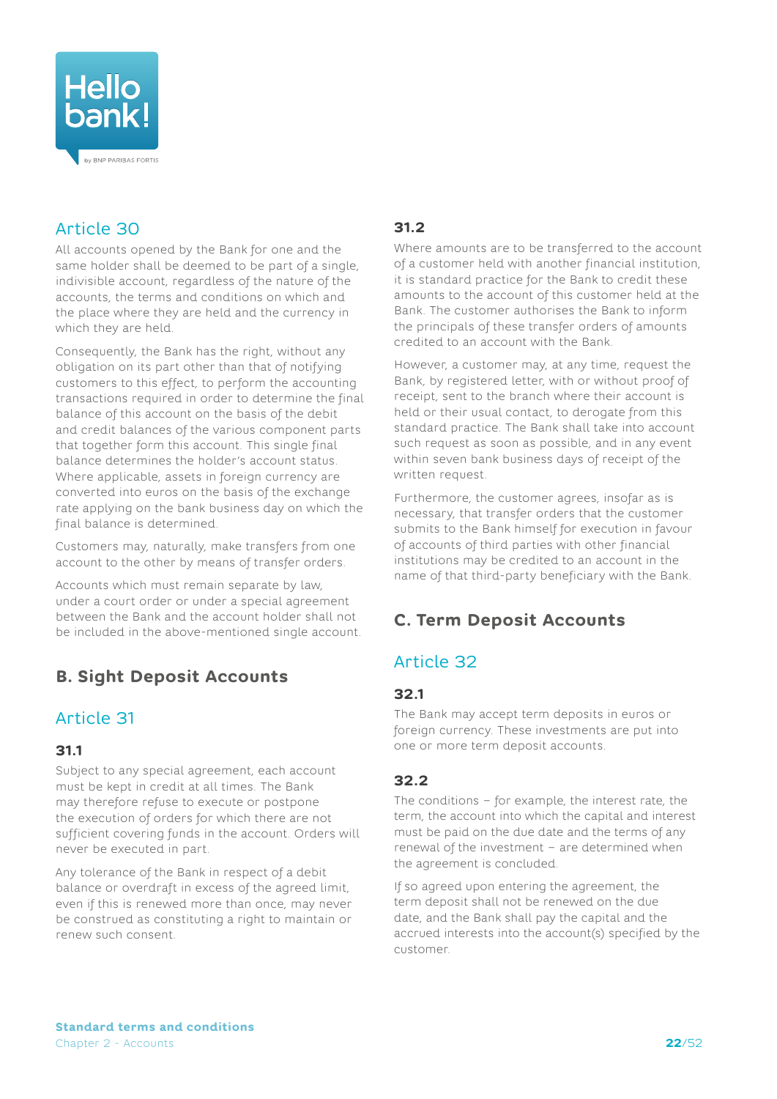<span id="page-21-0"></span>

# Article 30

All accounts opened by the Bank for one and the same holder shall be deemed to be part of a single, indivisible account, regardless of the nature of the accounts, the terms and conditions on which and the place where they are held and the currency in which they are held.

Consequently, the Bank has the right, without any obligation on its part other than that of notifying customers to this effect, to perform the accounting transactions required in order to determine the final balance of this account on the basis of the debit and credit balances of the various component parts that together form this account. This single final balance determines the holder's account status. Where applicable, assets in foreign currency are converted into euros on the basis of the exchange rate applying on the bank business day on which the final balance is determined.

Customers may, naturally, make transfers from one account to the other by means of transfer orders.

Accounts which must remain separate by law, under a court order or under a special agreement between the Bank and the account holder shall not be included in the above-mentioned single account.

# **B. Sight Deposit Accounts**

# Article 31

## **31.1**

Subject to any special agreement, each account must be kept in credit at all times. The Bank may therefore refuse to execute or postpone the execution of orders for which there are not sufficient covering funds in the account. Orders will never be executed in part.

Any tolerance of the Bank in respect of a debit balance or overdraft in excess of the agreed limit, even if this is renewed more than once, may never be construed as constituting a right to maintain or renew such consent.

## **31.2**

Where amounts are to be transferred to the account of a customer held with another financial institution, it is standard practice for the Bank to credit these amounts to the account of this customer held at the Bank. The customer authorises the Bank to inform the principals of these transfer orders of amounts credited to an account with the Bank.

However, a customer may, at any time, request the Bank, by registered letter, with or without proof of receipt, sent to the branch where their account is held or their usual contact, to derogate from this standard practice. The Bank shall take into account such request as soon as possible, and in any event within seven bank business days of receipt of the written request.

Furthermore, the customer agrees, insofar as is necessary, that transfer orders that the customer submits to the Bank himself for execution in favour of accounts of third parties with other financial institutions may be credited to an account in the name of that third-party beneficiary with the Bank.

# **C. Term Deposit Accounts**

# Article 32

## **32.1**

The Bank may accept term deposits in euros or foreign currency. These investments are put into one or more term deposit accounts.

## **32.2**

The conditions – for example, the interest rate, the term, the account into which the capital and interest must be paid on the due date and the terms of any renewal of the investment – are determined when the agreement is concluded.

If so agreed upon entering the agreement, the term deposit shall not be renewed on the due date, and the Bank shall pay the capital and the accrued interests into the account(s) specified by the customer.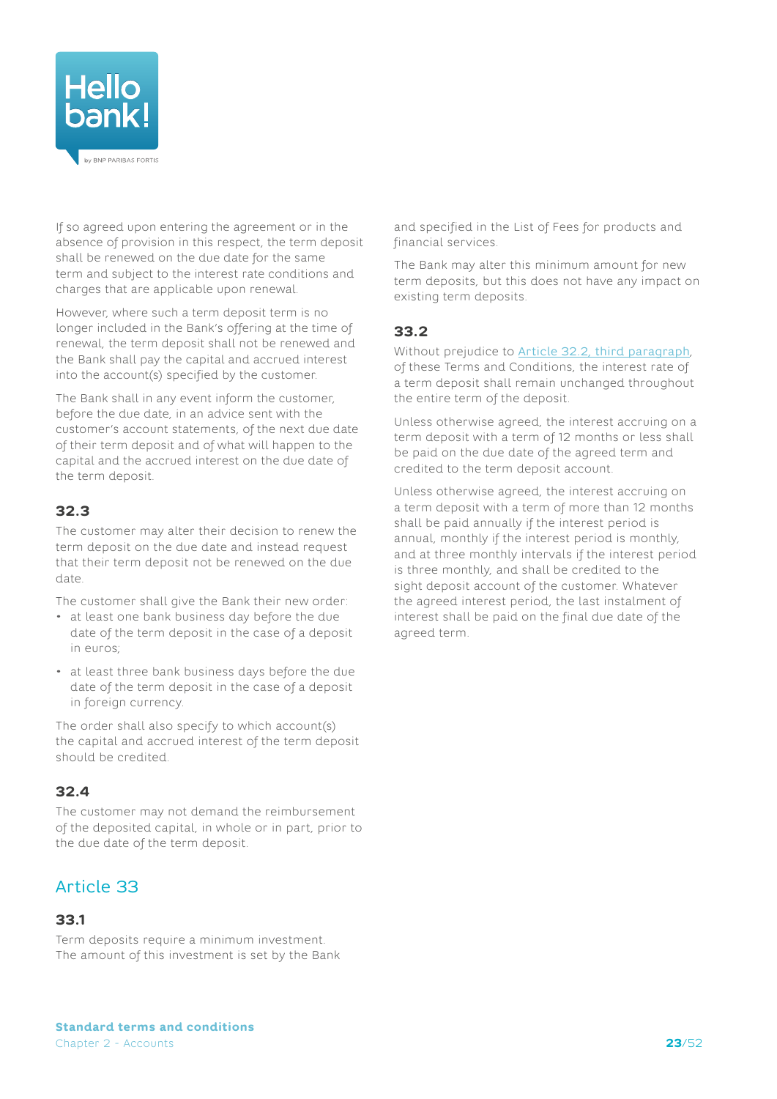

<span id="page-22-0"></span>If so agreed upon entering the agreement or in the absence of provision in this respect, the term deposit shall be renewed on the due date for the same term and subject to the interest rate conditions and charges that are applicable upon renewal.

However, where such a term deposit term is no longer included in the Bank's offering at the time of renewal, the term deposit shall not be renewed and the Bank shall pay the capital and accrued interest into the account(s) specified by the customer.

The Bank shall in any event inform the customer, before the due date, in an advice sent with the customer's account statements, of the next due date of their term deposit and of what will happen to the capital and the accrued interest on the due date of the term deposit.

## **32.3**

The customer may alter their decision to renew the term deposit on the due date and instead request that their term deposit not be renewed on the due date.

The customer shall give the Bank their new order:

- at least one bank business day before the due date of the term deposit in the case of a deposit in euros;
- at least three bank business days before the due date of the term deposit in the case of a deposit in foreign currency.

The order shall also specify to which account(s) the capital and accrued interest of the term deposit should be credited.

## **32.4**

The customer may not demand the reimbursement of the deposited capital, in whole or in part, prior to the due date of the term deposit.

# Article 33

## **33.1**

Term deposits require a minimum investment. The amount of this investment is set by the Bank

and specified in the List of Fees for products and financial services.

The Bank may alter this minimum amount for new term deposits, but this does not have any impact on existing term deposits.

## **33.2**

Without prejudice to **[Article 32.2, third paragraph](#page-22-0)**, of these Terms and Conditions, the interest rate of a term deposit shall remain unchanged throughout the entire term of the deposit.

Unless otherwise agreed, the interest accruing on a term deposit with a term of 12 months or less shall be paid on the due date of the agreed term and credited to the term deposit account.

Unless otherwise agreed, the interest accruing on a term deposit with a term of more than 12 months shall be paid annually if the interest period is annual, monthly if the interest period is monthly, and at three monthly intervals if the interest period is three monthly, and shall be credited to the sight deposit account of the customer. Whatever the agreed interest period, the last instalment of interest shall be paid on the final due date of the agreed term.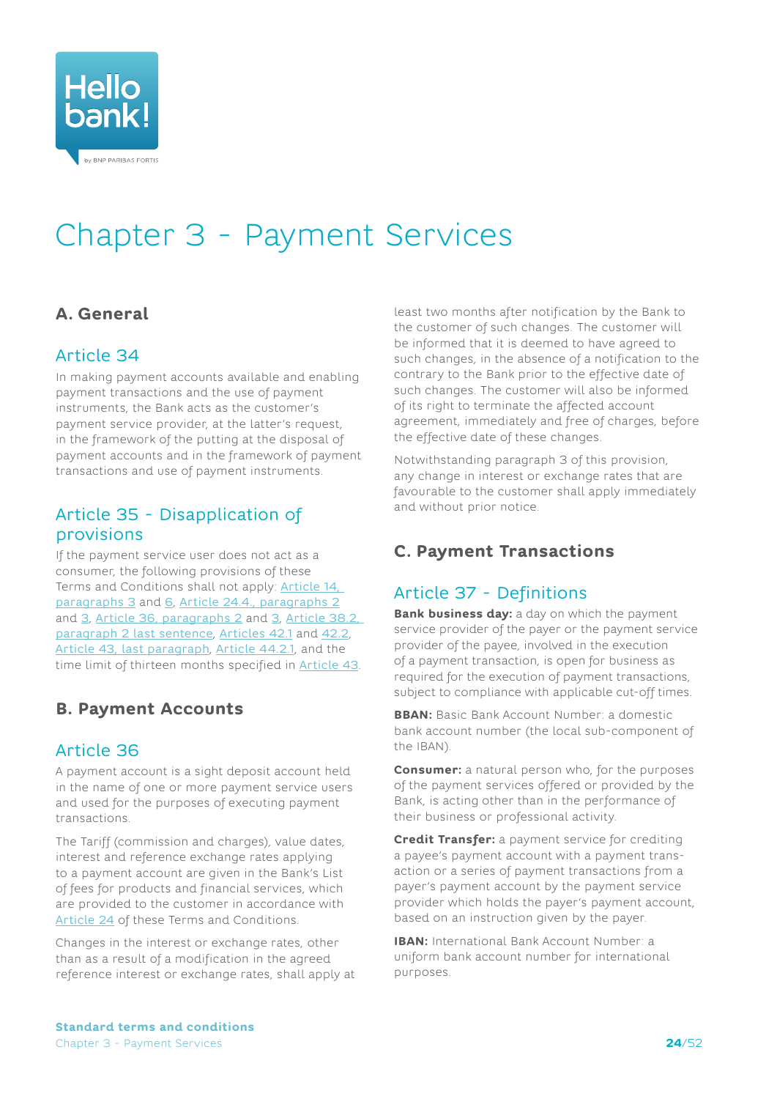<span id="page-23-0"></span>

# Chapter 3 - Payment Services

# **A. General**

## Article 34

In making payment accounts available and enabling payment transactions and the use of payment instruments, the Bank acts as the customer's payment service provider, at the latter's request, in the framework of the putting at the disposal of payment accounts and in the framework of payment transactions and use of payment instruments.

## Article 35 - Disapplication of provisions

If the payment service user does not act as a consumer, the following provisions of these Terms and Conditions shall not apply: Article 14, paragraphs 3 and 6, Article 24.4., paragraphs 2 and 3, Article [36, paragraphs 2](#page-23-2) and [3](#page-23-3), [Article](#page-25-0) 38.2, paragraph [2 last sentence](#page-25-0), [Articles 42.1](#page-26-0) and [42.2](#page-27-2), [Article 43, last paragraph](#page-27-3), [Article 44.2.1](#page-28-0), and the time limit of thirteen months specified in [Article](#page-27-1) 43.

# **B. Payment Accounts**

## Article 36

A payment account is a sight deposit account held in the name of one or more payment service users and used for the purposes of executing payment transactions.

<span id="page-23-2"></span>The Tariff (commission and charges), value dates, interest and reference exchange rates applying to a payment account are given in the Bank's List of fees for products and financial services, which are provided to the customer in accordance with [Article](#page-19-1) 24 of these Terms and Conditions.

<span id="page-23-3"></span>Changes in the interest or exchange rates, other than as a result of a modification in the agreed reference interest or exchange rates, shall apply at least two months after notification by the Bank to the customer of such changes. The customer will be informed that it is deemed to have agreed to such changes, in the absence of a notification to the contrary to the Bank prior to the effective date of such changes. The customer will also be informed of its right to terminate the affected account agreement, immediately and free of charges, before the effective date of these changes.

Notwithstanding paragraph 3 of this provision, any change in interest or exchange rates that are favourable to the customer shall apply immediately and without prior notice.

# **C. Payment Transactions**

# Article 37 - Definitions

**Bank business day:** a day on which the payment service provider of the payer or the payment service provider of the payee, involved in the execution of a payment transaction, is open for business as required for the execution of payment transactions, subject to compliance with applicable cut-off times.

**BBAN:** Basic Bank Account Number: a domestic bank account number (the local sub-component of the IBAN).

<span id="page-23-1"></span>**Consumer:** a natural person who, for the purposes of the payment services offered or provided by the Bank, is acting other than in the performance of their business or professional activity.

**Credit Transfer:** a payment service for crediting a payee's payment account with a payment transaction or a series of payment transactions from a payer's payment account by the payment service provider which holds the payer's payment account, based on an instruction given by the payer.

**IBAN:** International Bank Account Number: a uniform bank account number for international purposes.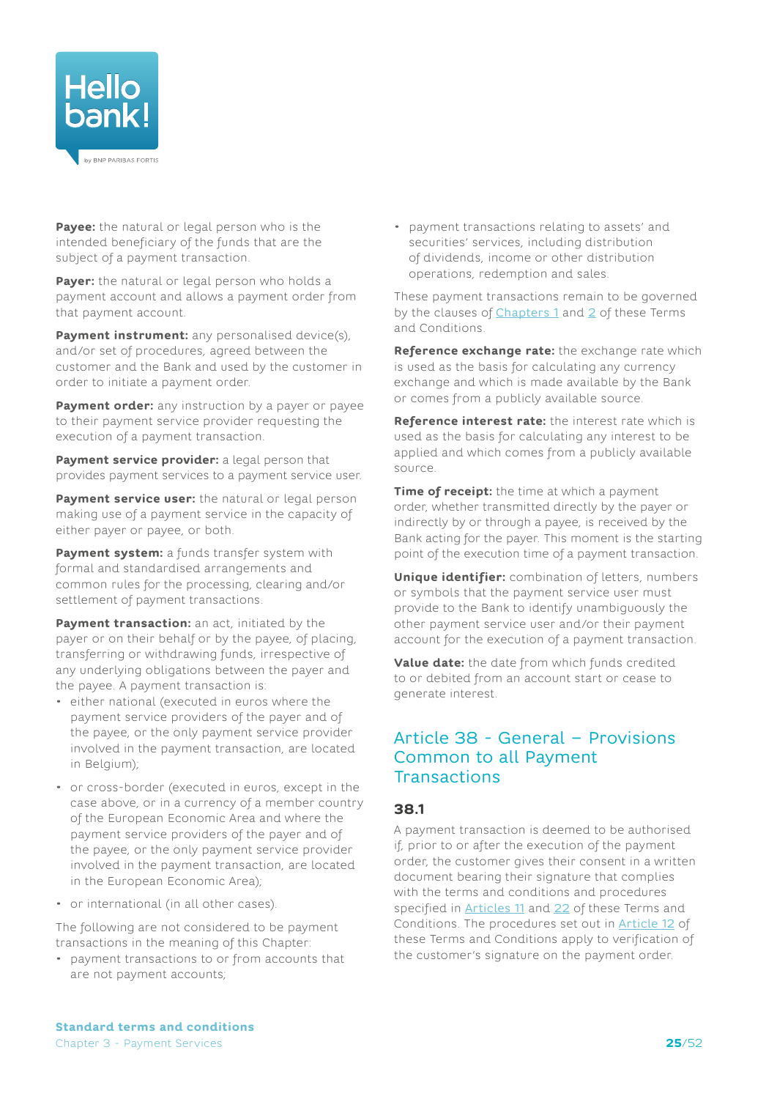

**Payee:** the natural or legal person who is the intended beneficiary of the funds that are the subject of a payment transaction.

**Payer:** the natural or legal person who holds a payment account and allows a payment order from that payment account.

**Payment instrument:** any personalised device(s), and/or set of procedures, agreed between the customer and the Bank and used by the customer in order to initiate a payment order.

**Payment order:** any instruction by a payer or payee to their payment service provider requesting the execution of a payment transaction.

**Payment service provider:** a legal person that provides payment services to a payment service user.

**Payment service user:** the natural or legal person making use of a payment service in the capacity of either payer or payee, or both.

**Payment system:** a funds transfer system with formal and standardised arrangements and common rules for the processing, clearing and/or settlement of payment transactions.

**Payment transaction:** an act, initiated by the payer or on their behalf or by the payee, of placing, transferring or withdrawing funds, irrespective of any underlying obligations between the payer and the payee. A payment transaction is:

- either national (executed in euros where the payment service providers of the payer and of the payee, or the only payment service provider involved in the payment transaction, are located in Belgium);
- or cross-border (executed in euros, except in the case above, or in a currency of a member country of the European Economic Area and where the payment service providers of the payer and of the payee, or the only payment service provider involved in the payment transaction, are located in the European Economic Area);
- or international (in all other cases).

The following are not considered to be payment transactions in the meaning of this Chapter:

• payment transactions to or from accounts that are not payment accounts;

• payment transactions relating to assets' and securities' services, including distribution of dividends, income or other distribution operations, redemption and sales.

These payment transactions remain to be governed by the clauses of  $Chapters 1$  and  $2$  of these Terms and Conditions.

**Reference exchange rate:** the exchange rate which is used as the basis for calculating any currency exchange and which is made available by the Bank or comes from a publicly available source.

**Reference interest rate:** the interest rate which is used as the basis for calculating any interest to be applied and which comes from a publicly available source.

**Time of receipt:** the time at which a payment order, whether transmitted directly by the payer or indirectly by or through a payee, is received by the Bank acting for the payer. This moment is the starting point of the execution time of a payment transaction.

**Unique identifier:** combination of letters, numbers or symbols that the payment service user must provide to the Bank to identify unambiguously the other payment service user and/or their payment account for the execution of a payment transaction.

**Value date:** the date from which funds credited to or debited from an account start or cease to generate interest.

## Article 38 - General – Provisions Common to all Payment **Transactions**

#### **38.1**

A payment transaction is deemed to be authorised if, prior to or after the execution of the payment order, the customer gives their consent in a written document bearing their signature that complies with the terms and conditions and procedures specified in [Articles](#page-10-1) 11 and [22](#page-17-3) of these Terms and Conditions. The procedures set out in [Article](#page-11-1) 12 of these Terms and Conditions apply to verification of the customer's signature on the payment order.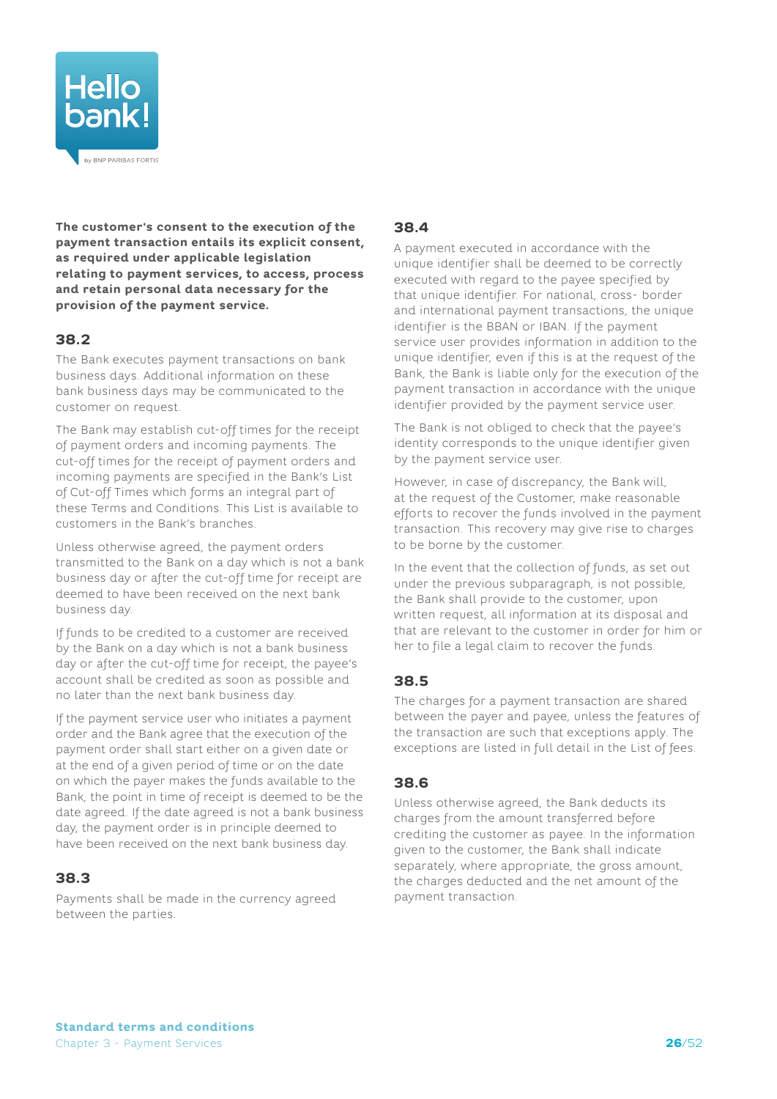

**The customer's consent to the execution of the payment transaction entails its explicit consent, as required under applicable legislation relating to payment services, to access, process and retain personal data necessary for the provision of the payment service.**

## **38.2**

The Bank executes payment transactions on bank business days. Additional information on these bank business days may be communicated to the customer on request.

<span id="page-25-0"></span>The Bank may establish cut-off times for the receipt of payment orders and incoming payments. The cut-off times for the receipt of payment orders and incoming payments are specified in the Bank's List of Cut-off Times which forms an integral part of these Terms and Conditions. This List is available to customers in the Bank's branches.

Unless otherwise agreed, the payment orders transmitted to the Bank on a day which is not a bank business day or after the cut-off time for receipt are deemed to have been received on the next bank business day.

If funds to be credited to a customer are received by the Bank on a day which is not a bank business day or after the cut-off time for receipt, the payee's account shall be credited as soon as possible and no later than the next bank business day.

If the payment service user who initiates a payment order and the Bank agree that the execution of the payment order shall start either on a given date or at the end of a given period of time or on the date on which the payer makes the funds available to the Bank, the point in time of receipt is deemed to be the date agreed. If the date agreed is not a bank business day, the payment order is in principle deemed to have been received on the next bank business day.

## **38.3**

Payments shall be made in the currency agreed between the parties.

## **38.4**

A payment executed in accordance with the unique identifier shall be deemed to be correctly executed with regard to the payee specified by that unique identifier. For national, cross- border and international payment transactions, the unique identifier is the BBAN or IBAN. If the payment service user provides information in addition to the unique identifier, even if this is at the request of the Bank, the Bank is liable only for the execution of the payment transaction in accordance with the unique identifier provided by the payment service user.

The Bank is not obliged to check that the payee's identity corresponds to the unique identifier given by the payment service user.

However, in case of discrepancy, the Bank will, at the request of the Customer, make reasonable efforts to recover the funds involved in the payment transaction. This recovery may give rise to charges to be borne by the customer.

In the event that the collection of funds, as set out under the previous subparagraph, is not possible, the Bank shall provide to the customer, upon written request, all information at its disposal and that are relevant to the customer in order for him or her to file a legal claim to recover the funds.

## **38.5**

The charges for a payment transaction are shared between the payer and payee, unless the features of the transaction are such that exceptions apply. The exceptions are listed in full detail in the List of fees.

#### **38.6**

Unless otherwise agreed, the Bank deducts its charges from the amount transferred before crediting the customer as payee. In the information given to the customer, the Bank shall indicate separately, where appropriate, the gross amount, the charges deducted and the net amount of the payment transaction.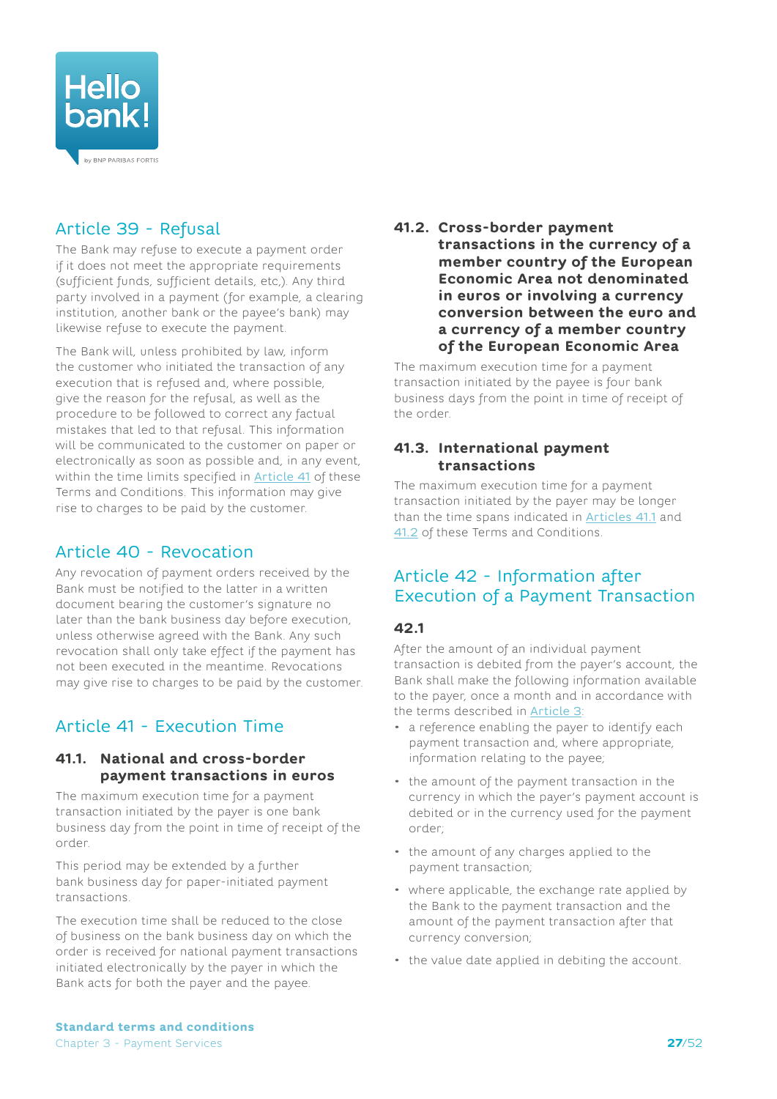

# Article 39 - Refusal

The Bank may refuse to execute a payment order if it does not meet the appropriate requirements (sufficient funds, sufficient details, etc,). Any third party involved in a payment (for example, a clearing institution, another bank or the payee's bank) may likewise refuse to execute the payment.

The Bank will, unless prohibited by law, inform the customer who initiated the transaction of any execution that is refused and, where possible, give the reason for the refusal, as well as the procedure to be followed to correct any factual mistakes that led to that refusal. This information will be communicated to the customer on paper or electronically as soon as possible and, in any event, within the time limits specified in [Article 41](#page-26-1) of these Terms and Conditions. This information may give rise to charges to be paid by the customer.

## Article 40 - Revocation

Any revocation of payment orders received by the Bank must be notified to the latter in a written document bearing the customer's signature no later than the bank business day before execution, unless otherwise agreed with the Bank. Any such revocation shall only take effect if the payment has not been executed in the meantime. Revocations may give rise to charges to be paid by the customer.

# <span id="page-26-1"></span>Article 41 - Execution Time

#### <span id="page-26-2"></span>**41.1. National and cross-border payment transactions in euros**

The maximum execution time for a payment transaction initiated by the payer is one bank business day from the point in time of receipt of the order.

This period may be extended by a further bank business day for paper-initiated payment transactions.

The execution time shall be reduced to the close of business on the bank business day on which the order is received for national payment transactions initiated electronically by the payer in which the Bank acts for both the payer and the payee.

#### <span id="page-26-3"></span>**41.2. Cross-border payment transactions in the currency of a member country of the European Economic Area not denominated in euros or involving a currency conversion between the euro and a currency of a member country of the European Economic Area**

The maximum execution time for a payment transaction initiated by the payee is four bank business days from the point in time of receipt of the order.

#### **41.3. International payment transactions**

The maximum execution time for a payment transaction initiated by the payer may be longer than the time spans indicated in **[Articles 41.1](#page-26-2)** and [41.2](#page-26-3) of these Terms and Conditions.

## <span id="page-26-4"></span>Article 42 - Information after Execution of a Payment Transaction

#### <span id="page-26-0"></span>**42.1**

After the amount of an individual payment transaction is debited from the payer's account, the Bank shall make the following information available to the payer, once a month and in accordance with the terms described in [Article 3](#page-4-2):

- a reference enabling the payer to identify each payment transaction and, where appropriate, information relating to the payee;
- the amount of the payment transaction in the currency in which the payer's payment account is debited or in the currency used for the payment order;
- the amount of any charges applied to the payment transaction;
- where applicable, the exchange rate applied by the Bank to the payment transaction and the amount of the payment transaction after that currency conversion;
- the value date applied in debiting the account.

**Standard terms and conditions** Chapter 3 - Payment Services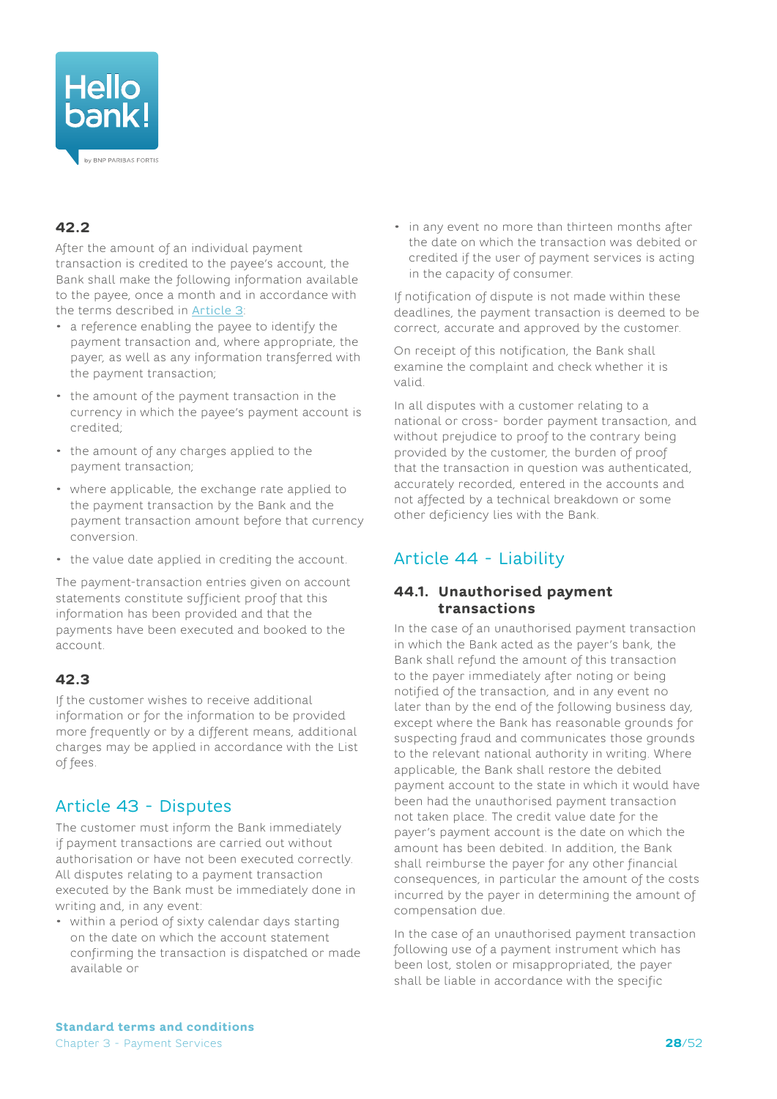

# <span id="page-27-2"></span>**42.2**

After the amount of an individual payment transaction is credited to the payee's account, the Bank shall make the following information available to the payee, once a month and in accordance with the terms described in [Article 3](#page-4-2):

- a reference enabling the payee to identify the payment transaction and, where appropriate, the payer, as well as any information transferred with the payment transaction;
- the amount of the payment transaction in the currency in which the payee's payment account is credited;
- the amount of any charges applied to the payment transaction;
- where applicable, the exchange rate applied to the payment transaction by the Bank and the payment transaction amount before that currency conversion.
- the value date applied in crediting the account.

The payment-transaction entries given on account statements constitute sufficient proof that this information has been provided and that the payments have been executed and booked to the account.

## **42.3**

If the customer wishes to receive additional information or for the information to be provided more frequently or by a different means, additional charges may be applied in accordance with the List of fees.

## <span id="page-27-1"></span>Article 43 - Disputes

The customer must inform the Bank immediately if payment transactions are carried out without authorisation or have not been executed correctly. All disputes relating to a payment transaction executed by the Bank must be immediately done in writing and, in any event:

• within a period of sixty calendar days starting on the date on which the account statement confirming the transaction is dispatched or made available or

• in any event no more than thirteen months after the date on which the transaction was debited or credited if the user of payment services is acting in the capacity of consumer.

If notification of dispute is not made within these deadlines, the payment transaction is deemed to be correct, accurate and approved by the customer.

On receipt of this notification, the Bank shall examine the complaint and check whether it is valid.

<span id="page-27-3"></span>In all disputes with a customer relating to a national or cross- border payment transaction, and without prejudice to proof to the contrary being provided by the customer, the burden of proof that the transaction in question was authenticated, accurately recorded, entered in the accounts and not affected by a technical breakdown or some other deficiency lies with the Bank.

# <span id="page-27-0"></span>Article 44 - Liability

#### <span id="page-27-4"></span>**44.1. Unauthorised payment transactions**

In the case of an unauthorised payment transaction in which the Bank acted as the payer's bank, the Bank shall refund the amount of this transaction to the payer immediately after noting or being notified of the transaction, and in any event no later than by the end of the following business day, except where the Bank has reasonable grounds for suspecting fraud and communicates those grounds to the relevant national authority in writing. Where applicable, the Bank shall restore the debited payment account to the state in which it would have been had the unauthorised payment transaction not taken place. The credit value date for the payer's payment account is the date on which the amount has been debited. In addition, the Bank shall reimburse the payer for any other financial consequences, in particular the amount of the costs incurred by the payer in determining the amount of compensation due.

In the case of an unauthorised payment transaction following use of a payment instrument which has been lost, stolen or misappropriated, the payer shall be liable in accordance with the specific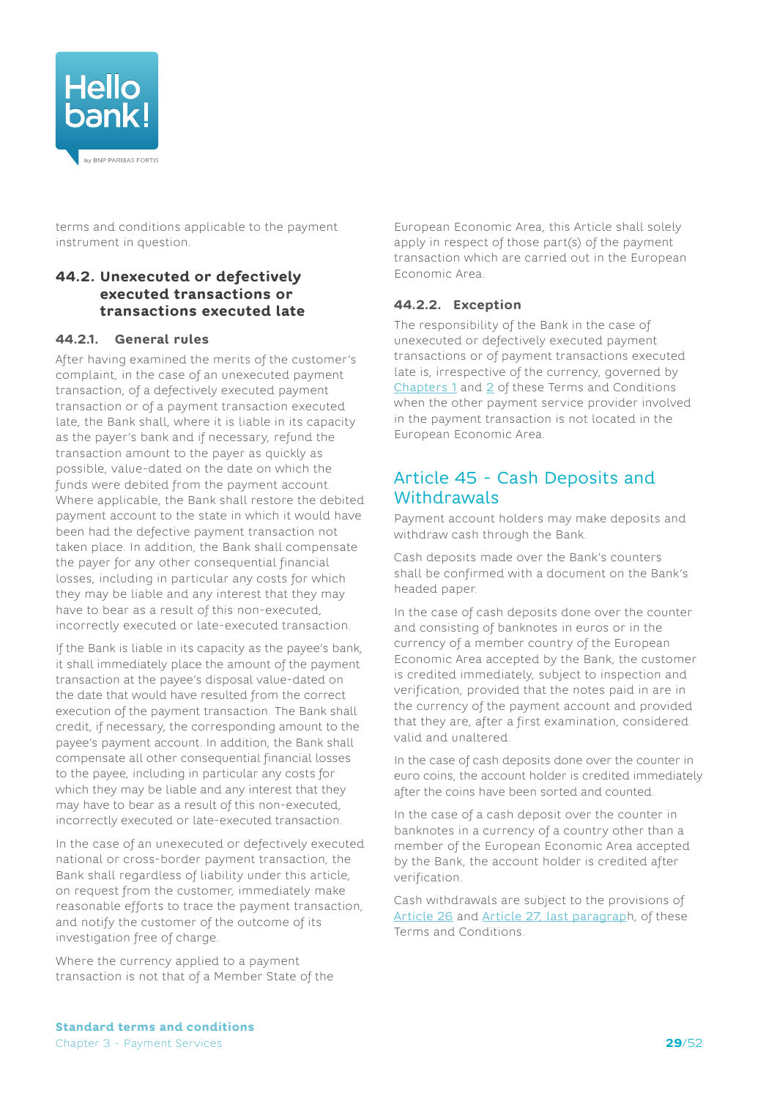

terms and conditions applicable to the payment instrument in question.

#### **44.2. Unexecuted or defectively executed transactions or transactions executed late**

#### <span id="page-28-0"></span>**44.2.1. General rules**

After having examined the merits of the customer's complaint, in the case of an unexecuted payment transaction, of a defectively executed payment transaction or of a payment transaction executed late, the Bank shall, where it is liable in its capacity as the payer's bank and if necessary, refund the transaction amount to the payer as quickly as possible, value-dated on the date on which the funds were debited from the payment account. Where applicable, the Bank shall restore the debited payment account to the state in which it would have been had the defective payment transaction not taken place. In addition, the Bank shall compensate the payer for any other consequential financial losses, including in particular any costs for which they may be liable and any interest that they may have to bear as a result of this non-executed, incorrectly executed or late-executed transaction.

If the Bank is liable in its capacity as the payee's bank, it shall immediately place the amount of the payment transaction at the payee's disposal value-dated on the date that would have resulted from the correct execution of the payment transaction. The Bank shall credit, if necessary, the corresponding amount to the payee's payment account. In addition, the Bank shall compensate all other consequential financial losses to the payee, including in particular any costs for which they may be liable and any interest that they may have to bear as a result of this non-executed, incorrectly executed or late-executed transaction.

In the case of an unexecuted or defectively executed national or cross-border payment transaction, the Bank shall regardless of liability under this article, on request from the customer, immediately make reasonable efforts to trace the payment transaction, and notify the customer of the outcome of its investigation free of charge.

Where the currency applied to a payment transaction is not that of a Member State of the European Economic Area, this Article shall solely apply in respect of those part(s) of the payment transaction which are carried out in the European Economic Area.

#### **44.2.2. Exception**

The responsibility of the Bank in the case of unexecuted or defectively executed payment transactions or of payment transactions executed late is, irrespective of the currency, governed by [Chapters](#page-3-1) 1 and [2](#page-19-2) of these Terms and Conditions when the other payment service provider involved in the payment transaction is not located in the European Economic Area.

## Article 45 - Cash Deposits and **Withdrawals**

Payment account holders may make deposits and withdraw cash through the Bank.

Cash deposits made over the Bank's counters shall be confirmed with a document on the Bank's headed paper.

In the case of cash deposits done over the counter and consisting of banknotes in euros or in the currency of a member country of the European Economic Area accepted by the Bank, the customer is credited immediately, subject to inspection and verification, provided that the notes paid in are in the currency of the payment account and provided that they are, after a first examination, considered valid and unaltered.

In the case of cash deposits done over the counter in euro coins, the account holder is credited immediately after the coins have been sorted and counted.

In the case of a cash deposit over the counter in banknotes in a currency of a country other than a member of the European Economic Area accepted by the Bank, the account holder is credited after verification.

Cash withdrawals are subject to the provisions of [Article](#page-20-0) 26 and Article [27, last paragrap](#page-20-1)h, of these Terms and Conditions.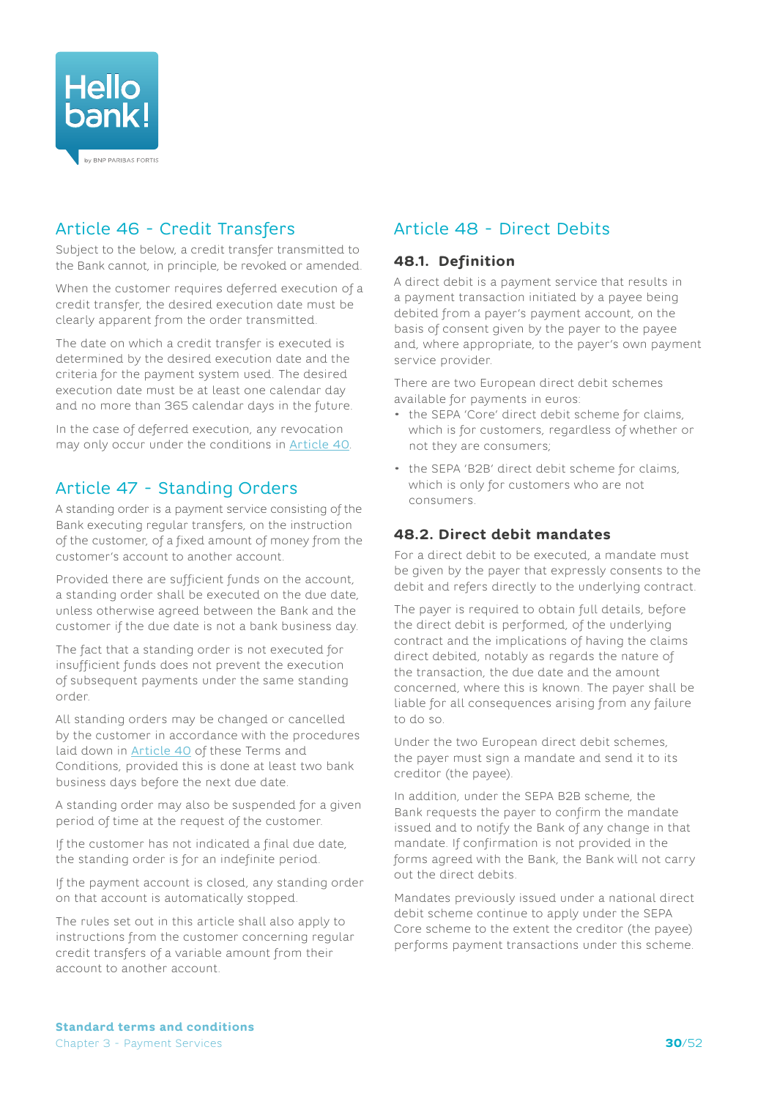

# Article 46 - Credit Transfers

Subject to the below, a credit transfer transmitted to the Bank cannot, in principle, be revoked or amended.

When the customer requires deferred execution of a credit transfer, the desired execution date must be clearly apparent from the order transmitted.

The date on which a credit transfer is executed is determined by the desired execution date and the criteria for the payment system used. The desired execution date must be at least one calendar day and no more than 365 calendar days in the future.

In the case of deferred execution, any revocation may only occur under the conditions in [Article](#page-26-4) 40.

## Article 47 - Standing Orders

A standing order is a payment service consisting of the Bank executing regular transfers, on the instruction of the customer, of a fixed amount of money from the customer's account to another account.

Provided there are sufficient funds on the account, a standing order shall be executed on the due date, unless otherwise agreed between the Bank and the customer if the due date is not a bank business day.

The fact that a standing order is not executed for insufficient funds does not prevent the execution of subsequent payments under the same standing order.

All standing orders may be changed or cancelled by the customer in accordance with the procedures laid down in [Article 40](#page-26-4) of these Terms and Conditions, provided this is done at least two bank business days before the next due date.

A standing order may also be suspended for a given period of time at the request of the customer.

If the customer has not indicated a final due date, the standing order is for an indefinite period.

If the payment account is closed, any standing order on that account is automatically stopped.

The rules set out in this article shall also apply to instructions from the customer concerning regular credit transfers of a variable amount from their account to another account.

# Article 48 - Direct Debits

### **48.1. Definition**

A direct debit is a payment service that results in a payment transaction initiated by a payee being debited from a payer's payment account, on the basis of consent given by the payer to the payee and, where appropriate, to the payer's own payment service provider.

There are two European direct debit schemes available for payments in euros:

- the SEPA 'Core' direct debit scheme for claims, which is for customers, regardless of whether or not they are consumers;
- the SEPA 'B2B' direct debit scheme for claims, which is only for customers who are not consumers.

### **48.2. Direct debit mandates**

For a direct debit to be executed, a mandate must be given by the payer that expressly consents to the debit and refers directly to the underlying contract.

The payer is required to obtain full details, before the direct debit is performed, of the underlying contract and the implications of having the claims direct debited, notably as regards the nature of the transaction, the due date and the amount concerned, where this is known. The payer shall be liable for all consequences arising from any failure to do so.

Under the two European direct debit schemes, the payer must sign a mandate and send it to its creditor (the payee).

In addition, under the SEPA B2B scheme, the Bank requests the payer to confirm the mandate issued and to notify the Bank of any change in that mandate. If confirmation is not provided in the forms agreed with the Bank, the Bank will not carry out the direct debits.

Mandates previously issued under a national direct debit scheme continue to apply under the SEPA Core scheme to the extent the creditor (the payee) performs payment transactions under this scheme.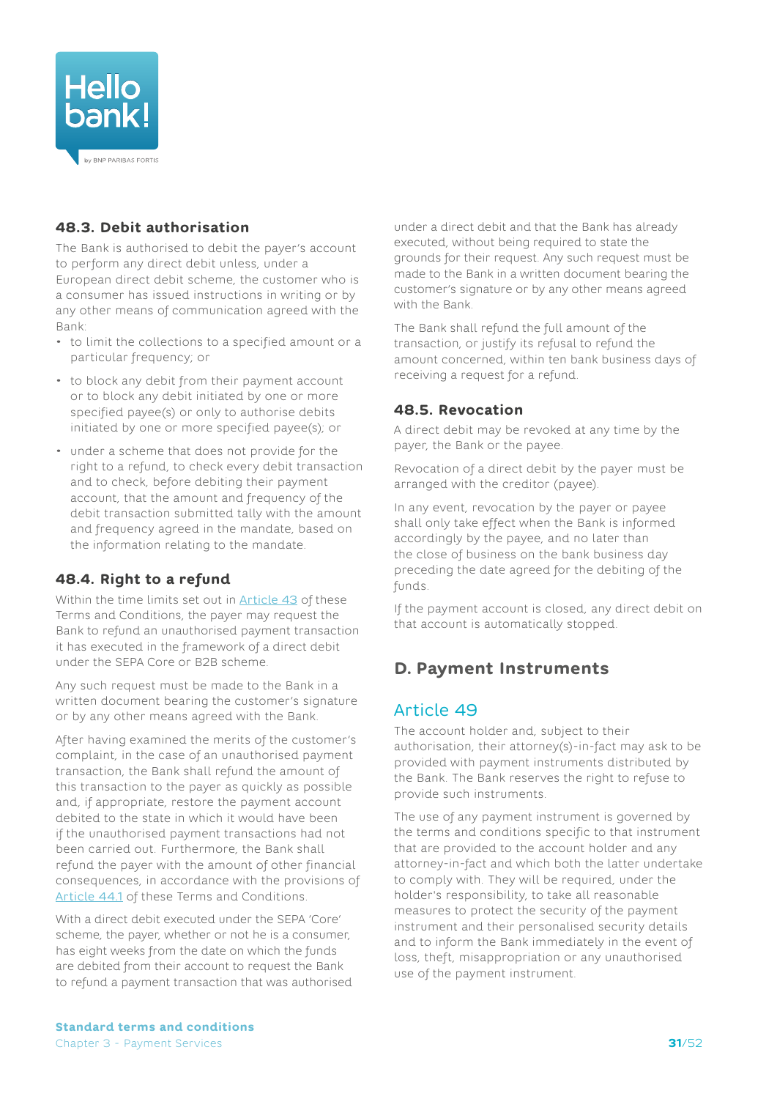<span id="page-30-0"></span>

## **48.3. Debit authorisation**

The Bank is authorised to debit the payer's account to perform any direct debit unless, under a European direct debit scheme, the customer who is a consumer has issued instructions in writing or by any other means of communication agreed with the Bank:

- to limit the collections to a specified amount or a particular frequency; or
- to block any debit from their payment account or to block any debit initiated by one or more specified payee(s) or only to authorise debits initiated by one or more specified payee(s); or
- under a scheme that does not provide for the right to a refund, to check every debit transaction and to check, before debiting their payment account, that the amount and frequency of the debit transaction submitted tally with the amount and frequency agreed in the mandate, based on the information relating to the mandate.

## <span id="page-30-1"></span>**48.4. Right to a refund**

Within the time limits set out in [Article](#page-27-1) 43 of these Terms and Conditions, the payer may request the Bank to refund an unauthorised payment transaction it has executed in the framework of a direct debit under the SEPA Core or B2B scheme.

Any such request must be made to the Bank in a written document bearing the customer's signature or by any other means agreed with the Bank.

After having examined the merits of the customer's complaint, in the case of an unauthorised payment transaction, the Bank shall refund the amount of this transaction to the payer as quickly as possible and, if appropriate, restore the payment account debited to the state in which it would have been if the unauthorised payment transactions had not been carried out. Furthermore, the Bank shall refund the payer with the amount of other financial consequences, in accordance with the provisions of [Article](#page-27-4) 44.1 of these Terms and Conditions.

With a direct debit executed under the SEPA 'Core' scheme, the payer, whether or not he is a consumer, has eight weeks from the date on which the funds are debited from their account to request the Bank to refund a payment transaction that was authorised under a direct debit and that the Bank has already executed, without being required to state the grounds for their request. Any such request must be made to the Bank in a written document bearing the customer's signature or by any other means agreed with the Bank.

The Bank shall refund the full amount of the transaction, or justify its refusal to refund the amount concerned, within ten bank business days of receiving a request for a refund.

## **48.5. Revocation**

A direct debit may be revoked at any time by the payer, the Bank or the payee.

Revocation of a direct debit by the payer must be arranged with the creditor (payee).

In any event, revocation by the payer or payee shall only take effect when the Bank is informed accordingly by the payee, and no later than the close of business on the bank business day preceding the date agreed for the debiting of the funds.

If the payment account is closed, any direct debit on that account is automatically stopped.

## **D. Payment Instruments**

## Article 49

The account holder and, subject to their authorisation, their attorney(s)-in-fact may ask to be provided with payment instruments distributed by the Bank. The Bank reserves the right to refuse to provide such instruments.

The use of any payment instrument is governed by the terms and conditions specific to that instrument that are provided to the account holder and any attorney-in-fact and which both the latter undertake to comply with. They will be required, under the holder's responsibility, to take all reasonable measures to protect the security of the payment instrument and their personalised security details and to inform the Bank immediately in the event of loss, theft, misappropriation or any unauthorised use of the payment instrument.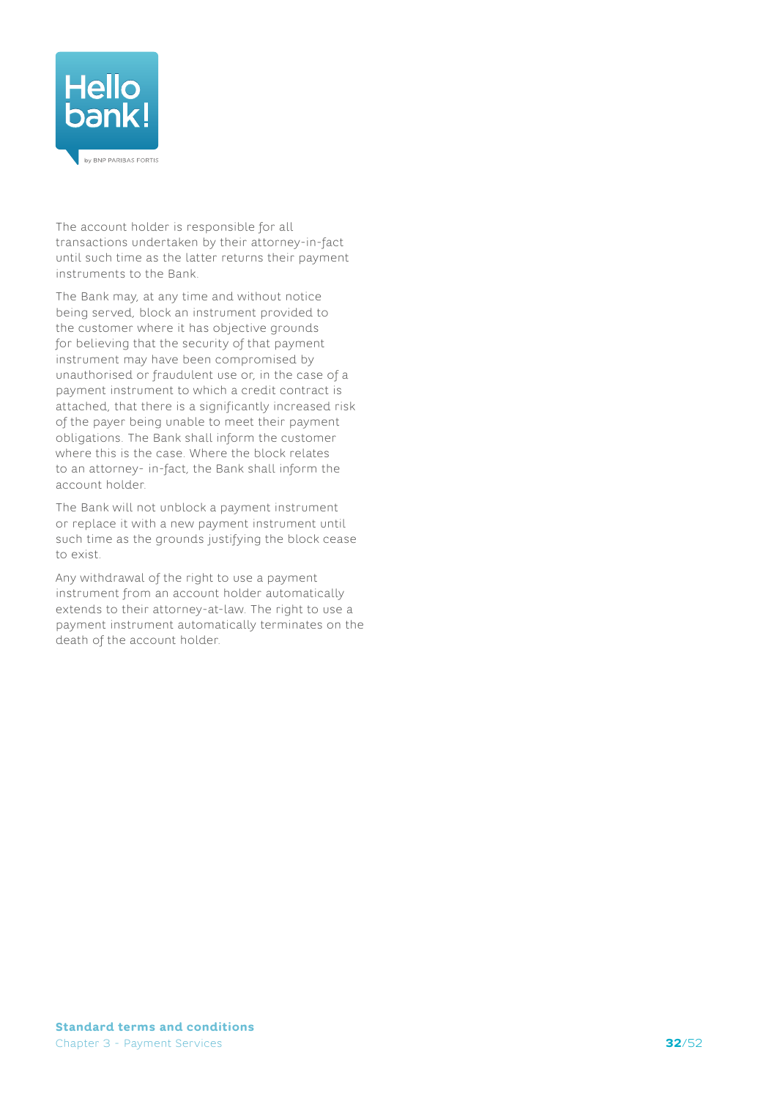

The account holder is responsible for all transactions undertaken by their attorney-in-fact until such time as the latter returns their payment instruments to the Bank.

The Bank may, at any time and without notice being served, block an instrument provided to the customer where it has objective grounds for believing that the security of that payment instrument may have been compromised by unauthorised or fraudulent use or, in the case of a payment instrument to which a credit contract is attached, that there is a significantly increased risk of the payer being unable to meet their payment obligations. The Bank shall inform the customer where this is the case. Where the block relates to an attorney- in-fact, the Bank shall inform the account holder.

The Bank will not unblock a payment instrument or replace it with a new payment instrument until such time as the grounds justifying the block cease to exist.

Any withdrawal of the right to use a payment instrument from an account holder automatically extends to their attorney-at-law. The right to use a payment instrument automatically terminates on the death of the account holder.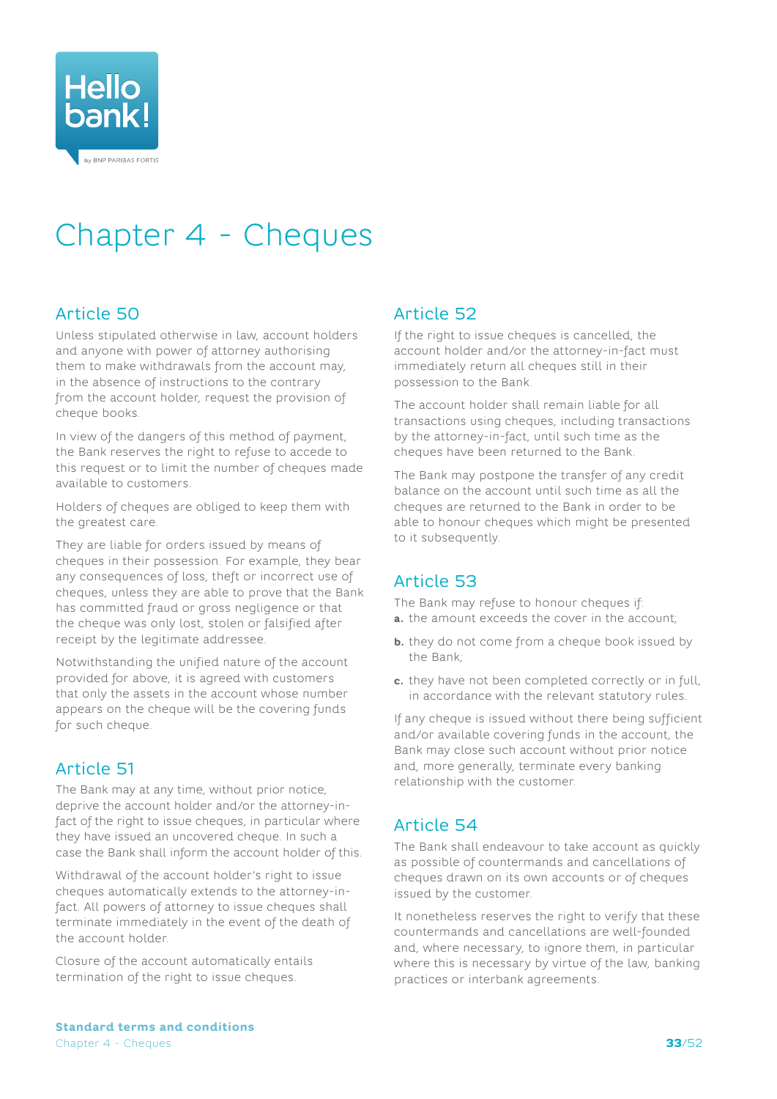<span id="page-32-0"></span>

# Chapter 4 - Cheques

# Article 50

Unless stipulated otherwise in law, account holders and anyone with power of attorney authorising them to make withdrawals from the account may, in the absence of instructions to the contrary from the account holder, request the provision of cheque books.

In view of the dangers of this method of payment, the Bank reserves the right to refuse to accede to this request or to limit the number of cheques made available to customers.

Holders of cheques are obliged to keep them with the greatest care.

They are liable for orders issued by means of cheques in their possession. For example, they bear any consequences of loss, theft or incorrect use of cheques, unless they are able to prove that the Bank has committed fraud or gross negligence or that the cheque was only lost, stolen or falsified after receipt by the legitimate addressee.

Notwithstanding the unified nature of the account provided for above, it is agreed with customers that only the assets in the account whose number appears on the cheque will be the covering funds for such cheque.

# Article 51

The Bank may at any time, without prior notice, deprive the account holder and/or the attorney-infact of the right to issue cheques, in particular where they have issued an uncovered cheque. In such a case the Bank shall inform the account holder of this.

Withdrawal of the account holder's right to issue cheques automatically extends to the attorney-infact. All powers of attorney to issue cheques shall terminate immediately in the event of the death of the account holder.

Closure of the account automatically entails termination of the right to issue cheques.

# Article 52

If the right to issue cheques is cancelled, the account holder and/or the attorney-in-fact must immediately return all cheques still in their possession to the Bank.

The account holder shall remain liable for all transactions using cheques, including transactions by the attorney-in-fact, until such time as the cheques have been returned to the Bank.

The Bank may postpone the transfer of any credit balance on the account until such time as all the cheques are returned to the Bank in order to be able to honour cheques which might be presented to it subsequently.

# Article 53

The Bank may refuse to honour cheques if: **a.** the amount exceeds the cover in the account;

- **b.** they do not come from a cheque book issued by the Bank;
- **c.** they have not been completed correctly or in full, in accordance with the relevant statutory rules.

If any cheque is issued without there being sufficient and/or available covering funds in the account, the Bank may close such account without prior notice and, more generally, terminate every banking relationship with the customer.

# Article 54

The Bank shall endeavour to take account as quickly as possible of countermands and cancellations of cheques drawn on its own accounts or of cheques issued by the customer.

It nonetheless reserves the right to verify that these countermands and cancellations are well-founded and, where necessary, to ignore them, in particular where this is necessary by virtue of the law, banking practices or interbank agreements.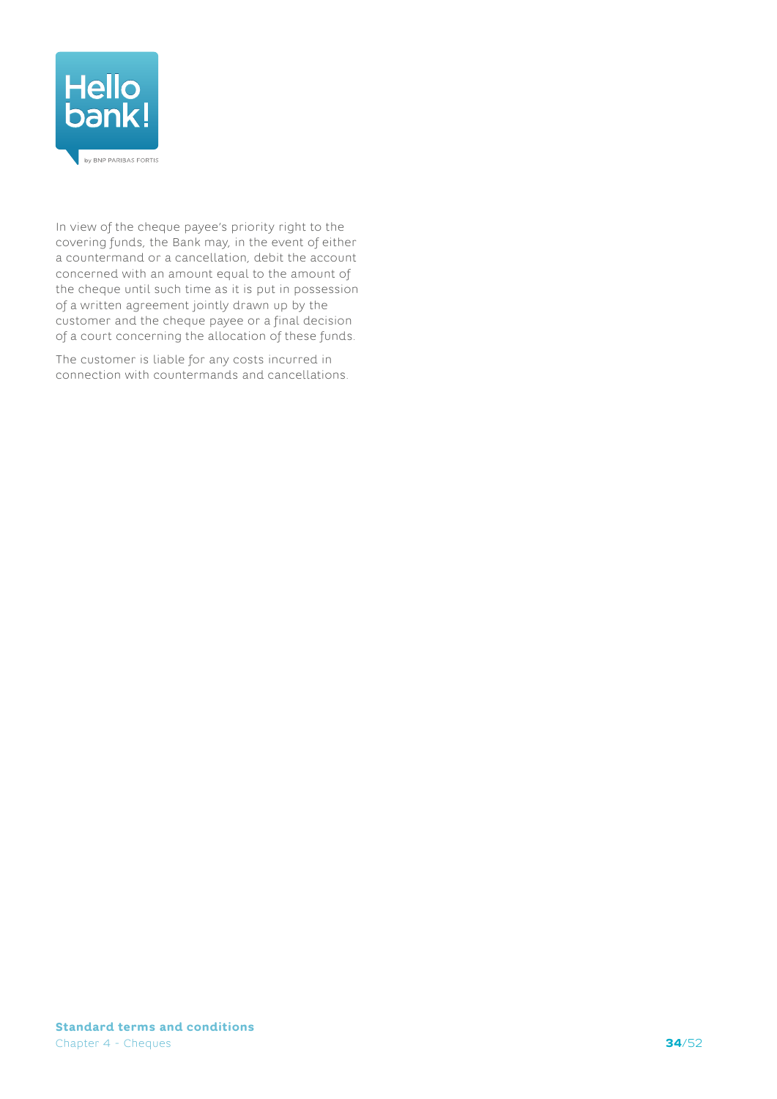

In view of the cheque payee's priority right to the covering funds, the Bank may, in the event of either a countermand or a cancellation, debit the account concerned with an amount equal to the amount of the cheque until such time as it is put in possession of a written agreement jointly drawn up by the customer and the cheque payee or a final decision of a court concerning the allocation of these funds.

The customer is liable for any costs incurred in connection with countermands and cancellations.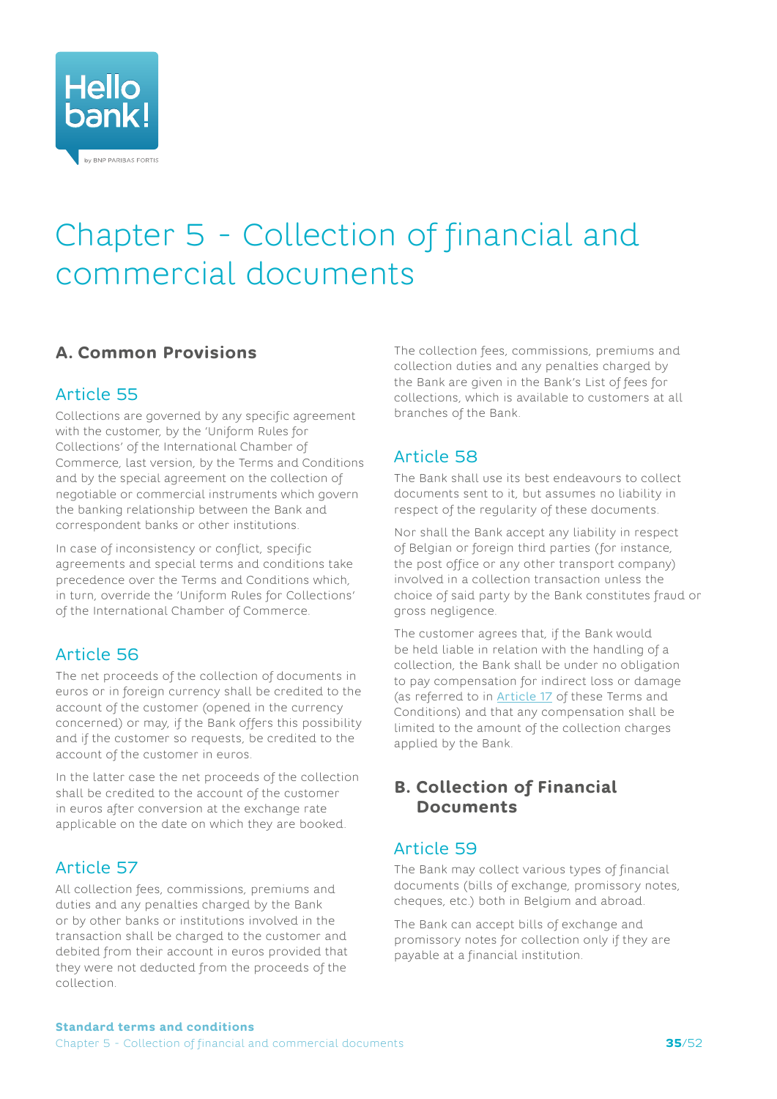<span id="page-34-0"></span>

# Chapter 5 - Collection of financial and commercial documents

# **A. Common Provisions**

# Article 55

Collections are governed by any specific agreement with the customer, by the 'Uniform Rules for Collections' of the International Chamber of Commerce, last version, by the Terms and Conditions and by the special agreement on the collection of negotiable or commercial instruments which govern the banking relationship between the Bank and correspondent banks or other institutions.

In case of inconsistency or conflict, specific agreements and special terms and conditions take precedence over the Terms and Conditions which, in turn, override the 'Uniform Rules for Collections' of the International Chamber of Commerce.

# Article 56

The net proceeds of the collection of documents in euros or in foreign currency shall be credited to the account of the customer (opened in the currency concerned) or may, if the Bank offers this possibility and if the customer so requests, be credited to the account of the customer in euros.

In the latter case the net proceeds of the collection shall be credited to the account of the customer in euros after conversion at the exchange rate applicable on the date on which they are booked.

# Article 57

All collection fees, commissions, premiums and duties and any penalties charged by the Bank or by other banks or institutions involved in the transaction shall be charged to the customer and debited from their account in euros provided that they were not deducted from the proceeds of the collection.

The collection fees, commissions, premiums and collection duties and any penalties charged by the Bank are given in the Bank's List of fees for collections, which is available to customers at all branches of the Bank.

# Article 58

The Bank shall use its best endeavours to collect documents sent to it, but assumes no liability in respect of the regularity of these documents.

Nor shall the Bank accept any liability in respect of Belgian or foreign third parties (for instance, the post office or any other transport company) involved in a collection transaction unless the choice of said party by the Bank constitutes fraud or gross negligence.

The customer agrees that, if the Bank would be held liable in relation with the handling of a collection, the Bank shall be under no obligation to pay compensation for indirect loss or damage (as referred to in [Article 17](#page-13-1) of these Terms and Conditions) and that any compensation shall be limited to the amount of the collection charges applied by the Bank.

# **B. Collection of Financial Documents**

## Article 59

The Bank may collect various types of financial documents (bills of exchange, promissory notes, cheques, etc.) both in Belgium and abroad.

The Bank can accept bills of exchange and promissory notes for collection only if they are payable at a financial institution.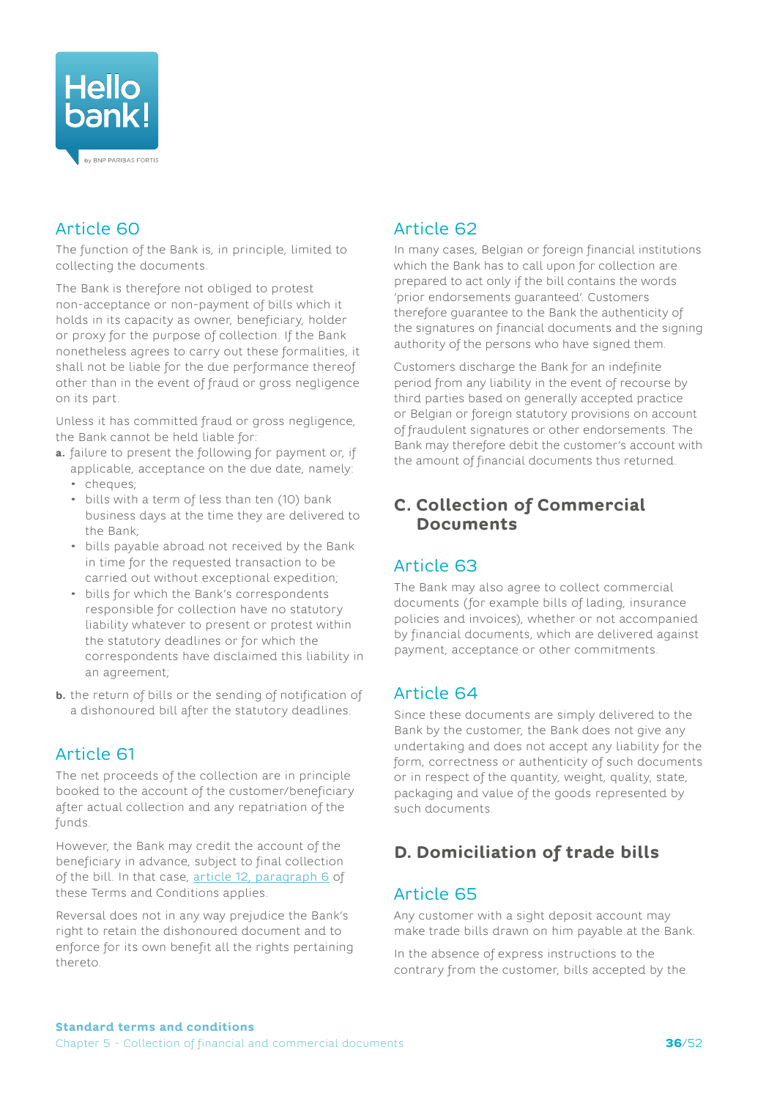<span id="page-35-0"></span>

# Article 60

The function of the Bank is, in principle, limited to collecting the documents.

The Bank is therefore not obliged to protest non-acceptance or non-payment of bills which it holds in its capacity as owner, beneficiary, holder or proxy for the purpose of collection. If the Bank nonetheless agrees to carry out these formalities, it shall not be liable for the due performance thereof other than in the event of fraud or gross negligence on its part.

Unless it has committed fraud or gross negligence, the Bank cannot be held liable for:

- **a.** failure to present the following for payment or, if applicable, acceptance on the due date, namely:
	- cheques;
	- bills with a term of less than ten (10) bank business days at the time they are delivered to the Bank;
	- bills payable abroad not received by the Bank in time for the requested transaction to be carried out without exceptional expedition;
	- bills for which the Bank's correspondents responsible for collection have no statutory liability whatever to present or protest within the statutory deadlines or for which the correspondents have disclaimed this liability in an agreement;
- **b.** the return of bills or the sending of notification of a dishonoured bill after the statutory deadlines.

# Article 61

The net proceeds of the collection are in principle booked to the account of the customer/beneficiary after actual collection and any repatriation of the funds.

However, the Bank may credit the account of the beneficiary in advance, subject to final collection of the bill. In that case, [article 12, paragraph 6](#page-11-2) of these Terms and Conditions applies.

Reversal does not in any way prejudice the Bank's right to retain the dishonoured document and to enforce for its own benefit all the rights pertaining thereto.

# Article 62

In many cases, Belgian or foreign financial institutions which the Bank has to call upon for collection are prepared to act only if the bill contains the words 'prior endorsements guaranteed'. Customers therefore guarantee to the Bank the authenticity of the signatures on financial documents and the signing authority of the persons who have signed them.

Customers discharge the Bank for an indefinite period from any liability in the event of recourse by third parties based on generally accepted practice or Belgian or foreign statutory provisions on account of fraudulent signatures or other endorsements. The Bank may therefore debit the customer's account with the amount of financial documents thus returned.

# **C. Collection of Commercial Documents**

# Article 63

The Bank may also agree to collect commercial documents (for example bills of lading, insurance policies and invoices), whether or not accompanied by financial documents, which are delivered against payment, acceptance or other commitments.

# Article 64

Since these documents are simply delivered to the Bank by the customer, the Bank does not give any undertaking and does not accept any liability for the form, correctness or authenticity of such documents or in respect of the quantity, weight, quality, state, packaging and value of the goods represented by such documents.

# **D. Domiciliation of trade bills**

## Article 65

Any customer with a sight deposit account may make trade bills drawn on him payable at the Bank.

In the absence of express instructions to the contrary from the customer, bills accepted by the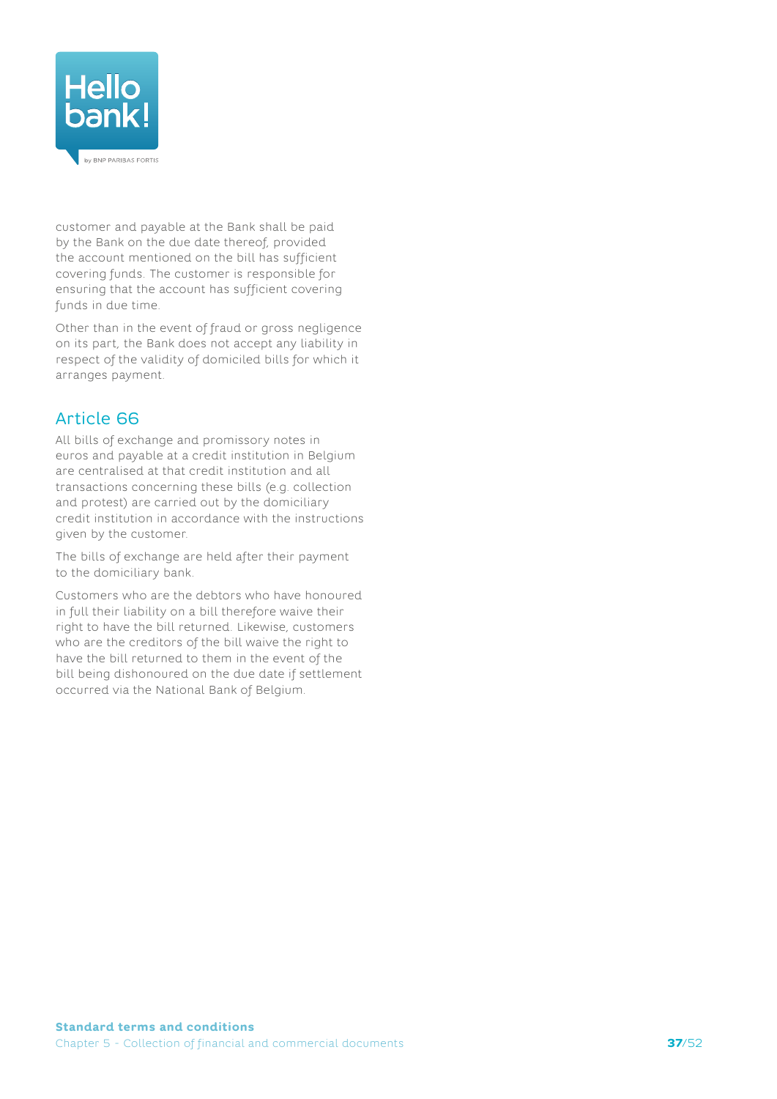

customer and payable at the Bank shall be paid by the Bank on the due date thereof, provided the account mentioned on the bill has sufficient covering funds. The customer is responsible for ensuring that the account has sufficient covering funds in due time.

Other than in the event of fraud or gross negligence on its part, the Bank does not accept any liability in respect of the validity of domiciled bills for which it arranges payment.

# Article 66

All bills of exchange and promissory notes in euros and payable at a credit institution in Belgium are centralised at that credit institution and all transactions concerning these bills (e.g. collection and protest) are carried out by the domiciliary credit institution in accordance with the instructions given by the customer.

The bills of exchange are held after their payment to the domiciliary bank.

Customers who are the debtors who have honoured in full their liability on a bill therefore waive their right to have the bill returned. Likewise, customers who are the creditors of the bill waive the right to have the bill returned to them in the event of the bill being dishonoured on the due date if settlement occurred via the National Bank of Belgium.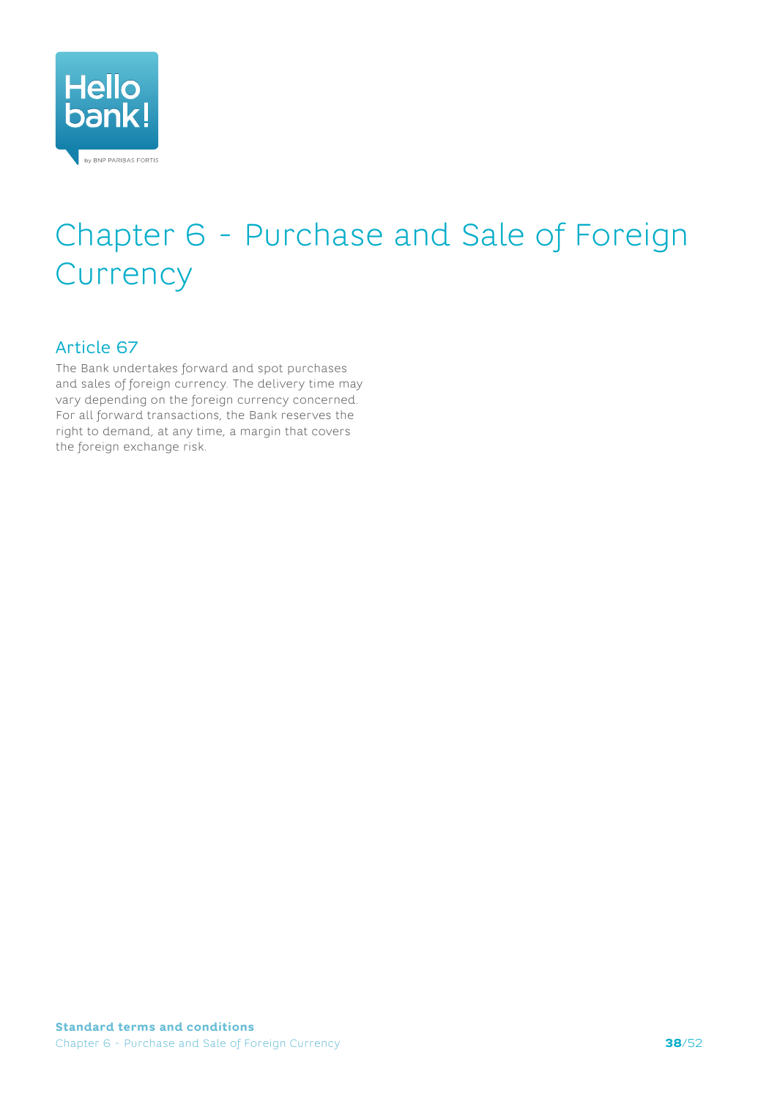<span id="page-37-0"></span>

# Chapter 6 - Purchase and Sale of Foreign **Currency**

## Article 67

The Bank undertakes forward and spot purchases and sales of foreign currency. The delivery time may vary depending on the foreign currency concerned. For all forward transactions, the Bank reserves the right to demand, at any time, a margin that covers the foreign exchange risk.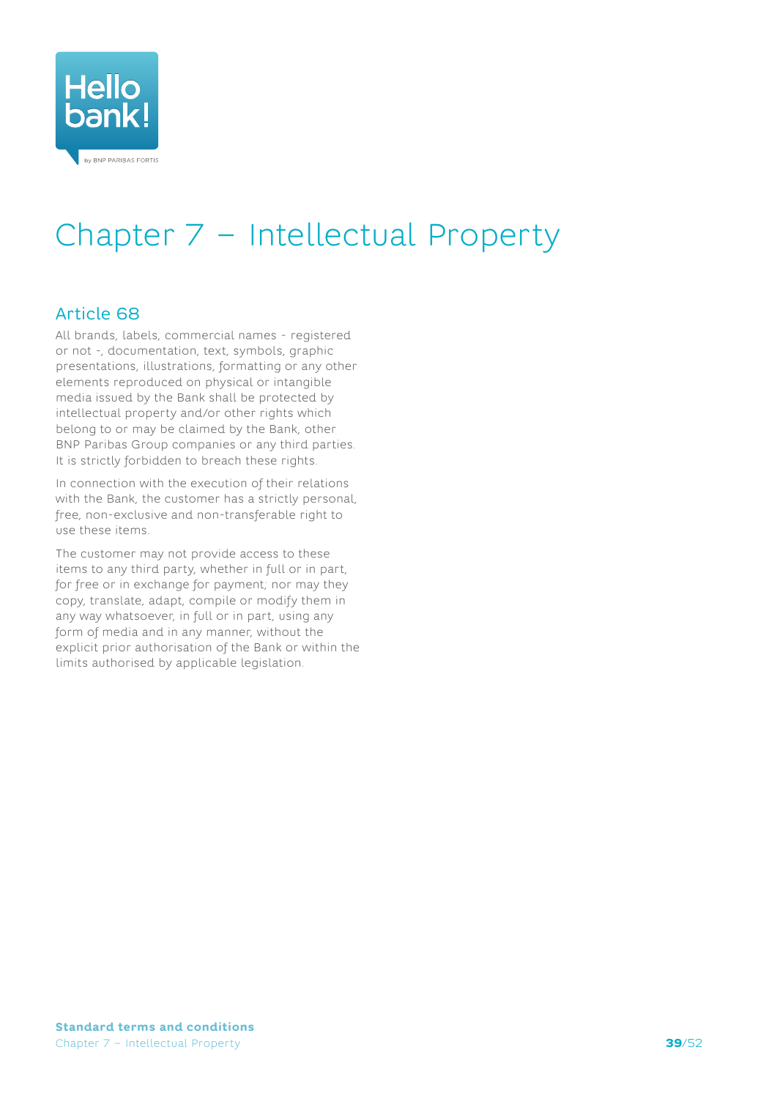<span id="page-38-0"></span>

# Chapter 7 – Intellectual Property

## Article 68

All brands, labels, commercial names - registered or not -, documentation, text, symbols, graphic presentations, illustrations, formatting or any other elements reproduced on physical or intangible media issued by the Bank shall be protected by intellectual property and/or other rights which belong to or may be claimed by the Bank, other BNP Paribas Group companies or any third parties. It is strictly forbidden to breach these rights.

In connection with the execution of their relations with the Bank, the customer has a strictly personal, free, non-exclusive and non-transferable right to use these items.

The customer may not provide access to these items to any third party, whether in full or in part, for free or in exchange for payment; nor may they copy, translate, adapt, compile or modify them in any way whatsoever, in full or in part, using any form of media and in any manner, without the explicit prior authorisation of the Bank or within the limits authorised by applicable legislation.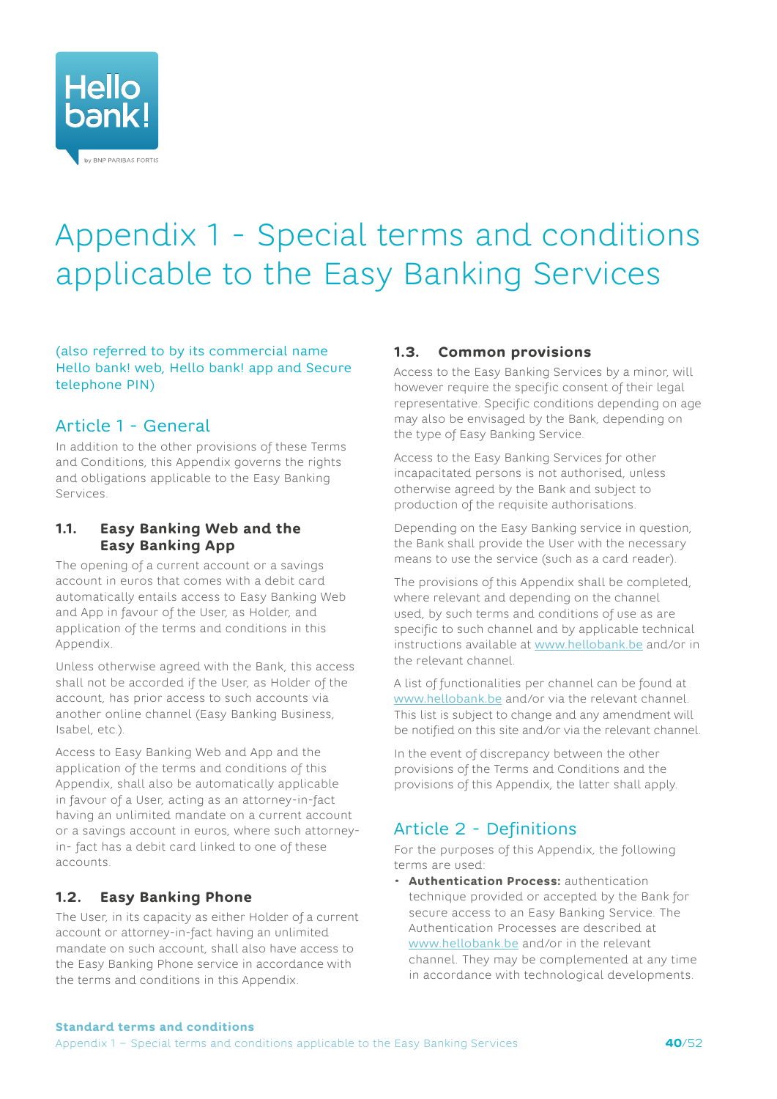<span id="page-39-0"></span>

# <span id="page-39-1"></span>Appendix 1 - Special terms and conditions applicable to the Easy Banking Services

#### (also referred to by its commercial name Hello bank! web, Hello bank! app and Secure telephone PIN)

## Article 1 - General

In addition to the other provisions of these Terms and Conditions, this Appendix governs the rights and obligations applicable to the Easy Banking Services.

### **1.1. Easy Banking Web and the Easy Banking App**

The opening of a current account or a savings account in euros that comes with a debit card automatically entails access to Easy Banking Web and App in favour of the User, as Holder, and application of the terms and conditions in this Appendix.

Unless otherwise agreed with the Bank, this access shall not be accorded if the User, as Holder of the account, has prior access to such accounts via another online channel (Easy Banking Business, Isabel, etc.).

Access to Easy Banking Web and App and the application of the terms and conditions of this Appendix, shall also be automatically applicable in favour of a User, acting as an attorney-in-fact having an unlimited mandate on a current account or a savings account in euros, where such attorneyin- fact has a debit card linked to one of these accounts.

## **1.2. Easy Banking Phone**

The User, in its capacity as either Holder of a current account or attorney-in-fact having an unlimited mandate on such account, shall also have access to the Easy Banking Phone service in accordance with the terms and conditions in this Appendix.

#### **1.3. Common provisions**

Access to the Easy Banking Services by a minor, will however require the specific consent of their legal representative. Specific conditions depending on age may also be envisaged by the Bank, depending on the type of Easy Banking Service.

Access to the Easy Banking Services for other incapacitated persons is not authorised, unless otherwise agreed by the Bank and subject to production of the requisite authorisations.

Depending on the Easy Banking service in question, the Bank shall provide the User with the necessary means to use the service (such as a card reader).

The provisions of this Appendix shall be completed, where relevant and depending on the channel used, by such terms and conditions of use as are specific to such channel and by applicable technical instructions available at [www.hellobank.be](http://www.hellobank.be) and/or in the relevant channel.

A list of functionalities per channel can be found at [www.hellobank.be](http://www.hellobank.be) and/or via the relevant channel. This list is subject to change and any amendment will be notified on this site and/or via the relevant channel.

In the event of discrepancy between the other provisions of the Terms and Conditions and the provisions of this Appendix, the latter shall apply.

## Article 2 - Definitions

For the purposes of this Appendix, the following terms are used:

• **Authentication Process:** authentication technique provided or accepted by the Bank for secure access to an Easy Banking Service. The Authentication Processes are described at [www.hellobank.be](http://www.hellobank.be) and/or in the relevant channel. They may be complemented at any time in accordance with technological developments.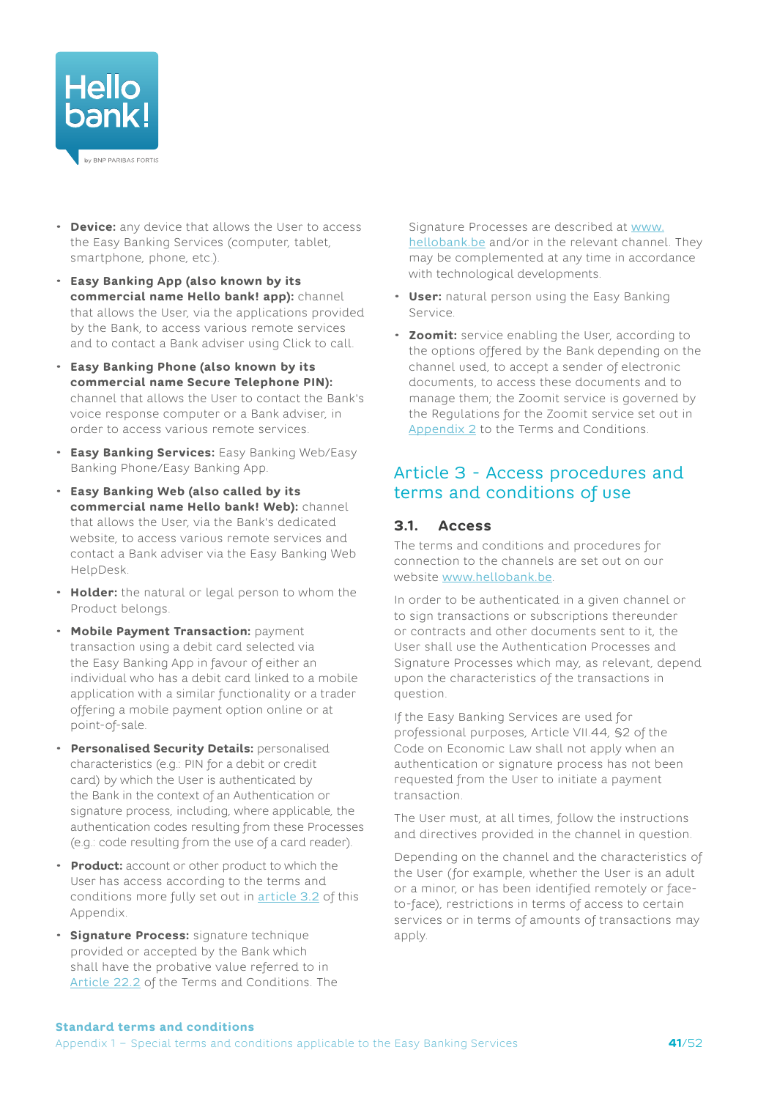

- **Device:** any device that allows the User to access the Easy Banking Services (computer, tablet, smartphone, phone, etc.).
- **Easy Banking App (also known by its commercial name Hello bank! app):** channel that allows the User, via the applications provided by the Bank, to access various remote services and to contact a Bank adviser using Click to call.
- **Easy Banking Phone (also known by its commercial name Secure Telephone PIN):** channel that allows the User to contact the Bank's voice response computer or a Bank adviser, in order to access various remote services.
- **Easy Banking Services:** Easy Banking Web/Easy Banking Phone/Easy Banking App.
- **Easy Banking Web (also called by its commercial name Hello bank! Web):** channel that allows the User, via the Bank's dedicated website, to access various remote services and contact a Bank adviser via the Easy Banking Web HelpDesk.
- **Holder:** the natural or legal person to whom the Product belongs.
- **Mobile Payment Transaction:** payment transaction using a debit card selected via the Easy Banking App in favour of either an individual who has a debit card linked to a mobile application with a similar functionality or a trader offering a mobile payment option online or at point-of-sale.
- **Personalised Security Details:** personalised characteristics (e.g.: PIN for a debit or credit card) by which the User is authenticated by the Bank in the context of an Authentication or signature process, including, where applicable, the authentication codes resulting from these Processes (e.g.: code resulting from the use of a card reader).
- **Product:** account or other product to which the User has access according to the terms and conditions more fully set out in [article 3.2](#page-41-0) of this Appendix.
- **Signature Process:** signature technique provided or accepted by the Bank which shall have the probative value referred to in [Article](#page-17-4) 22.2 of the Terms and Conditions. The

Signature Processes are described at [www.](http://www.hellobank.be) [hellobank.be](http://www.hellobank.be) and/or in the relevant channel. They may be complemented at any time in accordance with technological developments.

- **User:** natural person using the Easy Banking Service.
- **Zoomit:** service enabling the User, according to the options offered by the Bank depending on the channel used, to accept a sender of electronic documents, to access these documents and to manage them; the Zoomit service is governed by the Regulations for the Zoomit service set out in [Appendix 2](#page-48-1) to the Terms and Conditions.

## Article 3 - Access procedures and terms and conditions of use

#### **3.1. Access**

The terms and conditions and procedures for connection to the channels are set out on our website [www.hellobank.be](http://www.hellobank.be).

In order to be authenticated in a given channel or to sign transactions or subscriptions thereunder or contracts and other documents sent to it, the User shall use the Authentication Processes and Signature Processes which may, as relevant, depend upon the characteristics of the transactions in question.

If the Easy Banking Services are used for professional purposes, Article VII.44, §2 of the Code on Economic Law shall not apply when an authentication or signature process has not been requested from the User to initiate a payment transaction.

The User must, at all times, follow the instructions and directives provided in the channel in question.

Depending on the channel and the characteristics of the User (for example, whether the User is an adult or a minor, or has been identified remotely or faceto-face), restrictions in terms of access to certain services or in terms of amounts of transactions may apply.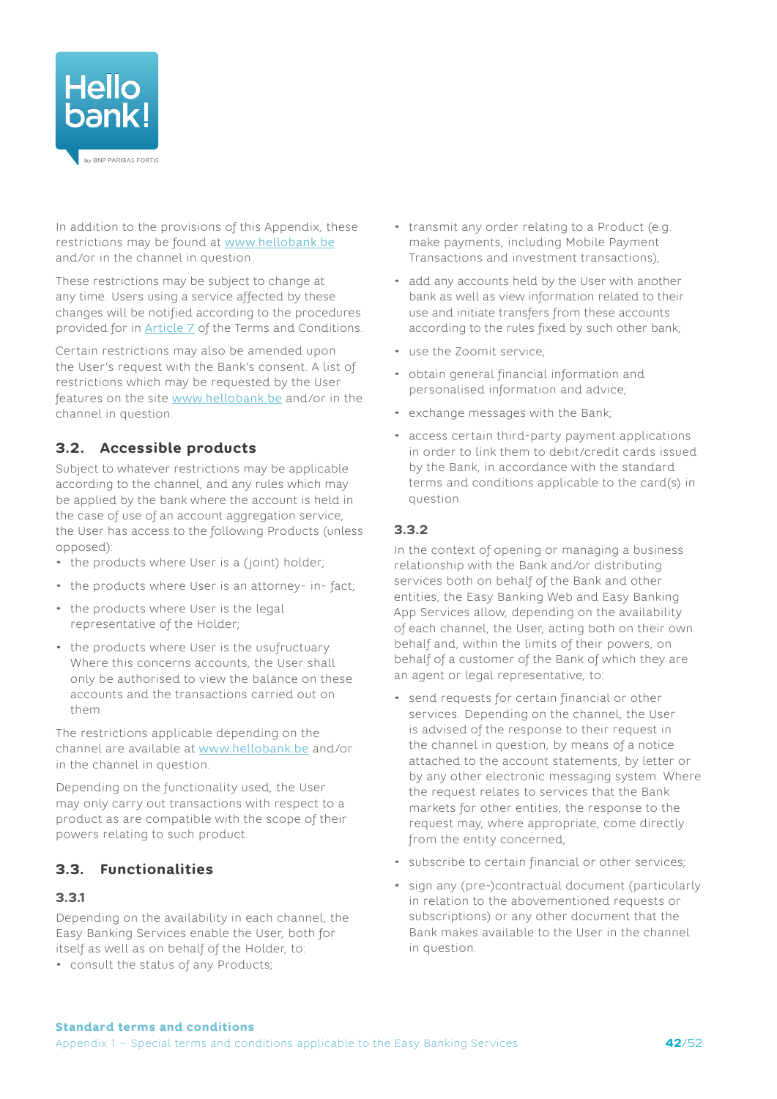

In addition to the provisions of this Appendix, these restrictions may be found at [www.hellobank.be](http://www.hellobank.be) and/or in the channel in question.

These restrictions may be subject to change at any time. Users using a service affected by these changes will be notified according to the procedures provided for in [Article](#page-6-1) 7 of the Terms and Conditions.

Certain restrictions may also be amended upon the User's request with the Bank's consent. A list of restrictions which may be requested by the User features on the site [www.hellobank.be](http://www.hellobank.be) and/or in the channel in question.

## <span id="page-41-0"></span>**3.2. Accessible products**

Subject to whatever restrictions may be applicable according to the channel, and any rules which may be applied by the bank where the account is held in the case of use of an account aggregation service, the User has access to the following Products (unless opposed):

- the products where User is a (joint) holder;
- the products where User is an attorney- in- fact;
- the products where User is the legal representative of the Holder;
- the products where User is the usufructuary. Where this concerns accounts, the User shall only be authorised to view the balance on these accounts and the transactions carried out on them.

The restrictions applicable depending on the channel are available at [www.hellobank.be](http://www.hellobank.be) and/or in the channel in question.

Depending on the functionality used, the User may only carry out transactions with respect to a product as are compatible with the scope of their powers relating to such product.

## **3.3. Functionalities**

#### **3.3.1**

Depending on the availability in each channel, the Easy Banking Services enable the User, both for itself as well as on behalf of the Holder, to:

• consult the status of any Products;

- transmit any order relating to a Product (e.g. make payments, including Mobile Payment Transactions and investment transactions);
- add any accounts held by the User with another bank as well as view information related to their use and initiate transfers from these accounts according to the rules fixed by such other bank;
- use the Zoomit service;
- obtain general financial information and personalised information and advice;
- exchange messages with the Bank;
- access certain third-party payment applications in order to link them to debit/credit cards issued by the Bank, in accordance with the standard terms and conditions applicable to the card(s) in question.

#### **3.3.2**

In the context of opening or managing a business relationship with the Bank and/or distributing services both on behalf of the Bank and other entities, the Easy Banking Web and Easy Banking App Services allow, depending on the availability of each channel, the User, acting both on their own behalf and, within the limits of their powers, on behalf of a customer of the Bank of which they are an agent or legal representative, to:

- send requests for certain financial or other services. Depending on the channel, the User is advised of the response to their request in the channel in question, by means of a notice attached to the account statements, by letter or by any other electronic messaging system. Where the request relates to services that the Bank markets for other entities, the response to the request may, where appropriate, come directly from the entity concerned;
- subscribe to certain financial or other services;
- sign any (pre-)contractual document (particularly in relation to the abovementioned requests or subscriptions) or any other document that the Bank makes available to the User in the channel in question.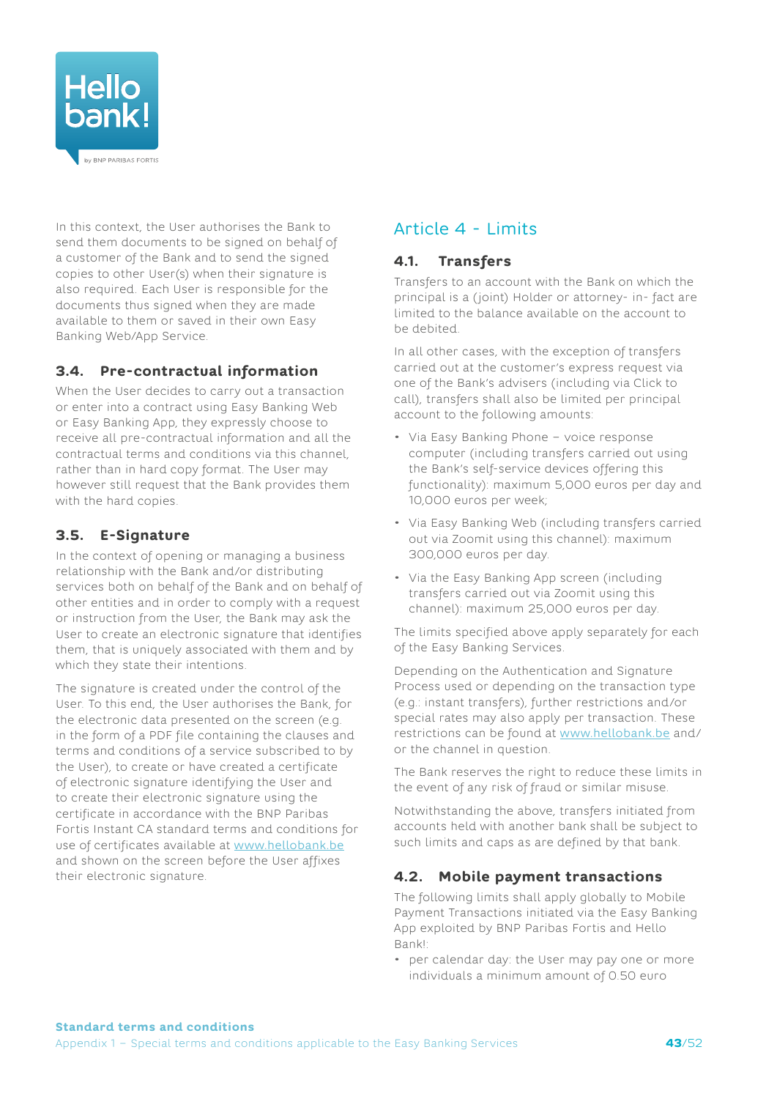

In this context, the User authorises the Bank to send them documents to be signed on behalf of a customer of the Bank and to send the signed copies to other User(s) when their signature is also required. Each User is responsible for the documents thus signed when they are made available to them or saved in their own Easy Banking Web/App Service.

## **3.4. Pre-contractual information**

When the User decides to carry out a transaction or enter into a contract using Easy Banking Web or Easy Banking App, they expressly choose to receive all pre-contractual information and all the contractual terms and conditions via this channel, rather than in hard copy format. The User may however still request that the Bank provides them with the hard copies.

## **3.5. E-Signature**

In the context of opening or managing a business relationship with the Bank and/or distributing services both on behalf of the Bank and on behalf of other entities and in order to comply with a request or instruction from the User, the Bank may ask the User to create an electronic signature that identifies them, that is uniquely associated with them and by which they state their intentions.

The signature is created under the control of the User. To this end, the User authorises the Bank, for the electronic data presented on the screen (e.g. in the form of a PDF file containing the clauses and terms and conditions of a service subscribed to by the User), to create or have created a certificate of electronic signature identifying the User and to create their electronic signature using the certificate in accordance with the BNP Paribas Fortis Instant CA standard terms and conditions for use of certificates available at [www.hellobank.be](http://www.hellobank.be) and shown on the screen before the User affixes their electronic signature.

# Article 4 - Limits

### **4.1. Transfers**

Transfers to an account with the Bank on which the principal is a (joint) Holder or attorney- in- fact are limited to the balance available on the account to be debited.

In all other cases, with the exception of transfers carried out at the customer's express request via one of the Bank's advisers (including via Click to call), transfers shall also be limited per principal account to the following amounts:

- Via Easy Banking Phone voice response computer (including transfers carried out using the Bank's self-service devices offering this functionality): maximum 5,000 euros per day and 10,000 euros per week;
- Via Easy Banking Web (including transfers carried out via Zoomit using this channel): maximum 300,000 euros per day.
- Via the Easy Banking App screen (including transfers carried out via Zoomit using this channel): maximum 25,000 euros per day.

The limits specified above apply separately for each of the Easy Banking Services.

Depending on the Authentication and Signature Process used or depending on the transaction type (e.g.: instant transfers), further restrictions and/or special rates may also apply per transaction. These restrictions can be found at [www.hellobank.be](http://www.hellobank.be) and/ or the channel in question.

The Bank reserves the right to reduce these limits in the event of any risk of fraud or similar misuse.

Notwithstanding the above, transfers initiated from accounts held with another bank shall be subject to such limits and caps as are defined by that bank.

## **4.2. Mobile payment transactions**

The following limits shall apply globally to Mobile Payment Transactions initiated via the Easy Banking App exploited by BNP Paribas Fortis and Hello Bank!:

• per calendar day: the User may pay one or more individuals a minimum amount of 0.50 euro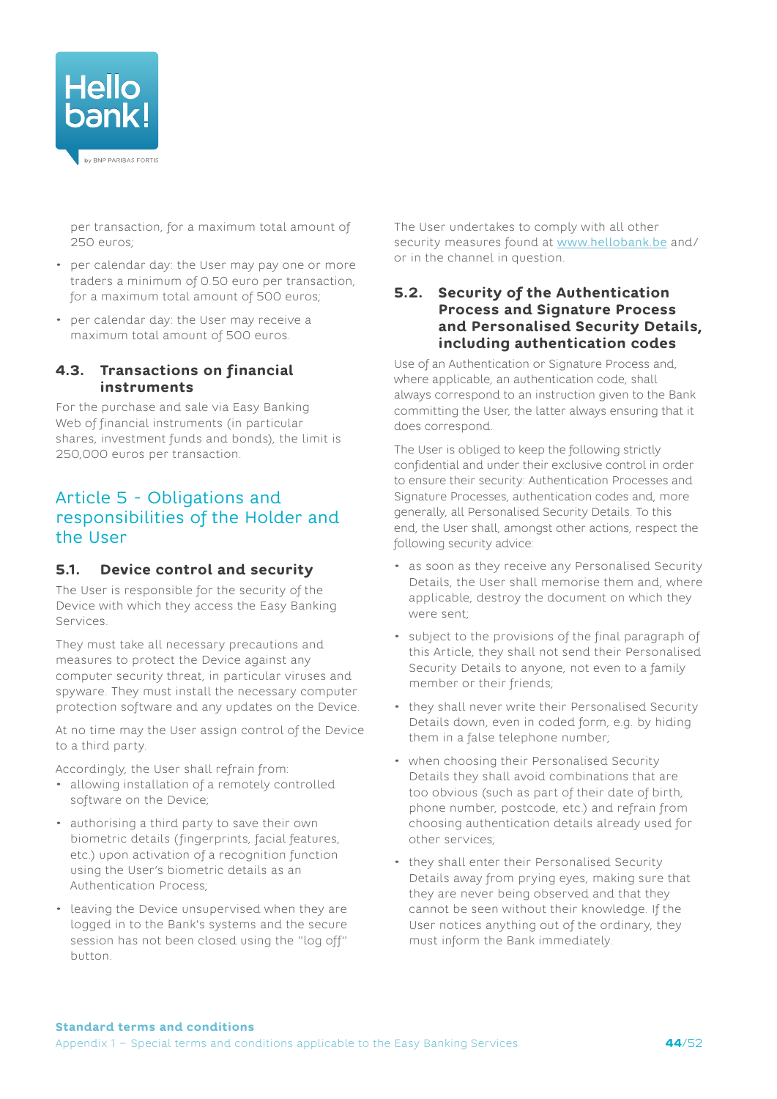

per transaction, for a maximum total amount of 250 euros;

- per calendar day: the User may pay one or more traders a minimum of 0.50 euro per transaction, for a maximum total amount of 500 euros;
- per calendar day: the User may receive a maximum total amount of 500 euros.

#### **4.3. Transactions on financial instruments**

For the purchase and sale via Easy Banking Web of financial instruments (in particular shares, investment funds and bonds), the limit is 250,000 euros per transaction.

## Article 5 - Obligations and responsibilities of the Holder and the User

## <span id="page-43-1"></span>**5.1. Device control and security**

The User is responsible for the security of the Device with which they access the Easy Banking Services.

They must take all necessary precautions and measures to protect the Device against any computer security threat, in particular viruses and spyware. They must install the necessary computer protection software and any updates on the Device.

At no time may the User assign control of the Device to a third party.

Accordingly, the User shall refrain from:

- allowing installation of a remotely controlled software on the Device;
- authorising a third party to save their own biometric details (fingerprints, facial features, etc.) upon activation of a recognition function using the User's biometric details as an Authentication Process;
- leaving the Device unsupervised when they are logged in to the Bank's systems and the secure session has not been closed using the "log off" button.

The User undertakes to comply with all other security measures found at [www.hellobank.be](http://www.hellobank.be) and/ or in the channel in question.

#### <span id="page-43-0"></span>**5.2. Security of the Authentication Process and Signature Process and Personalised Security Details, including authentication codes**

Use of an Authentication or Signature Process and, where applicable, an authentication code, shall always correspond to an instruction given to the Bank committing the User, the latter always ensuring that it does correspond.

The User is obliged to keep the following strictly confidential and under their exclusive control in order to ensure their security: Authentication Processes and Signature Processes, authentication codes and, more generally, all Personalised Security Details. To this end, the User shall, amongst other actions, respect the following security advice:

- as soon as they receive any Personalised Security Details, the User shall memorise them and, where applicable, destroy the document on which they were sent;
- subject to the provisions of the final paragraph of this Article, they shall not send their Personalised Security Details to anyone, not even to a family member or their friends;
- they shall never write their Personalised Security Details down, even in coded form, e.g. by hiding them in a false telephone number;
- when choosing their Personalised Security Details they shall avoid combinations that are too obvious (such as part of their date of birth, phone number, postcode, etc.) and refrain from choosing authentication details already used for other services;
- they shall enter their Personalised Security Details away from prying eyes, making sure that they are never being observed and that they cannot be seen without their knowledge. If the User notices anything out of the ordinary, they must inform the Bank immediately.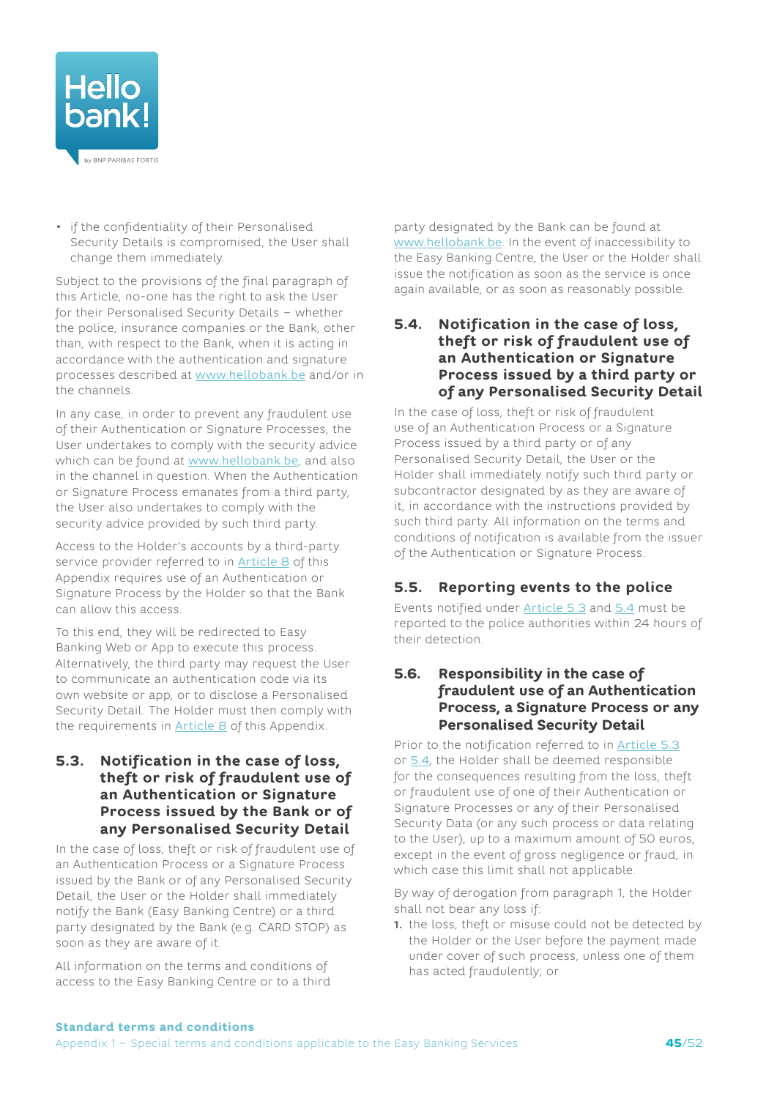

• if the confidentiality of their Personalised Security Details is compromised, the User shall change them immediately.

Subject to the provisions of the final paragraph of this Article, no-one has the right to ask the User for their Personalised Security Details – whether the police, insurance companies or the Bank, other than, with respect to the Bank, when it is acting in accordance with the authentication and signature processes described at [www.hellobank.be](http://www.hellobank.be) and/or in the channels.

In any case, in order to prevent any fraudulent use of their Authentication or Signature Processes, the User undertakes to comply with the security advice which can be found at [www.hellobank.be](http://www.hellobank.be), and also in the channel in question. When the Authentication or Signature Process emanates from a third party, the User also undertakes to comply with the security advice provided by such third party.

Access to the Holder's accounts by a third-party service provider referred to in **[Article 8](#page-46-0)** of this Appendix requires use of an Authentication or Signature Process by the Holder so that the Bank can allow this access.

To this end, they will be redirected to Easy Banking Web or App to execute this process. Alternatively, the third party may request the User to communicate an authentication code via its own website or app, or to disclose a Personalised Security Detail. The Holder must then comply with the requirements in [Article](#page-46-0) 8 of this Appendix.

#### <span id="page-44-0"></span>**5.3. Notification in the case of loss, theft or risk of fraudulent use of an Authentication or Signature Process issued by the Bank or of any Personalised Security Detail**

In the case of loss, theft or risk of fraudulent use of an Authentication Process or a Signature Process issued by the Bank or of any Personalised Security Detail, the User or the Holder shall immediately notify the Bank (Easy Banking Centre) or a third party designated by the Bank (e.g. CARD STOP) as soon as they are aware of it.

All information on the terms and conditions of access to the Easy Banking Centre or to a third party designated by the Bank can be found at [www.hellobank.be](http://www.hellobank.be). In the event of inaccessibility to the Easy Banking Centre, the User or the Holder shall issue the notification as soon as the service is once again available, or as soon as reasonably possible.

#### <span id="page-44-1"></span>**5.4. Notification in the case of loss, theft or risk of fraudulent use of an Authentication or Signature Process issued by a third party or of any Personalised Security Detail**

In the case of loss, theft or risk of fraudulent use of an Authentication Process or a Signature Process issued by a third party or of any Personalised Security Detail, the User or the Holder shall immediately notify such third party or subcontractor designated by as they are aware of it, in accordance with the instructions provided by such third party. All information on the terms and conditions of notification is available from the issuer of the Authentication or Signature Process.

## **5.5. Reporting events to the police**

Events notified under [Article 5.3](#page-44-0) and [5.4](#page-44-1) must be reported to the police authorities within 24 hours of their detection.

#### **5.6. Responsibility in the case of fraudulent use of an Authentication Process, a Signature Process or any Personalised Security Detail**

Prior to the notification referred to in **[Article](#page-44-0) 5.3** or [5.4](#page-44-1), the Holder shall be deemed responsible for the consequences resulting from the loss, theft or fraudulent use of one of their Authentication or Signature Processes or any of their Personalised Security Data (or any such process or data relating to the User), up to a maximum amount of 50 euros, except in the event of gross negligence or fraud, in which case this limit shall not applicable.

By way of derogation from paragraph 1, the Holder shall not bear any loss if:

**1.** the loss, theft or misuse could not be detected by the Holder or the User before the payment made under cover of such process, unless one of them has acted fraudulently; or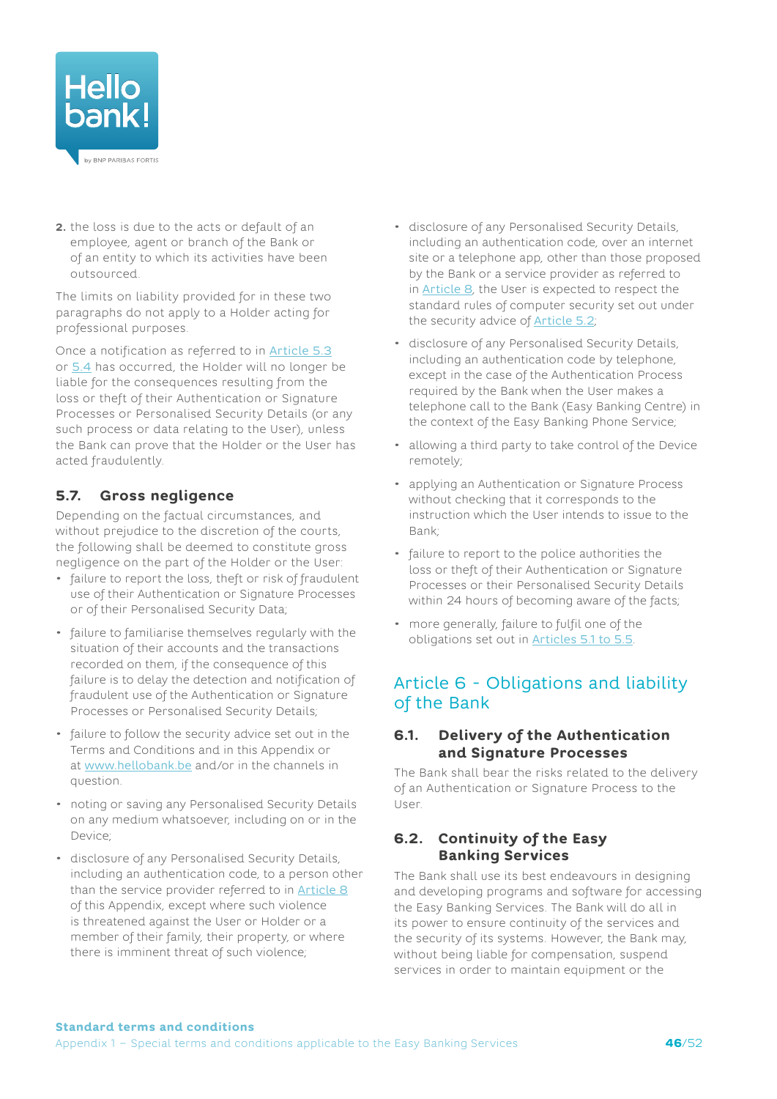

**2.** the loss is due to the acts or default of an employee, agent or branch of the Bank or of an entity to which its activities have been outsourced.

The limits on liability provided for in these two paragraphs do not apply to a Holder acting for professional purposes.

Once a notification as referred to in [Article](#page-44-0) 5.3 or [5.4](#page-44-1) has occurred, the Holder will no longer be liable for the consequences resulting from the loss or theft of their Authentication or Signature Processes or Personalised Security Details (or any such process or data relating to the User), unless the Bank can prove that the Holder or the User has acted fraudulently.

## **5.7. Gross negligence**

Depending on the factual circumstances, and without prejudice to the discretion of the courts, the following shall be deemed to constitute gross negligence on the part of the Holder or the User:

- failure to report the loss, theft or risk of fraudulent use of their Authentication or Signature Processes or of their Personalised Security Data;
- failure to familiarise themselves regularly with the situation of their accounts and the transactions recorded on them, if the consequence of this failure is to delay the detection and notification of fraudulent use of the Authentication or Signature Processes or Personalised Security Details;
- failure to follow the security advice set out in the Terms and Conditions and in this Appendix or at [www.hellobank.be](http://www.hellobank.be) and/or in the channels in question.
- noting or saving any Personalised Security Details on any medium whatsoever, including on or in the Device;
- disclosure of any Personalised Security Details, including an authentication code, to a person other than the service provider referred to in [Article](#page-46-0) 8 of this Appendix, except where such violence is threatened against the User or Holder or a member of their family, their property, or where there is imminent threat of such violence;
- disclosure of any Personalised Security Details, including an authentication code, over an internet site or a telephone app, other than those proposed by the Bank or a service provider as referred to in [Article](#page-46-0) 8, the User is expected to respect the standard rules of computer security set out under the security advice of **[Article](#page-43-0) 5.2**;
- disclosure of any Personalised Security Details, including an authentication code by telephone, except in the case of the Authentication Process required by the Bank when the User makes a telephone call to the Bank (Easy Banking Centre) in the context of the Easy Banking Phone Service;
- allowing a third party to take control of the Device remotely;
- applying an Authentication or Signature Process without checking that it corresponds to the instruction which the User intends to issue to the Bank;
- failure to report to the police authorities the loss or theft of their Authentication or Signature Processes or their Personalised Security Details within 24 hours of becoming aware of the facts;
- more generally, failure to fulfil one of the obligations set out in [Articles 5.1 to 5.5](#page-43-1).

## Article 6 - Obligations and liability of the Bank

#### **6.1. Delivery of the Authentication and Signature Processes**

The Bank shall bear the risks related to the delivery of an Authentication or Signature Process to the User.

### **6.2. Continuity of the Easy Banking Services**

The Bank shall use its best endeavours in designing and developing programs and software for accessing the Easy Banking Services. The Bank will do all in its power to ensure continuity of the services and the security of its systems. However, the Bank may, without being liable for compensation, suspend services in order to maintain equipment or the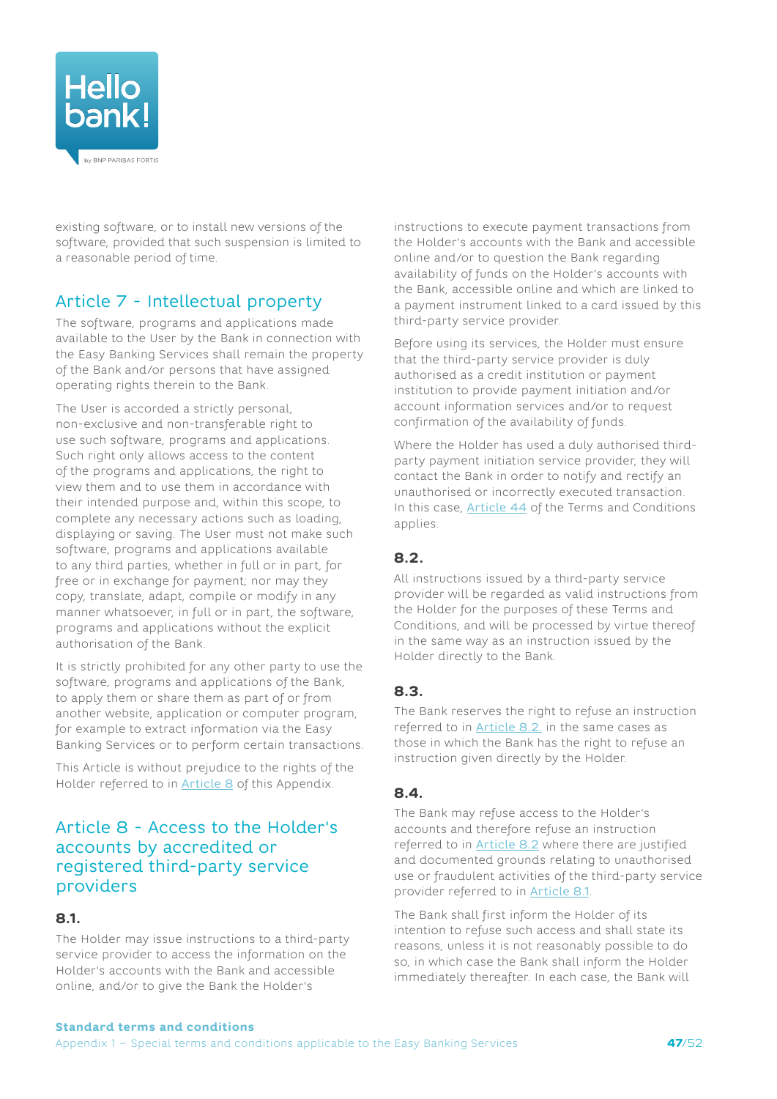

existing software, or to install new versions of the software, provided that such suspension is limited to a reasonable period of time.

# Article 7 - Intellectual property

The software, programs and applications made available to the User by the Bank in connection with the Easy Banking Services shall remain the property of the Bank and/or persons that have assigned operating rights therein to the Bank.

The User is accorded a strictly personal, non-exclusive and non-transferable right to use such software, programs and applications. Such right only allows access to the content of the programs and applications, the right to view them and to use them in accordance with their intended purpose and, within this scope, to complete any necessary actions such as loading, displaying or saving. The User must not make such software, programs and applications available to any third parties, whether in full or in part, for free or in exchange for payment; nor may they copy, translate, adapt, compile or modify in any manner whatsoever, in full or in part, the software, programs and applications without the explicit authorisation of the Bank.

It is strictly prohibited for any other party to use the software, programs and applications of the Bank, to apply them or share them as part of or from another website, application or computer program, for example to extract information via the Easy Banking Services or to perform certain transactions.

This Article is without prejudice to the rights of the Holder referred to in [Article 8](#page-46-0) of this Appendix.

## <span id="page-46-0"></span>Article 8 - Access to the Holder's accounts by accredited or registered third-party service providers

#### <span id="page-46-2"></span>**8.1.**

The Holder may issue instructions to a third-party service provider to access the information on the Holder's accounts with the Bank and accessible online, and/or to give the Bank the Holder's

instructions to execute payment transactions from the Holder's accounts with the Bank and accessible online and/or to question the Bank regarding availability of funds on the Holder's accounts with the Bank, accessible online and which are linked to a payment instrument linked to a card issued by this third-party service provider.

Before using its services, the Holder must ensure that the third-party service provider is duly authorised as a credit institution or payment institution to provide payment initiation and/or account information services and/or to request confirmation of the availability of funds.

Where the Holder has used a duly authorised thirdparty payment initiation service provider, they will contact the Bank in order to notify and rectify an unauthorised or incorrectly executed transaction. In this case, [Article 44](#page-27-0) of the Terms and Conditions applies.

## <span id="page-46-1"></span>**8.2.**

All instructions issued by a third-party service provider will be regarded as valid instructions from the Holder for the purposes of these Terms and Conditions, and will be processed by virtue thereof in the same way as an instruction issued by the Holder directly to the Bank.

## **8.3.**

The Bank reserves the right to refuse an instruction referred to in [Article 8.2.](#page-46-1) in the same cases as those in which the Bank has the right to refuse an instruction given directly by the Holder.

## **8.4.**

The Bank may refuse access to the Holder's accounts and therefore refuse an instruction referred to in [Article 8.2](#page-46-1) where there are justified and documented grounds relating to unauthorised use or fraudulent activities of the third-party service provider referred to in [Article 8.1](#page-46-2).

The Bank shall first inform the Holder of its intention to refuse such access and shall state its reasons, unless it is not reasonably possible to do so, in which case the Bank shall inform the Holder immediately thereafter. In each case, the Bank will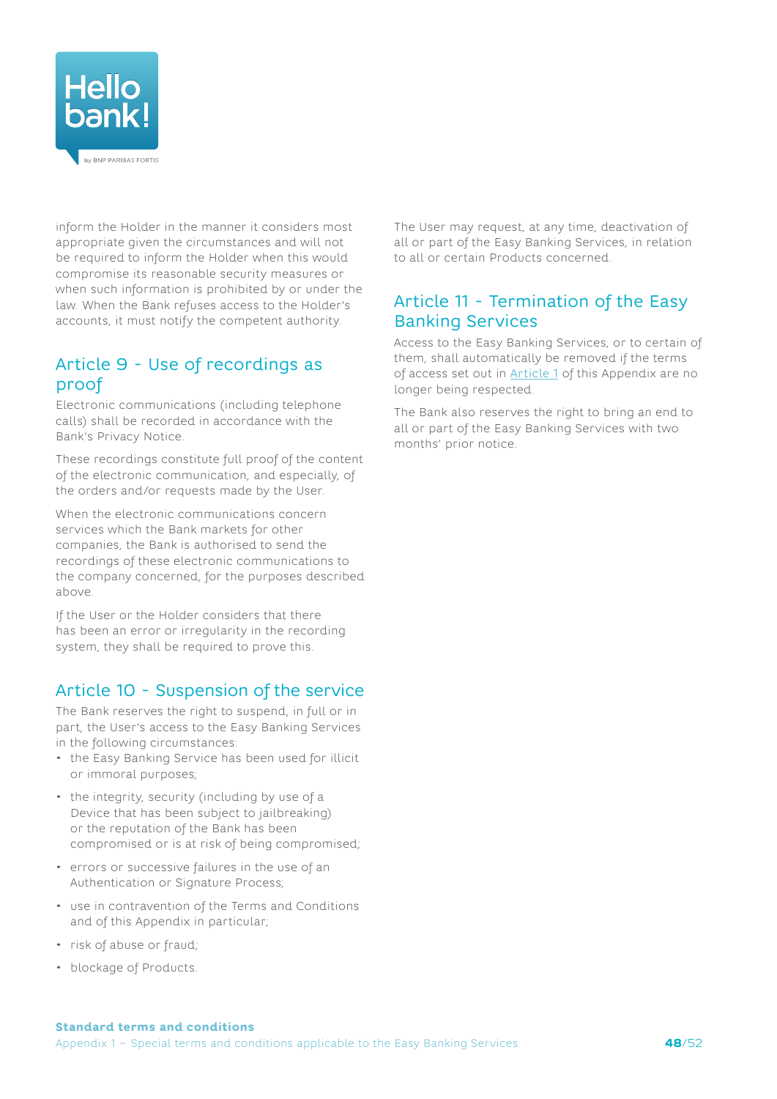

inform the Holder in the manner it considers most appropriate given the circumstances and will not be required to inform the Holder when this would compromise its reasonable security measures or when such information is prohibited by or under the law. When the Bank refuses access to the Holder's accounts, it must notify the competent authority.

# Article 9 - Use of recordings as proof

Electronic communications (including telephone calls) shall be recorded in accordance with the Bank's Privacy Notice.

These recordings constitute full proof of the content of the electronic communication, and especially, of the orders and/or requests made by the User.

When the electronic communications concern services which the Bank markets for other companies, the Bank is authorised to send the recordings of these electronic communications to the company concerned, for the purposes described above.

If the User or the Holder considers that there has been an error or irregularity in the recording system, they shall be required to prove this.

## Article 10 - Suspension of the service

The Bank reserves the right to suspend, in full or in part, the User's access to the Easy Banking Services in the following circumstances:

- the Easy Banking Service has been used for illicit or immoral purposes;
- the integrity, security (including by use of a Device that has been subject to jailbreaking) or the reputation of the Bank has been compromised or is at risk of being compromised;
- errors or successive failures in the use of an Authentication or Signature Process;
- use in contravention of the Terms and Conditions and of this Appendix in particular;
- risk of abuse or fraud;
- blockage of Products.

The User may request, at any time, deactivation of all or part of the Easy Banking Services, in relation to all or certain Products concerned.

## Article 11 - Termination of the Easy Banking Services

Access to the Easy Banking Services, or to certain of them, shall automatically be removed if the terms of access set out in **[Article 1](#page-39-1)** of this Appendix are no longer being respected.

The Bank also reserves the right to bring an end to all or part of the Easy Banking Services with two months' prior notice.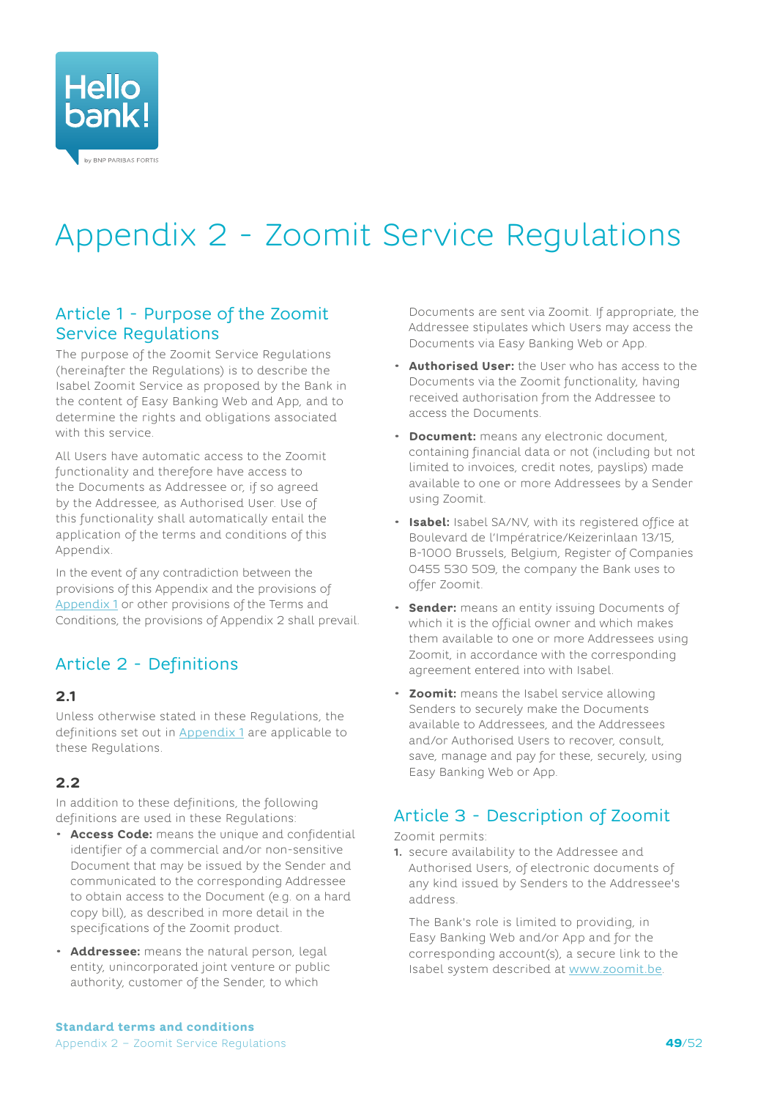<span id="page-48-0"></span>

# <span id="page-48-1"></span>Appendix 2 - Zoomit Service Regulations

## Article 1 - Purpose of the Zoomit Service Regulations

The purpose of the Zoomit Service Regulations (hereinafter the Regulations) is to describe the Isabel Zoomit Service as proposed by the Bank in the content of Easy Banking Web and App, and to determine the rights and obligations associated with this service.

All Users have automatic access to the Zoomit functionality and therefore have access to the Documents as Addressee or, if so agreed by the Addressee, as Authorised User. Use of this functionality shall automatically entail the application of the terms and conditions of this Appendix.

In the event of any contradiction between the provisions of this Appendix and the provisions of [Appendix](#page-39-1) 1 or other provisions of the Terms and Conditions, the provisions of Appendix 2 shall prevail.

# Article 2 - Definitions

#### **2.1**

Unless otherwise stated in these Regulations, the definitions set out in [Appendix](#page-39-1) 1 are applicable to these Regulations.

## **2.2**

In addition to these definitions, the following definitions are used in these Regulations:

- **Access Code:** means the unique and confidential identifier of a commercial and/or non-sensitive Document that may be issued by the Sender and communicated to the corresponding Addressee to obtain access to the Document (e.g. on a hard copy bill), as described in more detail in the specifications of the Zoomit product.
- **Addressee:** means the natural person, legal entity, unincorporated joint venture or public authority, customer of the Sender, to which

Documents are sent via Zoomit. If appropriate, the Addressee stipulates which Users may access the Documents via Easy Banking Web or App.

- **Authorised User:** the User who has access to the Documents via the Zoomit functionality, having received authorisation from the Addressee to access the Documents.
- **Document:** means any electronic document, containing financial data or not (including but not limited to invoices, credit notes, payslips) made available to one or more Addressees by a Sender using Zoomit.
- **Isabel:** Isabel SA/NV, with its registered office at Boulevard de l'Impératrice/Keizerinlaan 13/15, B-1000 Brussels, Belgium, Register of Companies 0455 530 509, the company the Bank uses to offer Zoomit.
- **Sender:** means an entity issuing Documents of which it is the official owner and which makes them available to one or more Addressees using Zoomit, in accordance with the corresponding agreement entered into with Isabel.
- **Zoomit:** means the Isabel service allowing Senders to securely make the Documents available to Addressees, and the Addressees and/or Authorised Users to recover, consult, save, manage and pay for these, securely, using Easy Banking Web or App.

# Article 3 - Description of Zoomit

Zoomit permits:

**1.** secure availability to the Addressee and Authorised Users, of electronic documents of any kind issued by Senders to the Addressee's address.

The Bank's role is limited to providing, in Easy Banking Web and/or App and for the corresponding account(s), a secure link to the Isabel system described at [www.zoomit.be](http://www.zoomit.be).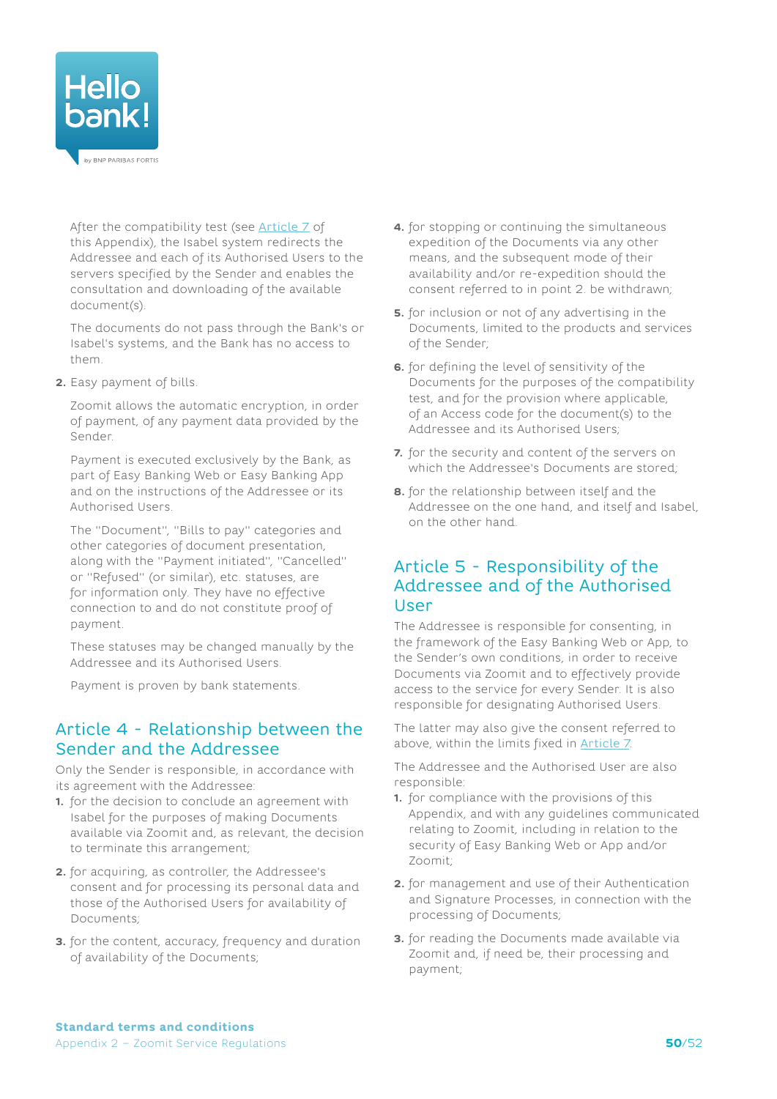

After the compatibility test (see [Article 7](#page-50-0) of this Appendix), the Isabel system redirects the Addressee and each of its Authorised Users to the servers specified by the Sender and enables the consultation and downloading of the available document(s).

The documents do not pass through the Bank's or Isabel's systems, and the Bank has no access to them.

**2.** Easy payment of bills.

Zoomit allows the automatic encryption, in order of payment, of any payment data provided by the Sender.

Payment is executed exclusively by the Bank, as part of Easy Banking Web or Easy Banking App and on the instructions of the Addressee or its Authorised Users.

The "Document", "Bills to pay" categories and other categories of document presentation, along with the "Payment initiated", "Cancelled" or "Refused" (or similar), etc. statuses, are for information only. They have no effective connection to and do not constitute proof of payment.

These statuses may be changed manually by the Addressee and its Authorised Users.

<span id="page-49-0"></span>Payment is proven by bank statements.

## Article 4 - Relationship between the Sender and the Addressee

Only the Sender is responsible, in accordance with its agreement with the Addressee:

- **1.** for the decision to conclude an agreement with Isabel for the purposes of making Documents available via Zoomit and, as relevant, the decision to terminate this arrangement;
- **2.** for acquiring, as controller, the Addressee's consent and for processing its personal data and those of the Authorised Users for availability of Documents;
- **3.** for the content, accuracy, frequency and duration of availability of the Documents;
- **4.** for stopping or continuing the simultaneous expedition of the Documents via any other means, and the subsequent mode of their availability and/or re-expedition should the consent referred to in point 2. be withdrawn;
- **5.** for inclusion or not of any advertising in the Documents, limited to the products and services of the Sender;
- **6.** for defining the level of sensitivity of the Documents for the purposes of the compatibility test, and for the provision where applicable, of an Access code for the document(s) to the Addressee and its Authorised Users;
- **7.** for the security and content of the servers on which the Addressee's Documents are stored;
- **8.** for the relationship between itself and the Addressee on the one hand, and itself and Isabel, on the other hand.

## <span id="page-49-1"></span>Article 5 - Responsibility of the Addressee and of the Authorised User

The Addressee is responsible for consenting, in the framework of the Easy Banking Web or App, to the Sender's own conditions, in order to receive Documents via Zoomit and to effectively provide access to the service for every Sender. It is also responsible for designating Authorised Users.

The latter may also give the consent referred to above, within the limits fixed in [Article 7](#page-50-0).

The Addressee and the Authorised User are also responsible:

- **1.** for compliance with the provisions of this Appendix, and with any guidelines communicated relating to Zoomit, including in relation to the security of Easy Banking Web or App and/or Zoomit;
- **2.** for management and use of their Authentication and Signature Processes, in connection with the processing of Documents;
- **3.** for reading the Documents made available via Zoomit and, if need be, their processing and payment;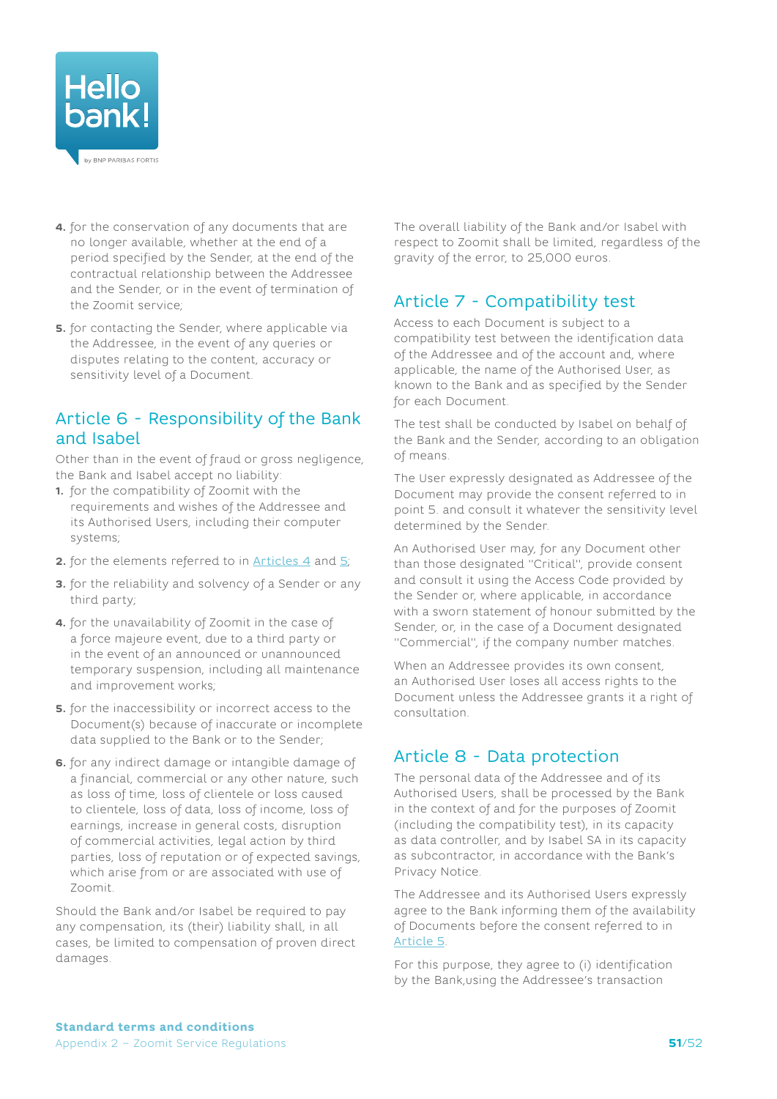

- **4.** for the conservation of any documents that are no longer available, whether at the end of a period specified by the Sender, at the end of the contractual relationship between the Addressee and the Sender, or in the event of termination of the Zoomit service;
- **5.** for contacting the Sender, where applicable via the Addressee, in the event of any queries or disputes relating to the content, accuracy or sensitivity level of a Document.

## Article 6 - Responsibility of the Bank and Isabel

Other than in the event of fraud or gross negligence, the Bank and Isabel accept no liability:

- **1.** for the compatibility of Zoomit with the requirements and wishes of the Addressee and its Authorised Users, including their computer systems;
- **2.** for the elements referred to in [Articles 4](#page-49-0) and [5](#page-49-1);
- **3.** for the reliability and solvency of a Sender or any third party;
- **4.** for the unavailability of Zoomit in the case of a force majeure event, due to a third party or in the event of an announced or unannounced temporary suspension, including all maintenance and improvement works;
- **5.** for the inaccessibility or incorrect access to the Document(s) because of inaccurate or incomplete data supplied to the Bank or to the Sender;
- **6.** for any indirect damage or intangible damage of a financial, commercial or any other nature, such as loss of time, loss of clientele or loss caused to clientele, loss of data, loss of income, loss of earnings, increase in general costs, disruption of commercial activities, legal action by third parties, loss of reputation or of expected savings, which arise from or are associated with use of Zoomit.

Should the Bank and/or Isabel be required to pay any compensation, its (their) liability shall, in all cases, be limited to compensation of proven direct damages.

The overall liability of the Bank and/or Isabel with respect to Zoomit shall be limited, regardless of the gravity of the error, to 25,000 euros.

# <span id="page-50-0"></span>Article 7 - Compatibility test

Access to each Document is subject to a compatibility test between the identification data of the Addressee and of the account and, where applicable, the name of the Authorised User, as known to the Bank and as specified by the Sender for each Document.

The test shall be conducted by Isabel on behalf of the Bank and the Sender, according to an obligation of means.

The User expressly designated as Addressee of the Document may provide the consent referred to in point 5. and consult it whatever the sensitivity level determined by the Sender.

An Authorised User may, for any Document other than those designated "Critical", provide consent and consult it using the Access Code provided by the Sender or, where applicable, in accordance with a sworn statement of honour submitted by the Sender, or, in the case of a Document designated "Commercial", if the company number matches.

When an Addressee provides its own consent, an Authorised User loses all access rights to the Document unless the Addressee grants it a right of consultation.

## Article 8 - Data protection

The personal data of the Addressee and of its Authorised Users, shall be processed by the Bank in the context of and for the purposes of Zoomit (including the compatibility test), in its capacity as data controller, and by Isabel SA in its capacity as subcontractor, in accordance with the Bank's Privacy Notice.

The Addressee and its Authorised Users expressly agree to the Bank informing them of the availability of Documents before the consent referred to in [Article](#page-49-1) 5.

For this purpose, they agree to (i) identification by the Bank,using the Addressee's transaction